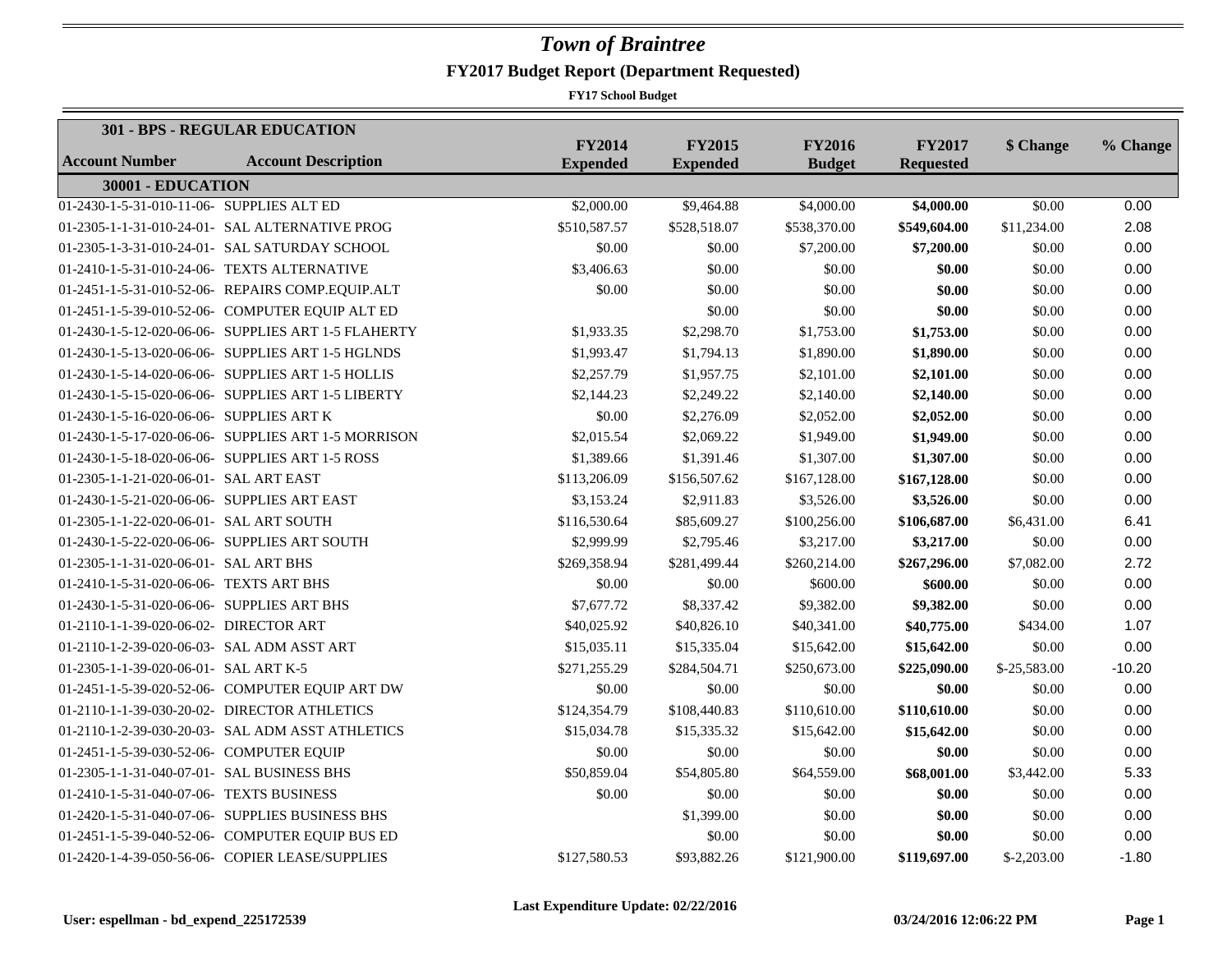|                                             | <b>301 - BPS - REGULAR EDUCATION</b>                |                                  |                                  |                                |                                   |              |          |
|---------------------------------------------|-----------------------------------------------------|----------------------------------|----------------------------------|--------------------------------|-----------------------------------|--------------|----------|
| Account Number                              | <b>Account Description</b>                          | <b>FY2014</b><br><b>Expended</b> | <b>FY2015</b><br><b>Expended</b> | <b>FY2016</b><br><b>Budget</b> | <b>FY2017</b><br><b>Requested</b> | \$ Change    | % Change |
| 30001 - EDUCATION                           |                                                     |                                  |                                  |                                |                                   |              |          |
| 01-2430-1-5-31-010-11-06- SUPPLIES ALT ED   |                                                     | \$2,000.00                       | \$9,464.88                       | \$4,000.00                     | \$4,000.00                        | \$0.00       | 0.00     |
|                                             | 01-2305-1-1-31-010-24-01- SAL ALTERNATIVE PROG      | \$510,587.57                     | \$528,518.07                     | \$538,370.00                   | \$549,604.00                      | \$11,234.00  | 2.08     |
|                                             | 01-2305-1-3-31-010-24-01- SAL SATURDAY SCHOOL       | \$0.00                           | \$0.00                           | \$7,200.00                     | \$7,200.00                        | \$0.00       | 0.00     |
| 01-2410-1-5-31-010-24-06- TEXTS ALTERNATIVE |                                                     | \$3,406.63                       | \$0.00                           | \$0.00                         | \$0.00                            | \$0.00       | 0.00     |
|                                             | 01-2451-1-5-31-010-52-06- REPAIRS COMP.EQUIP.ALT    | \$0.00                           | \$0.00                           | \$0.00                         | \$0.00                            | \$0.00       | 0.00     |
|                                             | 01-2451-1-5-39-010-52-06- COMPUTER EQUIP ALT ED     |                                  | \$0.00                           | \$0.00                         | \$0.00                            | \$0.00       | 0.00     |
|                                             | 01-2430-1-5-12-020-06-06- SUPPLIES ART 1-5 FLAHERTY | \$1,933.35                       | \$2,298.70                       | \$1,753.00                     | \$1,753.00                        | \$0.00       | 0.00     |
|                                             | 01-2430-1-5-13-020-06-06- SUPPLIES ART 1-5 HGLNDS   | \$1,993.47                       | \$1,794.13                       | \$1,890.00                     | \$1,890.00                        | \$0.00       | 0.00     |
|                                             | 01-2430-1-5-14-020-06-06- SUPPLIES ART 1-5 HOLLIS   | \$2,257.79                       | \$1,957.75                       | \$2,101.00                     | \$2,101.00                        | \$0.00       | 0.00     |
|                                             | 01-2430-1-5-15-020-06-06- SUPPLIES ART 1-5 LIBERTY  | \$2,144.23                       | \$2,249.22                       | \$2,140.00                     | \$2,140.00                        | \$0.00       | 0.00     |
| 01-2430-1-5-16-020-06-06- SUPPLIES ART K    |                                                     | \$0.00                           | \$2,276.09                       | \$2,052.00                     | \$2,052.00                        | \$0.00       | 0.00     |
|                                             | 01-2430-1-5-17-020-06-06- SUPPLIES ART 1-5 MORRISON | \$2,015.54                       | \$2,069.22                       | \$1,949.00                     | \$1,949.00                        | \$0.00       | 0.00     |
|                                             | 01-2430-1-5-18-020-06-06- SUPPLIES ART 1-5 ROSS     | \$1,389.66                       | \$1,391.46                       | \$1,307.00                     | \$1,307.00                        | \$0.00       | 0.00     |
| 01-2305-1-1-21-020-06-01- SAL ART EAST      |                                                     | \$113,206.09                     | \$156,507.62                     | \$167,128.00                   | \$167,128.00                      | \$0.00       | 0.00     |
| 01-2430-1-5-21-020-06-06- SUPPLIES ART EAST |                                                     | \$3,153.24                       | \$2,911.83                       | \$3,526.00                     | \$3,526.00                        | \$0.00       | 0.00     |
| 01-2305-1-1-22-020-06-01- SAL ART SOUTH     |                                                     | \$116,530.64                     | \$85,609.27                      | \$100,256.00                   | \$106,687.00                      | \$6,431.00   | 6.41     |
|                                             | 01-2430-1-5-22-020-06-06- SUPPLIES ART SOUTH        | \$2,999.99                       | \$2,795.46                       | \$3,217.00                     | \$3,217.00                        | \$0.00       | 0.00     |
| 01-2305-1-1-31-020-06-01- SAL ART BHS       |                                                     | \$269,358.94                     | \$281,499.44                     | \$260,214.00                   | \$267,296.00                      | \$7,082.00   | 2.72     |
| 01-2410-1-5-31-020-06-06- TEXTS ART BHS     |                                                     | \$0.00                           | \$0.00                           | \$600.00                       | \$600.00                          | \$0.00       | 0.00     |
| 01-2430-1-5-31-020-06-06- SUPPLIES ART BHS  |                                                     | \$7,677.72                       | \$8,337.42                       | \$9,382.00                     | \$9,382.00                        | \$0.00       | 0.00     |
| 01-2110-1-1-39-020-06-02- DIRECTOR ART      |                                                     | \$40,025.92                      | \$40,826.10                      | \$40,341.00                    | \$40,775.00                       | \$434.00     | 1.07     |
| 01-2110-1-2-39-020-06-03- SAL ADM ASST ART  |                                                     | \$15,035.11                      | \$15,335.04                      | \$15,642.00                    | \$15,642.00                       | \$0.00       | 0.00     |
| 01-2305-1-1-39-020-06-01- SAL ART K-5       |                                                     | \$271,255.29                     | \$284,504.71                     | \$250,673.00                   | \$225,090.00                      | \$-25,583.00 | $-10.20$ |
|                                             | 01-2451-1-5-39-020-52-06- COMPUTER EQUIP ART DW     | \$0.00                           | \$0.00                           | \$0.00                         | \$0.00                            | \$0.00       | 0.00     |
|                                             | 01-2110-1-1-39-030-20-02- DIRECTOR ATHLETICS        | \$124,354.79                     | \$108,440.83                     | \$110,610.00                   | \$110,610.00                      | \$0.00       | 0.00     |
|                                             | 01-2110-1-2-39-030-20-03- SAL ADM ASST ATHLETICS    | \$15,034.78                      | \$15,335.32                      | \$15,642.00                    | \$15,642.00                       | \$0.00       | 0.00     |
| 01-2451-1-5-39-030-52-06- COMPUTER EQUIP    |                                                     | \$0.00                           | \$0.00                           | \$0.00                         | \$0.00                            | \$0.00       | 0.00     |
| 01-2305-1-1-31-040-07-01- SAL BUSINESS BHS  |                                                     | \$50,859.04                      | \$54,805.80                      | \$64,559.00                    | \$68,001.00                       | \$3,442.00   | 5.33     |
| 01-2410-1-5-31-040-07-06- TEXTS BUSINESS    |                                                     | \$0.00                           | \$0.00                           | \$0.00                         | \$0.00                            | \$0.00       | 0.00     |
|                                             | 01-2420-1-5-31-040-07-06- SUPPLIES BUSINESS BHS     |                                  | \$1,399.00                       | \$0.00                         | \$0.00                            | \$0.00       | 0.00     |
|                                             | 01-2451-1-5-39-040-52-06- COMPUTER EQUIP BUS ED     |                                  | \$0.00                           | \$0.00                         | \$0.00                            | \$0.00       | 0.00     |
|                                             | 01-2420-1-4-39-050-56-06- COPIER LEASE/SUPPLIES     | \$127,580.53                     | \$93,882.26                      | \$121,900.00                   | \$119,697.00                      | $$-2,203.00$ | $-1.80$  |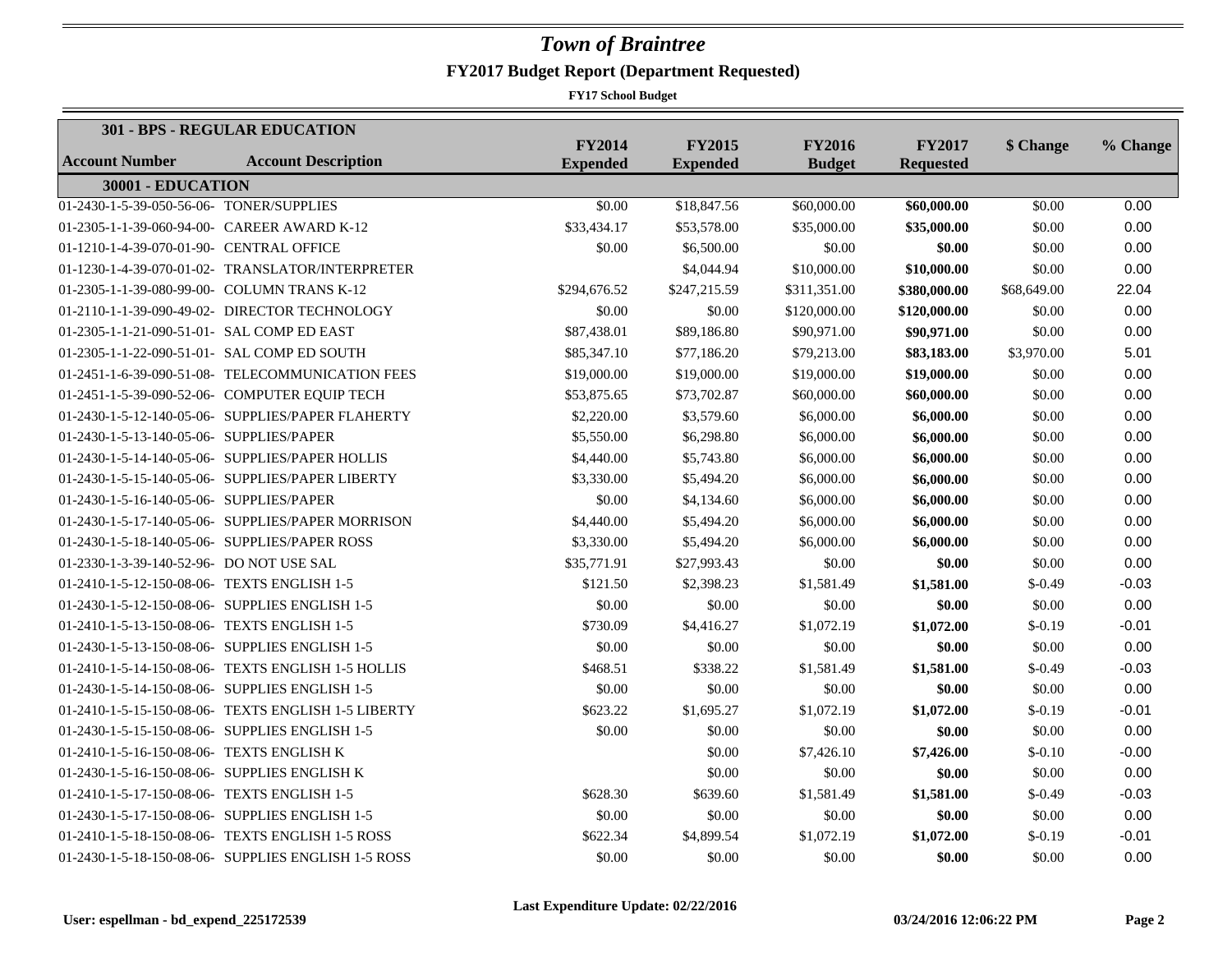|                                              | <b>301 - BPS - REGULAR EDUCATION</b>                |                                  |                                  |                                |                                   |             |          |
|----------------------------------------------|-----------------------------------------------------|----------------------------------|----------------------------------|--------------------------------|-----------------------------------|-------------|----------|
| <b>Account Number</b>                        | <b>Account Description</b>                          | <b>FY2014</b><br><b>Expended</b> | <b>FY2015</b><br><b>Expended</b> | <b>FY2016</b><br><b>Budget</b> | <b>FY2017</b><br><b>Requested</b> | \$ Change   | % Change |
| 30001 - EDUCATION                            |                                                     |                                  |                                  |                                |                                   |             |          |
| 01-2430-1-5-39-050-56-06- TONER/SUPPLIES     |                                                     | \$0.00                           | \$18,847.56                      | \$60,000.00                    | \$60,000.00                       | \$0.00      | 0.00     |
|                                              | 01-2305-1-1-39-060-94-00- CAREER AWARD K-12         | \$33,434.17                      | \$53,578.00                      | \$35,000.00                    | \$35,000.00                       | \$0.00      | 0.00     |
| 01-1210-1-4-39-070-01-90- CENTRAL OFFICE     |                                                     | \$0.00                           | \$6,500.00                       | \$0.00                         | \$0.00                            | \$0.00      | 0.00     |
|                                              | 01-1230-1-4-39-070-01-02- TRANSLATOR/INTERPRETER    |                                  | \$4,044.94                       | \$10,000.00                    | \$10,000.00                       | \$0.00      | 0.00     |
|                                              | 01-2305-1-1-39-080-99-00- COLUMN TRANS K-12         | \$294,676.52                     | \$247,215.59                     | \$311,351.00                   | \$380,000.00                      | \$68,649.00 | 22.04    |
|                                              | 01-2110-1-1-39-090-49-02- DIRECTOR TECHNOLOGY       | \$0.00                           | \$0.00                           | \$120,000.00                   | \$120,000.00                      | \$0.00      | 0.00     |
| 01-2305-1-1-21-090-51-01- SAL COMP ED EAST   |                                                     | \$87,438.01                      | \$89,186.80                      | \$90,971.00                    | \$90,971.00                       | \$0.00      | 0.00     |
|                                              | 01-2305-1-1-22-090-51-01- SAL COMP ED SOUTH         | \$85,347.10                      | \$77,186.20                      | \$79,213.00                    | \$83,183.00                       | \$3,970.00  | 5.01     |
|                                              | 01-2451-1-6-39-090-51-08- TELECOMMUNICATION FEES    | \$19,000.00                      | \$19,000.00                      | \$19,000.00                    | \$19,000.00                       | \$0.00      | 0.00     |
|                                              | 01-2451-1-5-39-090-52-06- COMPUTER EQUIP TECH       | \$53,875.65                      | \$73,702.87                      | \$60,000.00                    | \$60,000.00                       | \$0.00      | 0.00     |
|                                              | 01-2430-1-5-12-140-05-06- SUPPLIES/PAPER FLAHERTY   | \$2,220.00                       | \$3,579.60                       | \$6,000.00                     | \$6,000.00                        | \$0.00      | 0.00     |
| 01-2430-1-5-13-140-05-06- SUPPLIES/PAPER     |                                                     | \$5,550.00                       | \$6,298.80                       | \$6,000.00                     | \$6,000.00                        | \$0.00      | 0.00     |
|                                              | 01-2430-1-5-14-140-05-06- SUPPLIES/PAPER HOLLIS     | \$4,440.00                       | \$5,743.80                       | \$6,000.00                     | \$6,000.00                        | \$0.00      | 0.00     |
|                                              | 01-2430-1-5-15-140-05-06- SUPPLIES/PAPER LIBERTY    | \$3,330.00                       | \$5,494.20                       | \$6,000.00                     | \$6,000.00                        | \$0.00      | 0.00     |
| 01-2430-1-5-16-140-05-06- SUPPLIES/PAPER     |                                                     | \$0.00                           | \$4,134.60                       | \$6,000.00                     | \$6,000.00                        | \$0.00      | 0.00     |
|                                              | 01-2430-1-5-17-140-05-06- SUPPLIES/PAPER MORRISON   | \$4,440.00                       | \$5,494.20                       | \$6,000.00                     | \$6,000.00                        | \$0.00      | 0.00     |
|                                              | 01-2430-1-5-18-140-05-06- SUPPLIES/PAPER ROSS       | \$3,330.00                       | \$5,494.20                       | \$6,000.00                     | \$6,000.00                        | \$0.00      | 0.00     |
| 01-2330-1-3-39-140-52-96- DO NOT USE SAL     |                                                     | \$35,771.91                      | \$27,993.43                      | \$0.00                         | \$0.00                            | \$0.00      | 0.00     |
| 01-2410-1-5-12-150-08-06- TEXTS ENGLISH 1-5  |                                                     | \$121.50                         | \$2,398.23                       | \$1,581.49                     | \$1,581.00                        | $$-0.49$    | $-0.03$  |
|                                              | 01-2430-1-5-12-150-08-06- SUPPLIES ENGLISH 1-5      | \$0.00                           | \$0.00                           | \$0.00                         | \$0.00                            | \$0.00      | 0.00     |
| 01-2410-1-5-13-150-08-06- TEXTS ENGLISH 1-5  |                                                     | \$730.09                         | \$4,416.27                       | \$1,072.19                     | \$1,072.00                        | $$-0.19$    | $-0.01$  |
|                                              | 01-2430-1-5-13-150-08-06- SUPPLIES ENGLISH 1-5      | \$0.00                           | \$0.00                           | \$0.00                         | \$0.00                            | \$0.00      | 0.00     |
|                                              | 01-2410-1-5-14-150-08-06- TEXTS ENGLISH 1-5 HOLLIS  | \$468.51                         | \$338.22                         | \$1,581.49                     | \$1,581.00                        | $$-0.49$    | $-0.03$  |
|                                              | 01-2430-1-5-14-150-08-06- SUPPLIES ENGLISH 1-5      | \$0.00                           | \$0.00                           | \$0.00                         | \$0.00                            | \$0.00      | 0.00     |
|                                              | 01-2410-1-5-15-150-08-06- TEXTS ENGLISH 1-5 LIBERTY | \$623.22                         | \$1,695.27                       | \$1,072.19                     | \$1,072.00                        | $$-0.19$    | $-0.01$  |
|                                              | 01-2430-1-5-15-150-08-06- SUPPLIES ENGLISH 1-5      | \$0.00                           | \$0.00                           | \$0.00                         | \$0.00                            | \$0.00      | 0.00     |
| 01-2410-1-5-16-150-08-06- TEXTS ENGLISH K    |                                                     |                                  | \$0.00                           | \$7,426.10                     | \$7,426.00                        | $$-0.10$    | $-0.00$  |
| 01-2430-1-5-16-150-08-06- SUPPLIES ENGLISH K |                                                     |                                  | \$0.00                           | \$0.00                         | \$0.00                            | \$0.00      | 0.00     |
| 01-2410-1-5-17-150-08-06- TEXTS ENGLISH 1-5  |                                                     | \$628.30                         | \$639.60                         | \$1,581.49                     | \$1,581.00                        | $$-0.49$    | $-0.03$  |
|                                              | 01-2430-1-5-17-150-08-06- SUPPLIES ENGLISH 1-5      | \$0.00                           | \$0.00                           | \$0.00                         | \$0.00                            | \$0.00      | 0.00     |
|                                              | 01-2410-1-5-18-150-08-06- TEXTS ENGLISH 1-5 ROSS    | \$622.34                         | \$4,899.54                       | \$1,072.19                     | \$1,072.00                        | $$-0.19$    | $-0.01$  |
|                                              | 01-2430-1-5-18-150-08-06- SUPPLIES ENGLISH 1-5 ROSS | \$0.00                           | \$0.00                           | \$0.00                         | \$0.00                            | \$0.00      | 0.00     |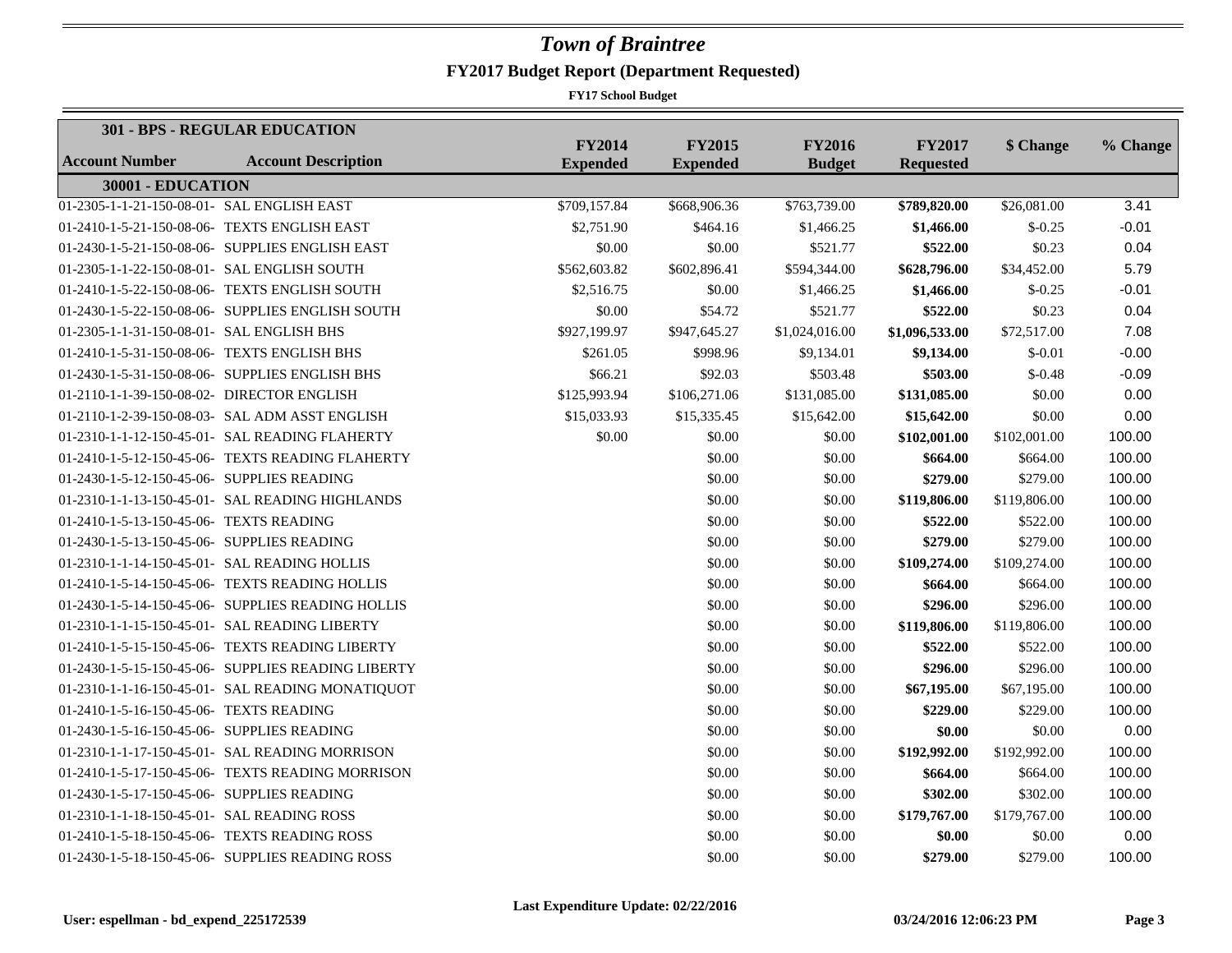|                                             | <b>301 - BPS - REGULAR EDUCATION</b>               |                                  |                                  |                                |                                   |              |          |
|---------------------------------------------|----------------------------------------------------|----------------------------------|----------------------------------|--------------------------------|-----------------------------------|--------------|----------|
| <b>Account Number</b>                       | <b>Account Description</b>                         | <b>FY2014</b><br><b>Expended</b> | <b>FY2015</b><br><b>Expended</b> | <b>FY2016</b><br><b>Budget</b> | <b>FY2017</b><br><b>Requested</b> | \$ Change    | % Change |
| 30001 - EDUCATION                           |                                                    |                                  |                                  |                                |                                   |              |          |
| 01-2305-1-1-21-150-08-01- SAL ENGLISH EAST  |                                                    | \$709,157.84                     | \$668,906.36                     | \$763,739.00                   | \$789,820.00                      | \$26,081.00  | 3.41     |
|                                             | 01-2410-1-5-21-150-08-06- TEXTS ENGLISH EAST       | \$2,751.90                       | \$464.16                         | \$1,466.25                     | \$1,466.00                        | $$-0.25$     | $-0.01$  |
|                                             | 01-2430-1-5-21-150-08-06- SUPPLIES ENGLISH EAST    | \$0.00                           | \$0.00                           | \$521.77                       | \$522.00                          | \$0.23       | 0.04     |
| 01-2305-1-1-22-150-08-01- SAL ENGLISH SOUTH |                                                    | \$562,603.82                     | \$602,896.41                     | \$594,344.00                   | \$628,796.00                      | \$34,452.00  | 5.79     |
|                                             | 01-2410-1-5-22-150-08-06- TEXTS ENGLISH SOUTH      | \$2,516.75                       | \$0.00                           | \$1,466.25                     | \$1,466.00                        | $$-0.25$     | $-0.01$  |
|                                             | 01-2430-1-5-22-150-08-06- SUPPLIES ENGLISH SOUTH   | \$0.00                           | \$54.72                          | \$521.77                       | \$522.00                          | \$0.23       | 0.04     |
| 01-2305-1-1-31-150-08-01- SAL ENGLISH BHS   |                                                    | \$927,199.97                     | \$947,645.27                     | \$1,024,016.00                 | \$1,096,533.00                    | \$72,517.00  | 7.08     |
| 01-2410-1-5-31-150-08-06- TEXTS ENGLISH BHS |                                                    | \$261.05                         | \$998.96                         | \$9,134.01                     | \$9,134.00                        | $$-0.01$     | $-0.00$  |
|                                             | 01-2430-1-5-31-150-08-06- SUPPLIES ENGLISH BHS     | \$66.21                          | \$92.03                          | \$503.48                       | \$503.00                          | $$-0.48$     | $-0.09$  |
| 01-2110-1-1-39-150-08-02- DIRECTOR ENGLISH  |                                                    | \$125,993.94                     | \$106,271.06                     | \$131,085.00                   | \$131,085.00                      | \$0.00       | 0.00     |
|                                             | 01-2110-1-2-39-150-08-03- SAL ADM ASST ENGLISH     | \$15,033.93                      | \$15,335.45                      | \$15,642.00                    | \$15,642.00                       | \$0.00       | 0.00     |
|                                             | 01-2310-1-1-12-150-45-01- SAL READING FLAHERTY     | \$0.00                           | \$0.00                           | \$0.00                         | \$102,001.00                      | \$102,001.00 | 100.00   |
|                                             | 01-2410-1-5-12-150-45-06- TEXTS READING FLAHERTY   |                                  | \$0.00                           | \$0.00                         | \$664.00                          | \$664.00     | 100.00   |
| 01-2430-1-5-12-150-45-06- SUPPLIES READING  |                                                    |                                  | \$0.00                           | \$0.00                         | \$279.00                          | \$279.00     | 100.00   |
|                                             | 01-2310-1-1-13-150-45-01- SAL READING HIGHLANDS    |                                  | \$0.00                           | \$0.00                         | \$119,806.00                      | \$119,806.00 | 100.00   |
| 01-2410-1-5-13-150-45-06- TEXTS READING     |                                                    |                                  | \$0.00                           | \$0.00                         | \$522.00                          | \$522.00     | 100.00   |
| 01-2430-1-5-13-150-45-06- SUPPLIES READING  |                                                    |                                  | \$0.00                           | \$0.00                         | \$279.00                          | \$279.00     | 100.00   |
|                                             | 01-2310-1-1-14-150-45-01- SAL READING HOLLIS       |                                  | \$0.00                           | \$0.00                         | \$109,274.00                      | \$109,274.00 | 100.00   |
|                                             | 01-2410-1-5-14-150-45-06- TEXTS READING HOLLIS     |                                  | \$0.00                           | \$0.00                         | \$664.00                          | \$664.00     | 100.00   |
|                                             | 01-2430-1-5-14-150-45-06- SUPPLIES READING HOLLIS  |                                  | \$0.00                           | \$0.00                         | \$296.00                          | \$296.00     | 100.00   |
|                                             | 01-2310-1-1-15-150-45-01- SAL READING LIBERTY      |                                  | \$0.00                           | \$0.00                         | \$119,806.00                      | \$119,806.00 | 100.00   |
|                                             | 01-2410-1-5-15-150-45-06- TEXTS READING LIBERTY    |                                  | \$0.00                           | \$0.00                         | \$522.00                          | \$522.00     | 100.00   |
|                                             | 01-2430-1-5-15-150-45-06- SUPPLIES READING LIBERTY |                                  | \$0.00                           | \$0.00                         | \$296.00                          | \$296.00     | 100.00   |
|                                             | 01-2310-1-1-16-150-45-01- SAL READING MONATIQUOT   |                                  | \$0.00                           | \$0.00                         | \$67,195.00                       | \$67,195.00  | 100.00   |
| 01-2410-1-5-16-150-45-06- TEXTS READING     |                                                    |                                  | \$0.00                           | \$0.00                         | \$229.00                          | \$229.00     | 100.00   |
| 01-2430-1-5-16-150-45-06- SUPPLIES READING  |                                                    |                                  | \$0.00                           | \$0.00                         | \$0.00                            | \$0.00       | 0.00     |
|                                             | 01-2310-1-1-17-150-45-01- SAL READING MORRISON     |                                  | \$0.00                           | \$0.00                         | \$192,992.00                      | \$192,992.00 | 100.00   |
|                                             | 01-2410-1-5-17-150-45-06- TEXTS READING MORRISON   |                                  | \$0.00                           | \$0.00                         | \$664.00                          | \$664.00     | 100.00   |
| 01-2430-1-5-17-150-45-06- SUPPLIES READING  |                                                    |                                  | \$0.00                           | \$0.00                         | \$302.00                          | \$302.00     | 100.00   |
| 01-2310-1-1-18-150-45-01- SAL READING ROSS  |                                                    |                                  | \$0.00                           | \$0.00                         | \$179,767.00                      | \$179,767.00 | 100.00   |
|                                             | 01-2410-1-5-18-150-45-06- TEXTS READING ROSS       |                                  | \$0.00                           | \$0.00                         | \$0.00                            | \$0.00       | 0.00     |
|                                             | 01-2430-1-5-18-150-45-06- SUPPLIES READING ROSS    |                                  | \$0.00                           | \$0.00                         | \$279.00                          | \$279.00     | 100.00   |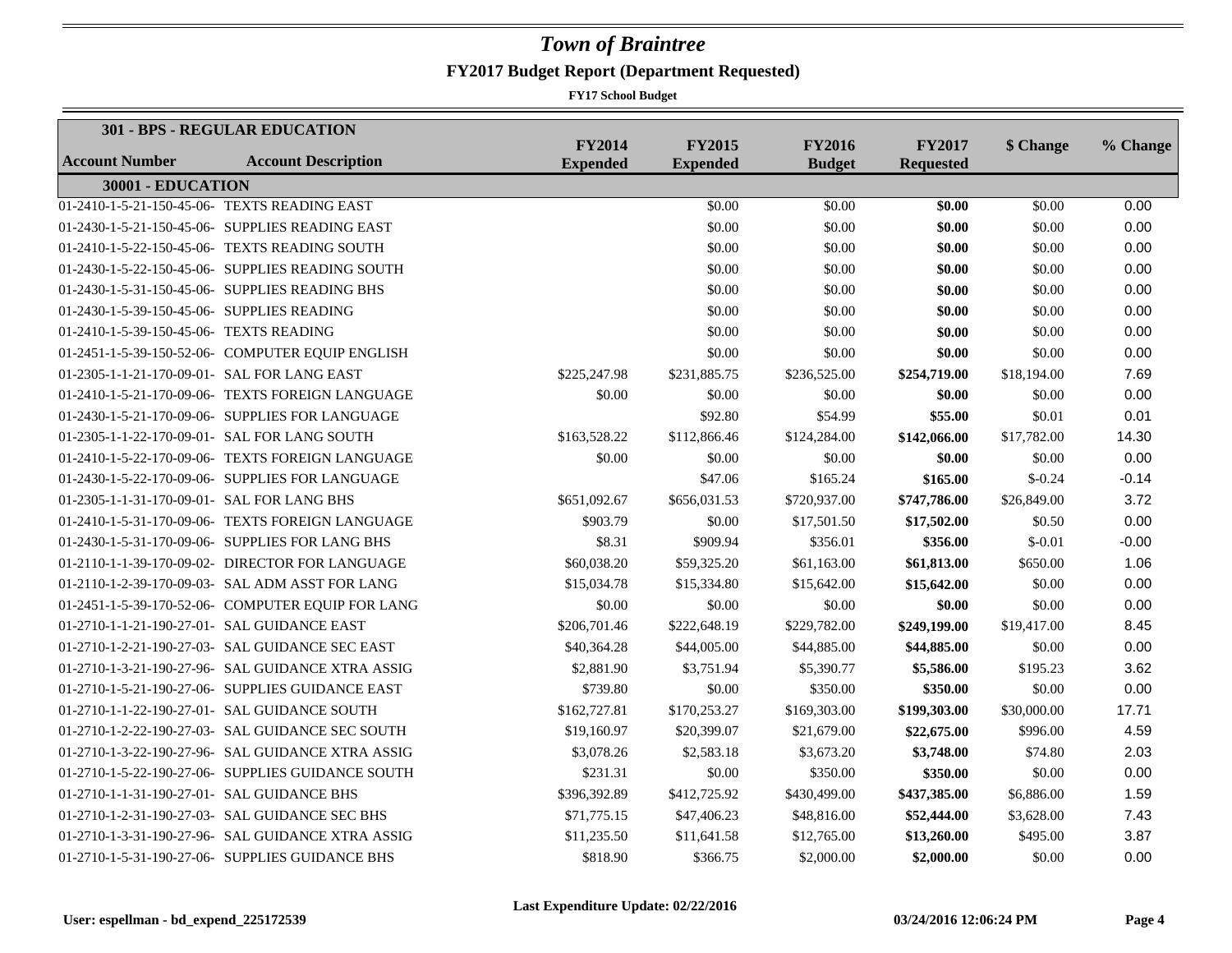| <b>301 - BPS - REGULAR EDUCATION</b>        |                                                   | <b>FY2014</b>   | <b>FY2015</b>   | <b>FY2016</b> | <b>FY2017</b>    |             |          |
|---------------------------------------------|---------------------------------------------------|-----------------|-----------------|---------------|------------------|-------------|----------|
| <b>Account Number</b>                       | <b>Account Description</b>                        | <b>Expended</b> | <b>Expended</b> | <b>Budget</b> | <b>Requested</b> | \$ Change   | % Change |
| 30001 - EDUCATION                           |                                                   |                 |                 |               |                  |             |          |
|                                             | 01-2410-1-5-21-150-45-06- TEXTS READING EAST      |                 | \$0.00          | \$0.00        | \$0.00           | \$0.00      | 0.00     |
|                                             | 01-2430-1-5-21-150-45-06- SUPPLIES READING EAST   |                 | \$0.00          | \$0.00        | \$0.00           | \$0.00      | 0.00     |
|                                             | 01-2410-1-5-22-150-45-06- TEXTS READING SOUTH     |                 | \$0.00          | \$0.00        | \$0.00           | \$0.00      | 0.00     |
|                                             | 01-2430-1-5-22-150-45-06- SUPPLIES READING SOUTH  |                 | \$0.00          | \$0.00        | \$0.00           | \$0.00      | 0.00     |
|                                             | 01-2430-1-5-31-150-45-06- SUPPLIES READING BHS    |                 | \$0.00          | \$0.00        | \$0.00           | \$0.00      | 0.00     |
| 01-2430-1-5-39-150-45-06- SUPPLIES READING  |                                                   |                 | \$0.00          | \$0.00        | \$0.00           | \$0.00      | 0.00     |
| 01-2410-1-5-39-150-45-06- TEXTS READING     |                                                   |                 | \$0.00          | \$0.00        | \$0.00           | \$0.00      | 0.00     |
|                                             | 01-2451-1-5-39-150-52-06- COMPUTER EQUIP ENGLISH  |                 | \$0.00          | \$0.00        | \$0.00           | \$0.00      | 0.00     |
| 01-2305-1-1-21-170-09-01- SAL FOR LANG EAST |                                                   | \$225,247.98    | \$231,885.75    | \$236,525.00  | \$254,719.00     | \$18,194.00 | 7.69     |
|                                             | 01-2410-1-5-21-170-09-06- TEXTS FOREIGN LANGUAGE  | \$0.00          | \$0.00          | \$0.00        | \$0.00           | \$0.00      | 0.00     |
|                                             | 01-2430-1-5-21-170-09-06- SUPPLIES FOR LANGUAGE   |                 | \$92.80         | \$54.99       | \$55.00          | \$0.01      | 0.01     |
|                                             | 01-2305-1-1-22-170-09-01- SAL FOR LANG SOUTH      | \$163,528.22    | \$112,866.46    | \$124,284.00  | \$142,066.00     | \$17,782.00 | 14.30    |
|                                             | 01-2410-1-5-22-170-09-06- TEXTS FOREIGN LANGUAGE  | \$0.00          | \$0.00          | \$0.00        | \$0.00           | \$0.00      | 0.00     |
|                                             | 01-2430-1-5-22-170-09-06- SUPPLIES FOR LANGUAGE   |                 | \$47.06         | \$165.24      | \$165.00         | $$-0.24$    | $-0.14$  |
| 01-2305-1-1-31-170-09-01- SAL FOR LANG BHS  |                                                   | \$651,092.67    | \$656,031.53    | \$720,937.00  | \$747,786.00     | \$26,849.00 | 3.72     |
|                                             | 01-2410-1-5-31-170-09-06- TEXTS FOREIGN LANGUAGE  | \$903.79        | \$0.00          | \$17,501.50   | \$17,502.00      | \$0.50      | 0.00     |
|                                             | 01-2430-1-5-31-170-09-06- SUPPLIES FOR LANG BHS   | \$8.31          | \$909.94        | \$356.01      | \$356.00         | $$-0.01$    | $-0.00$  |
|                                             | 01-2110-1-1-39-170-09-02- DIRECTOR FOR LANGUAGE   | \$60,038.20     | \$59,325.20     | \$61,163.00   | \$61,813.00      | \$650.00    | 1.06     |
|                                             | 01-2110-1-2-39-170-09-03- SAL ADM ASST FOR LANG   | \$15,034.78     | \$15,334.80     | \$15,642.00   | \$15,642.00      | \$0.00      | 0.00     |
|                                             | 01-2451-1-5-39-170-52-06- COMPUTER EQUIP FOR LANG | \$0.00          | \$0.00          | \$0.00        | \$0.00           | \$0.00      | 0.00     |
| 01-2710-1-1-21-190-27-01- SAL GUIDANCE EAST |                                                   | \$206,701.46    | \$222,648.19    | \$229,782.00  | \$249,199.00     | \$19,417.00 | 8.45     |
|                                             | 01-2710-1-2-21-190-27-03- SAL GUIDANCE SEC EAST   | \$40,364.28     | \$44,005.00     | \$44,885.00   | \$44,885.00      | \$0.00      | 0.00     |
|                                             | 01-2710-1-3-21-190-27-96- SAL GUIDANCE XTRA ASSIG | \$2,881.90      | \$3,751.94      | \$5,390.77    | \$5,586.00       | \$195.23    | 3.62     |
|                                             | 01-2710-1-5-21-190-27-06- SUPPLIES GUIDANCE EAST  | \$739.80        | \$0.00          | \$350.00      | \$350.00         | \$0.00      | 0.00     |
|                                             | 01-2710-1-1-22-190-27-01- SAL GUIDANCE SOUTH      | \$162,727.81    | \$170,253.27    | \$169,303.00  | \$199,303.00     | \$30,000.00 | 17.71    |
|                                             | 01-2710-1-2-22-190-27-03- SAL GUIDANCE SEC SOUTH  | \$19,160.97     | \$20,399.07     | \$21,679.00   | \$22,675.00      | \$996.00    | 4.59     |
|                                             | 01-2710-1-3-22-190-27-96- SAL GUIDANCE XTRA ASSIG | \$3,078.26      | \$2,583.18      | \$3,673.20    | \$3,748.00       | \$74.80     | 2.03     |
|                                             | 01-2710-1-5-22-190-27-06- SUPPLIES GUIDANCE SOUTH | \$231.31        | \$0.00          | \$350.00      | \$350.00         | \$0.00      | 0.00     |
| 01-2710-1-1-31-190-27-01- SAL GUIDANCE BHS  |                                                   | \$396,392.89    | \$412,725.92    | \$430,499.00  | \$437,385.00     | \$6,886.00  | 1.59     |
|                                             | 01-2710-1-2-31-190-27-03- SAL GUIDANCE SEC BHS    | \$71,775.15     | \$47,406.23     | \$48,816.00   | \$52,444.00      | \$3,628.00  | 7.43     |
|                                             | 01-2710-1-3-31-190-27-96- SAL GUIDANCE XTRA ASSIG | \$11,235.50     | \$11,641.58     | \$12,765.00   | \$13,260.00      | \$495.00    | 3.87     |
|                                             | 01-2710-1-5-31-190-27-06- SUPPLIES GUIDANCE BHS   | \$818.90        | \$366.75        | \$2,000.00    | \$2,000.00       | \$0.00      | 0.00     |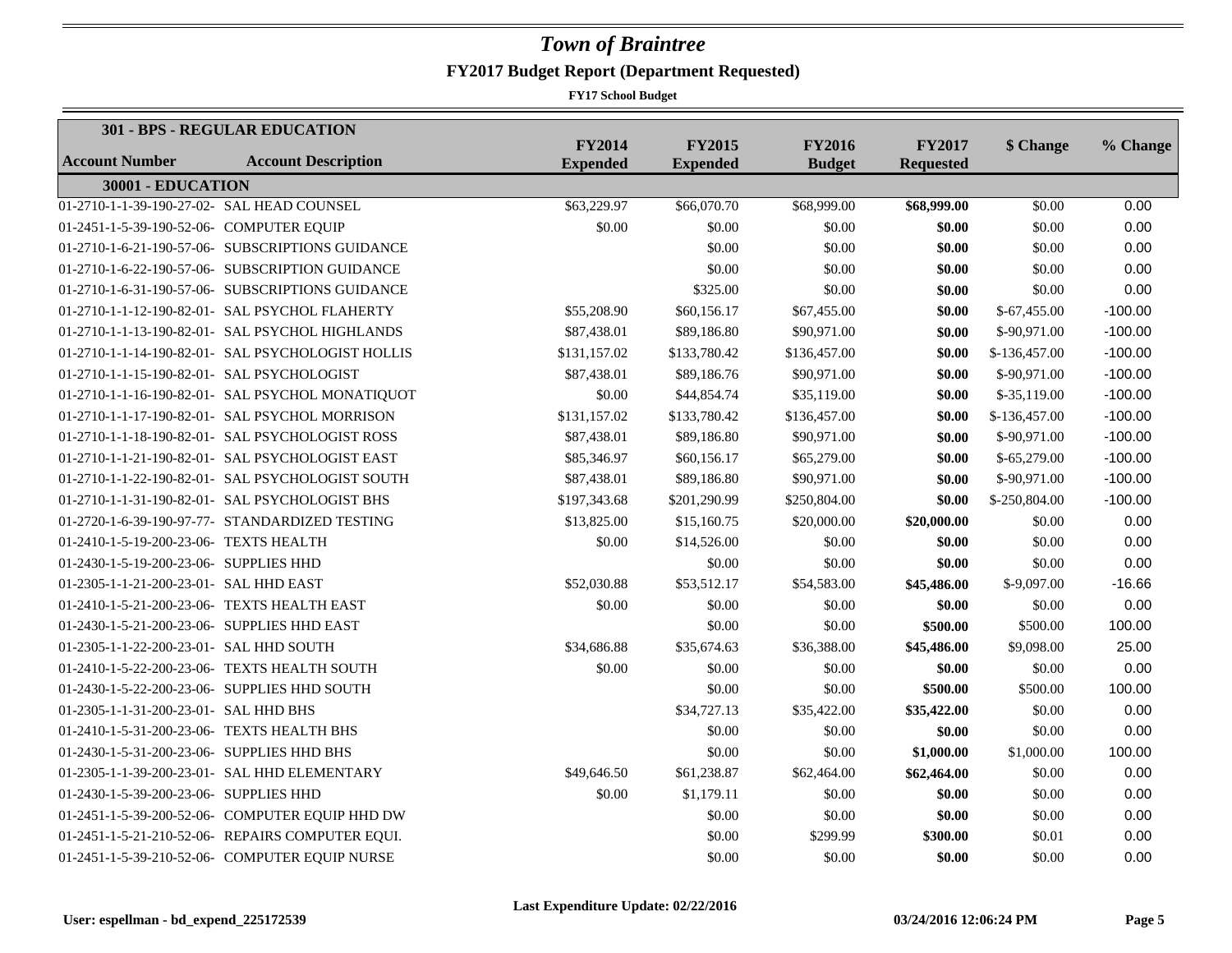|                                              | 301 - BPS - REGULAR EDUCATION                     |                                  |                                  |                                |                                   |               |           |
|----------------------------------------------|---------------------------------------------------|----------------------------------|----------------------------------|--------------------------------|-----------------------------------|---------------|-----------|
| <b>Account Number</b>                        | <b>Account Description</b>                        | <b>FY2014</b><br><b>Expended</b> | <b>FY2015</b><br><b>Expended</b> | <b>FY2016</b><br><b>Budget</b> | <b>FY2017</b><br><b>Requested</b> | \$ Change     | % Change  |
| 30001 - EDUCATION                            |                                                   |                                  |                                  |                                |                                   |               |           |
| 01-2710-1-1-39-190-27-02- SAL HEAD COUNSEL   |                                                   | \$63,229.97                      | \$66,070.70                      | \$68,999.00                    | \$68,999.00                       | \$0.00        | 0.00      |
| 01-2451-1-5-39-190-52-06- COMPUTER EQUIP     |                                                   | \$0.00                           | \$0.00                           | \$0.00                         | \$0.00                            | \$0.00        | 0.00      |
|                                              | 01-2710-1-6-21-190-57-06- SUBSCRIPTIONS GUIDANCE  |                                  | \$0.00                           | \$0.00                         | \$0.00                            | \$0.00        | 0.00      |
|                                              | 01-2710-1-6-22-190-57-06- SUBSCRIPTION GUIDANCE   |                                  | \$0.00                           | \$0.00                         | \$0.00                            | \$0.00        | 0.00      |
|                                              | 01-2710-1-6-31-190-57-06- SUBSCRIPTIONS GUIDANCE  |                                  | \$325.00                         | \$0.00                         | \$0.00                            | \$0.00        | 0.00      |
|                                              | 01-2710-1-1-12-190-82-01- SAL PSYCHOL FLAHERTY    | \$55,208.90                      | \$60,156.17                      | \$67,455.00                    | \$0.00                            | $$-67,455.00$ | $-100.00$ |
|                                              | 01-2710-1-1-13-190-82-01- SAL PSYCHOL HIGHLANDS   | \$87,438.01                      | \$89,186.80                      | \$90,971.00                    | \$0.00                            | \$-90,971.00  | $-100.00$ |
|                                              | 01-2710-1-1-14-190-82-01- SAL PSYCHOLOGIST HOLLIS | \$131,157.02                     | \$133,780.42                     | \$136,457.00                   | \$0.00                            | \$-136,457.00 | $-100.00$ |
| 01-2710-1-1-15-190-82-01- SAL PSYCHOLOGIST   |                                                   | \$87,438.01                      | \$89,186.76                      | \$90,971.00                    | \$0.00                            | \$-90,971.00  | $-100.00$ |
|                                              | 01-2710-1-1-16-190-82-01- SAL PSYCHOL MONATIQUOT  | \$0.00                           | \$44,854.74                      | \$35,119.00                    | \$0.00                            | $$-35,119.00$ | $-100.00$ |
|                                              | 01-2710-1-1-17-190-82-01- SAL PSYCHOL MORRISON    | \$131,157.02                     | \$133,780.42                     | \$136,457.00                   | \$0.00                            | \$-136,457.00 | $-100.00$ |
|                                              | 01-2710-1-1-18-190-82-01- SAL PSYCHOLOGIST ROSS   | \$87,438.01                      | \$89,186.80                      | \$90,971.00                    | \$0.00                            | \$-90,971.00  | $-100.00$ |
|                                              | 01-2710-1-1-21-190-82-01- SAL PSYCHOLOGIST EAST   | \$85,346.97                      | \$60,156.17                      | \$65,279.00                    | \$0.00                            | $$-65,279.00$ | $-100.00$ |
|                                              | 01-2710-1-1-22-190-82-01- SAL PSYCHOLOGIST SOUTH  | \$87,438.01                      | \$89,186.80                      | \$90,971.00                    | \$0.00                            | \$-90,971.00  | $-100.00$ |
|                                              | 01-2710-1-1-31-190-82-01- SAL PSYCHOLOGIST BHS    | \$197,343.68                     | \$201,290.99                     | \$250,804.00                   | \$0.00                            | \$-250,804.00 | $-100.00$ |
|                                              | 01-2720-1-6-39-190-97-77- STANDARDIZED TESTING    | \$13,825.00                      | \$15,160.75                      | \$20,000.00                    | \$20,000.00                       | \$0.00        | 0.00      |
| 01-2410-1-5-19-200-23-06- TEXTS HEALTH       |                                                   | \$0.00                           | \$14,526.00                      | \$0.00                         | \$0.00                            | \$0.00        | 0.00      |
| 01-2430-1-5-19-200-23-06- SUPPLIES HHD       |                                                   |                                  | \$0.00                           | \$0.00                         | \$0.00                            | \$0.00        | 0.00      |
| 01-2305-1-1-21-200-23-01- SAL HHD EAST       |                                                   | \$52,030.88                      | \$53,512.17                      | \$54,583.00                    | \$45,486.00                       | $$-9,097.00$  | $-16.66$  |
| 01-2410-1-5-21-200-23-06- TEXTS HEALTH EAST  |                                                   | \$0.00                           | \$0.00                           | \$0.00                         | \$0.00                            | \$0.00        | 0.00      |
| 01-2430-1-5-21-200-23-06- SUPPLIES HHD EAST  |                                                   |                                  | \$0.00                           | \$0.00                         | \$500.00                          | \$500.00      | 100.00    |
| 01-2305-1-1-22-200-23-01- SAL HHD SOUTH      |                                                   | \$34,686.88                      | \$35,674.63                      | \$36,388.00                    | \$45,486.00                       | \$9,098.00    | 25.00     |
|                                              | 01-2410-1-5-22-200-23-06- TEXTS HEALTH SOUTH      | \$0.00                           | \$0.00                           | \$0.00                         | \$0.00                            | \$0.00        | 0.00      |
| 01-2430-1-5-22-200-23-06- SUPPLIES HHD SOUTH |                                                   |                                  | \$0.00                           | \$0.00                         | \$500.00                          | \$500.00      | 100.00    |
| 01-2305-1-1-31-200-23-01- SAL HHD BHS        |                                                   |                                  | \$34,727.13                      | \$35,422.00                    | \$35,422.00                       | \$0.00        | 0.00      |
| 01-2410-1-5-31-200-23-06- TEXTS HEALTH BHS   |                                                   |                                  | \$0.00                           | \$0.00                         | \$0.00                            | \$0.00        | 0.00      |
| 01-2430-1-5-31-200-23-06- SUPPLIES HHD BHS   |                                                   |                                  | \$0.00                           | \$0.00                         | \$1,000.00                        | \$1,000.00    | 100.00    |
|                                              | 01-2305-1-1-39-200-23-01- SAL HHD ELEMENTARY      | \$49,646.50                      | \$61,238.87                      | \$62,464.00                    | \$62,464.00                       | \$0.00        | 0.00      |
| 01-2430-1-5-39-200-23-06- SUPPLIES HHD       |                                                   | \$0.00                           | \$1,179.11                       | \$0.00                         | \$0.00                            | \$0.00        | 0.00      |
|                                              | 01-2451-1-5-39-200-52-06- COMPUTER EQUIP HHD DW   |                                  | \$0.00                           | \$0.00                         | \$0.00                            | \$0.00        | 0.00      |
|                                              | 01-2451-1-5-21-210-52-06- REPAIRS COMPUTER EQUI.  |                                  | \$0.00                           | \$299.99                       | \$300.00                          | \$0.01        | 0.00      |
|                                              | 01-2451-1-5-39-210-52-06- COMPUTER EQUIP NURSE    |                                  | \$0.00                           | \$0.00                         | \$0.00                            | \$0.00        | 0.00      |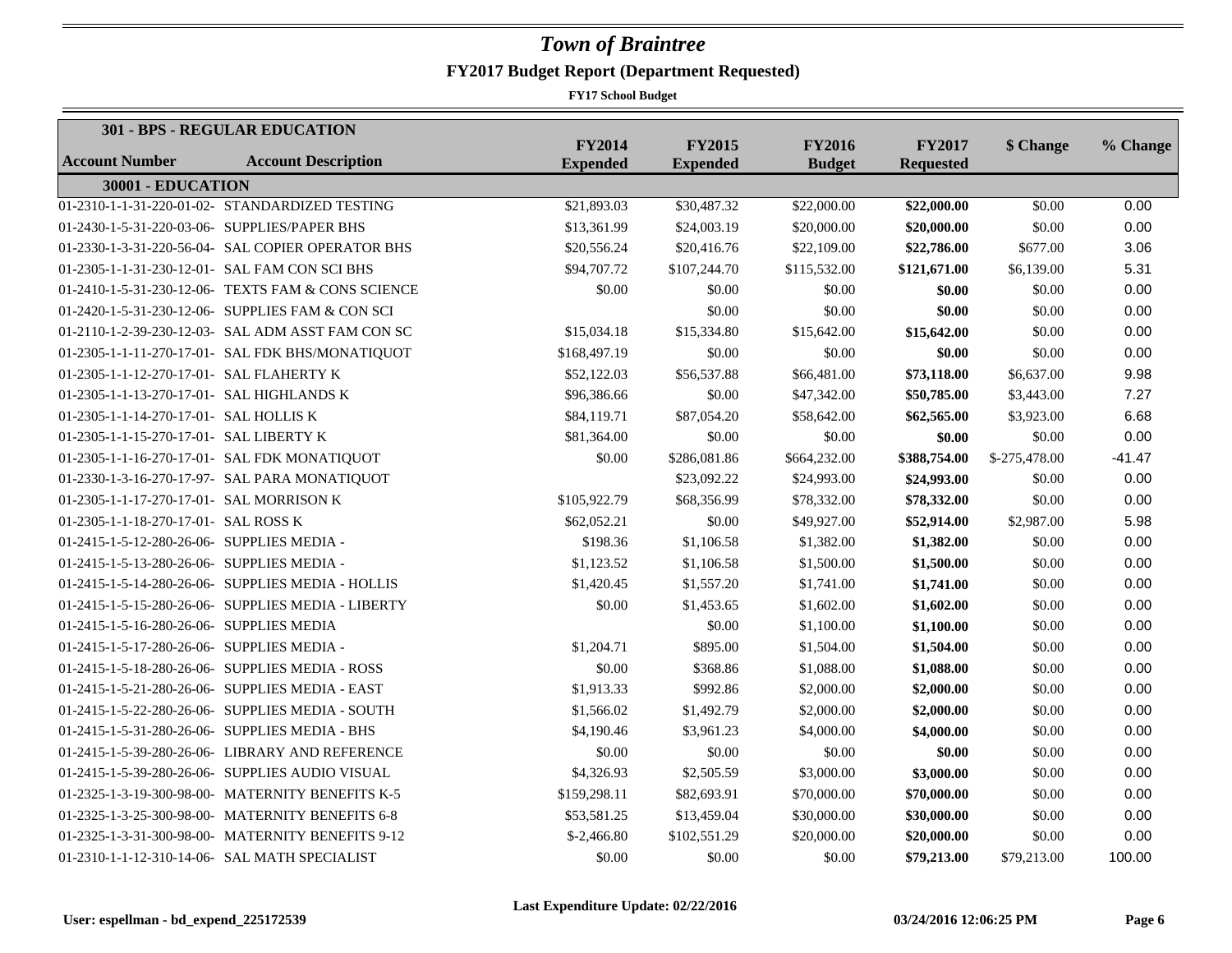|                                              | <b>301 - BPS - REGULAR EDUCATION</b>               |                                  |                                  |                                |                                   |               |          |
|----------------------------------------------|----------------------------------------------------|----------------------------------|----------------------------------|--------------------------------|-----------------------------------|---------------|----------|
| <b>Account Number</b>                        | <b>Account Description</b>                         | <b>FY2014</b><br><b>Expended</b> | <b>FY2015</b><br><b>Expended</b> | <b>FY2016</b><br><b>Budget</b> | <b>FY2017</b><br><b>Requested</b> | \$ Change     | % Change |
| 30001 - EDUCATION                            |                                                    |                                  |                                  |                                |                                   |               |          |
|                                              | 01-2310-1-1-31-220-01-02- STANDARDIZED TESTING     | \$21,893.03                      | \$30,487.32                      | \$22,000.00                    | $\overline{$22,000.00}$           | \$0.00        | 0.00     |
| 01-2430-1-5-31-220-03-06- SUPPLIES/PAPER BHS |                                                    | \$13,361.99                      | \$24,003.19                      | \$20,000.00                    | \$20,000.00                       | \$0.00        | 0.00     |
|                                              | 01-2330-1-3-31-220-56-04- SAL COPIER OPERATOR BHS  | \$20,556.24                      | \$20,416.76                      | \$22,109.00                    | \$22,786.00                       | \$677.00      | 3.06     |
|                                              | 01-2305-1-1-31-230-12-01- SAL FAM CON SCI BHS      | \$94,707.72                      | \$107,244.70                     | \$115,532.00                   | \$121,671.00                      | \$6,139.00    | 5.31     |
|                                              | 01-2410-1-5-31-230-12-06- TEXTS FAM & CONS SCIENCE | \$0.00                           | \$0.00                           | \$0.00                         | \$0.00                            | \$0.00        | 0.00     |
|                                              | 01-2420-1-5-31-230-12-06- SUPPLIES FAM & CON SCI   |                                  | \$0.00                           | \$0.00                         | \$0.00                            | \$0.00        | 0.00     |
|                                              | 01-2110-1-2-39-230-12-03- SAL ADM ASST FAM CON SC  | \$15,034.18                      | \$15,334.80                      | \$15,642.00                    | \$15,642.00                       | \$0.00        | 0.00     |
|                                              | 01-2305-1-1-11-270-17-01- SAL FDK BHS/MONATIQUOT   | \$168,497.19                     | \$0.00                           | \$0.00                         | \$0.00                            | \$0.00        | 0.00     |
| 01-2305-1-1-12-270-17-01- SAL FLAHERTY K     |                                                    | \$52,122.03                      | \$56,537.88                      | \$66,481.00                    | \$73,118.00                       | \$6,637.00    | 9.98     |
| 01-2305-1-1-13-270-17-01- SAL HIGHLANDS K    |                                                    | \$96,386.66                      | \$0.00                           | \$47,342.00                    | \$50,785.00                       | \$3,443.00    | 7.27     |
| 01-2305-1-1-14-270-17-01- SAL HOLLIS K       |                                                    | \$84,119.71                      | \$87,054.20                      | \$58,642.00                    | \$62,565.00                       | \$3,923.00    | 6.68     |
| 01-2305-1-1-15-270-17-01- SAL LIBERTY K      |                                                    | \$81,364.00                      | \$0.00                           | \$0.00                         | \$0.00                            | \$0.00        | 0.00     |
|                                              | 01-2305-1-1-16-270-17-01- SAL FDK MONATIQUOT       | \$0.00                           | \$286,081.86                     | \$664,232.00                   | \$388,754.00                      | \$-275,478.00 | $-41.47$ |
|                                              | 01-2330-1-3-16-270-17-97- SAL PARA MONATIQUOT      |                                  | \$23,092.22                      | \$24,993.00                    | \$24,993.00                       | \$0.00        | 0.00     |
| 01-2305-1-1-17-270-17-01- SAL MORRISON K     |                                                    | \$105,922.79                     | \$68,356.99                      | \$78,332.00                    | \$78,332.00                       | \$0.00        | 0.00     |
| 01-2305-1-1-18-270-17-01- SAL ROSS K         |                                                    | \$62,052.21                      | \$0.00                           | \$49,927.00                    | \$52,914.00                       | \$2,987.00    | 5.98     |
| 01-2415-1-5-12-280-26-06- SUPPLIES MEDIA -   |                                                    | \$198.36                         | \$1,106.58                       | \$1,382.00                     | \$1,382.00                        | \$0.00        | 0.00     |
| 01-2415-1-5-13-280-26-06- SUPPLIES MEDIA -   |                                                    | \$1,123.52                       | \$1,106.58                       | \$1,500.00                     | \$1,500.00                        | \$0.00        | 0.00     |
|                                              | 01-2415-1-5-14-280-26-06- SUPPLIES MEDIA - HOLLIS  | \$1,420.45                       | \$1,557.20                       | \$1,741.00                     | \$1,741.00                        | \$0.00        | 0.00     |
|                                              | 01-2415-1-5-15-280-26-06- SUPPLIES MEDIA - LIBERTY | \$0.00                           | \$1,453.65                       | \$1,602.00                     | \$1,602.00                        | \$0.00        | 0.00     |
| 01-2415-1-5-16-280-26-06- SUPPLIES MEDIA     |                                                    |                                  | \$0.00                           | \$1,100.00                     | \$1,100.00                        | \$0.00        | 0.00     |
| 01-2415-1-5-17-280-26-06- SUPPLIES MEDIA -   |                                                    | \$1,204.71                       | \$895.00                         | \$1,504.00                     | \$1,504.00                        | \$0.00        | 0.00     |
|                                              | 01-2415-1-5-18-280-26-06- SUPPLIES MEDIA - ROSS    | \$0.00                           | \$368.86                         | \$1,088.00                     | \$1,088.00                        | \$0.00        | 0.00     |
|                                              | 01-2415-1-5-21-280-26-06- SUPPLIES MEDIA - EAST    | \$1,913.33                       | \$992.86                         | \$2,000.00                     | \$2,000.00                        | \$0.00        | 0.00     |
|                                              | 01-2415-1-5-22-280-26-06- SUPPLIES MEDIA - SOUTH   | \$1,566.02                       | \$1,492.79                       | \$2,000.00                     | \$2,000.00                        | \$0.00        | 0.00     |
|                                              | 01-2415-1-5-31-280-26-06- SUPPLIES MEDIA - BHS     | \$4,190.46                       | \$3,961.23                       | \$4,000.00                     | \$4,000.00                        | \$0.00        | 0.00     |
|                                              | 01-2415-1-5-39-280-26-06- LIBRARY AND REFERENCE    | \$0.00                           | \$0.00                           | \$0.00                         | \$0.00                            | \$0.00        | 0.00     |
|                                              | 01-2415-1-5-39-280-26-06- SUPPLIES AUDIO VISUAL    | \$4,326.93                       | \$2,505.59                       | \$3,000.00                     | \$3,000.00                        | \$0.00        | 0.00     |
|                                              | 01-2325-1-3-19-300-98-00- MATERNITY BENEFITS K-5   | \$159,298.11                     | \$82,693.91                      | \$70,000.00                    | \$70,000.00                       | \$0.00        | 0.00     |
|                                              | 01-2325-1-3-25-300-98-00- MATERNITY BENEFITS 6-8   | \$53,581.25                      | \$13,459.04                      | \$30,000.00                    | \$30,000.00                       | \$0.00        | 0.00     |
|                                              | 01-2325-1-3-31-300-98-00- MATERNITY BENEFITS 9-12  | $$-2,466.80$                     | \$102,551.29                     | \$20,000.00                    | \$20,000.00                       | \$0.00        | 0.00     |
|                                              | 01-2310-1-1-12-310-14-06- SAL MATH SPECIALIST      | \$0.00                           | \$0.00                           | \$0.00                         | \$79,213.00                       | \$79,213.00   | 100.00   |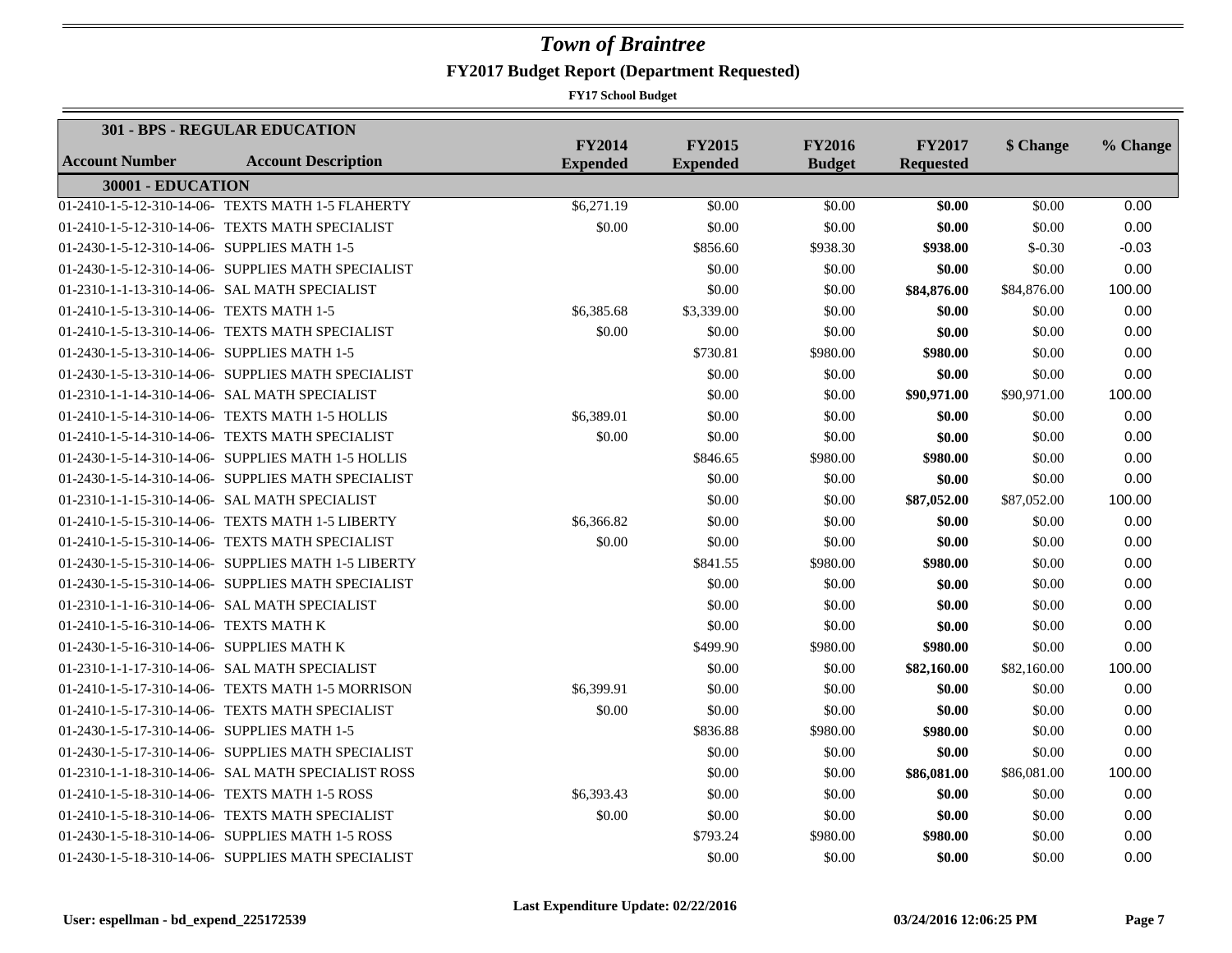|                                             | 301 - BPS - REGULAR EDUCATION                       |                                  |                                  |                                |                                   |             |          |
|---------------------------------------------|-----------------------------------------------------|----------------------------------|----------------------------------|--------------------------------|-----------------------------------|-------------|----------|
| <b>Account Number</b>                       | <b>Account Description</b>                          | <b>FY2014</b><br><b>Expended</b> | <b>FY2015</b><br><b>Expended</b> | <b>FY2016</b><br><b>Budget</b> | <b>FY2017</b><br><b>Requested</b> | \$ Change   | % Change |
| 30001 - EDUCATION                           |                                                     |                                  |                                  |                                |                                   |             |          |
|                                             | 01-2410-1-5-12-310-14-06- TEXTS MATH 1-5 FLAHERTY   | \$6,271.19                       | \$0.00                           | \$0.00                         | \$0.00                            | \$0.00      | 0.00     |
|                                             | 01-2410-1-5-12-310-14-06- TEXTS MATH SPECIALIST     | \$0.00                           | \$0.00                           | \$0.00                         | \$0.00                            | \$0.00      | 0.00     |
| 01-2430-1-5-12-310-14-06- SUPPLIES MATH 1-5 |                                                     |                                  | \$856.60                         | \$938.30                       | \$938.00                          | $$-0.30$    | $-0.03$  |
|                                             | 01-2430-1-5-12-310-14-06- SUPPLIES MATH SPECIALIST  |                                  | \$0.00                           | \$0.00                         | \$0.00                            | \$0.00      | 0.00     |
|                                             | 01-2310-1-1-13-310-14-06- SAL MATH SPECIALIST       |                                  | \$0.00                           | \$0.00                         | \$84,876.00                       | \$84,876.00 | 100.00   |
| 01-2410-1-5-13-310-14-06- TEXTS MATH 1-5    |                                                     | \$6,385.68                       | \$3,339.00                       | \$0.00                         | \$0.00                            | \$0.00      | 0.00     |
|                                             | 01-2410-1-5-13-310-14-06- TEXTS MATH SPECIALIST     | \$0.00                           | \$0.00                           | \$0.00                         | \$0.00                            | \$0.00      | 0.00     |
| 01-2430-1-5-13-310-14-06- SUPPLIES MATH 1-5 |                                                     |                                  | \$730.81                         | \$980.00                       | \$980.00                          | \$0.00      | 0.00     |
|                                             | 01-2430-1-5-13-310-14-06- SUPPLIES MATH SPECIALIST  |                                  | \$0.00                           | \$0.00                         | \$0.00                            | \$0.00      | 0.00     |
|                                             | 01-2310-1-1-14-310-14-06- SAL MATH SPECIALIST       |                                  | \$0.00                           | \$0.00                         | \$90,971.00                       | \$90,971.00 | 100.00   |
|                                             | 01-2410-1-5-14-310-14-06- TEXTS MATH 1-5 HOLLIS     | \$6,389.01                       | \$0.00                           | \$0.00                         | \$0.00                            | \$0.00      | 0.00     |
|                                             | 01-2410-1-5-14-310-14-06- TEXTS MATH SPECIALIST     | \$0.00                           | \$0.00                           | \$0.00                         | \$0.00                            | \$0.00      | 0.00     |
|                                             | 01-2430-1-5-14-310-14-06- SUPPLIES MATH 1-5 HOLLIS  |                                  | \$846.65                         | \$980.00                       | \$980.00                          | \$0.00      | 0.00     |
|                                             | 01-2430-1-5-14-310-14-06- SUPPLIES MATH SPECIALIST  |                                  | \$0.00                           | \$0.00                         | \$0.00                            | \$0.00      | 0.00     |
|                                             | 01-2310-1-1-15-310-14-06- SAL MATH SPECIALIST       |                                  | \$0.00                           | \$0.00                         | \$87,052.00                       | \$87,052.00 | 100.00   |
|                                             | 01-2410-1-5-15-310-14-06- TEXTS MATH 1-5 LIBERTY    | \$6,366.82                       | \$0.00                           | \$0.00                         | \$0.00                            | \$0.00      | 0.00     |
|                                             | 01-2410-1-5-15-310-14-06- TEXTS MATH SPECIALIST     | \$0.00                           | \$0.00                           | \$0.00                         | \$0.00                            | \$0.00      | 0.00     |
|                                             | 01-2430-1-5-15-310-14-06- SUPPLIES MATH 1-5 LIBERTY |                                  | \$841.55                         | \$980.00                       | \$980.00                          | \$0.00      | 0.00     |
|                                             | 01-2430-1-5-15-310-14-06- SUPPLIES MATH SPECIALIST  |                                  | \$0.00                           | \$0.00                         | \$0.00                            | \$0.00      | 0.00     |
|                                             | 01-2310-1-1-16-310-14-06- SAL MATH SPECIALIST       |                                  | \$0.00                           | \$0.00                         | \$0.00                            | \$0.00      | 0.00     |
| 01-2410-1-5-16-310-14-06- TEXTS MATH K      |                                                     |                                  | \$0.00                           | \$0.00                         | \$0.00                            | \$0.00      | 0.00     |
| 01-2430-1-5-16-310-14-06- SUPPLIES MATH K   |                                                     |                                  | \$499.90                         | \$980.00                       | \$980.00                          | \$0.00      | 0.00     |
|                                             | 01-2310-1-1-17-310-14-06- SAL MATH SPECIALIST       |                                  | \$0.00                           | \$0.00                         | \$82,160.00                       | \$82,160.00 | 100.00   |
|                                             | 01-2410-1-5-17-310-14-06- TEXTS MATH 1-5 MORRISON   | \$6,399.91                       | \$0.00                           | \$0.00                         | \$0.00                            | \$0.00      | 0.00     |
|                                             | 01-2410-1-5-17-310-14-06- TEXTS MATH SPECIALIST     | \$0.00                           | \$0.00                           | \$0.00                         | \$0.00                            | \$0.00      | 0.00     |
| 01-2430-1-5-17-310-14-06- SUPPLIES MATH 1-5 |                                                     |                                  | \$836.88                         | \$980.00                       | \$980.00                          | \$0.00      | 0.00     |
|                                             | 01-2430-1-5-17-310-14-06- SUPPLIES MATH SPECIALIST  |                                  | \$0.00                           | \$0.00                         | \$0.00                            | \$0.00      | 0.00     |
|                                             | 01-2310-1-1-18-310-14-06- SAL MATH SPECIALIST ROSS  |                                  | \$0.00                           | \$0.00                         | \$86,081.00                       | \$86,081.00 | 100.00   |
|                                             | 01-2410-1-5-18-310-14-06- TEXTS MATH 1-5 ROSS       | \$6,393.43                       | \$0.00                           | \$0.00                         | \$0.00                            | \$0.00      | 0.00     |
|                                             | 01-2410-1-5-18-310-14-06- TEXTS MATH SPECIALIST     | \$0.00                           | \$0.00                           | \$0.00                         | \$0.00                            | \$0.00      | 0.00     |
|                                             | 01-2430-1-5-18-310-14-06- SUPPLIES MATH 1-5 ROSS    |                                  | \$793.24                         | \$980.00                       | \$980.00                          | \$0.00      | 0.00     |
|                                             | 01-2430-1-5-18-310-14-06- SUPPLIES MATH SPECIALIST  |                                  | \$0.00                           | \$0.00                         | \$0.00                            | \$0.00      | 0.00     |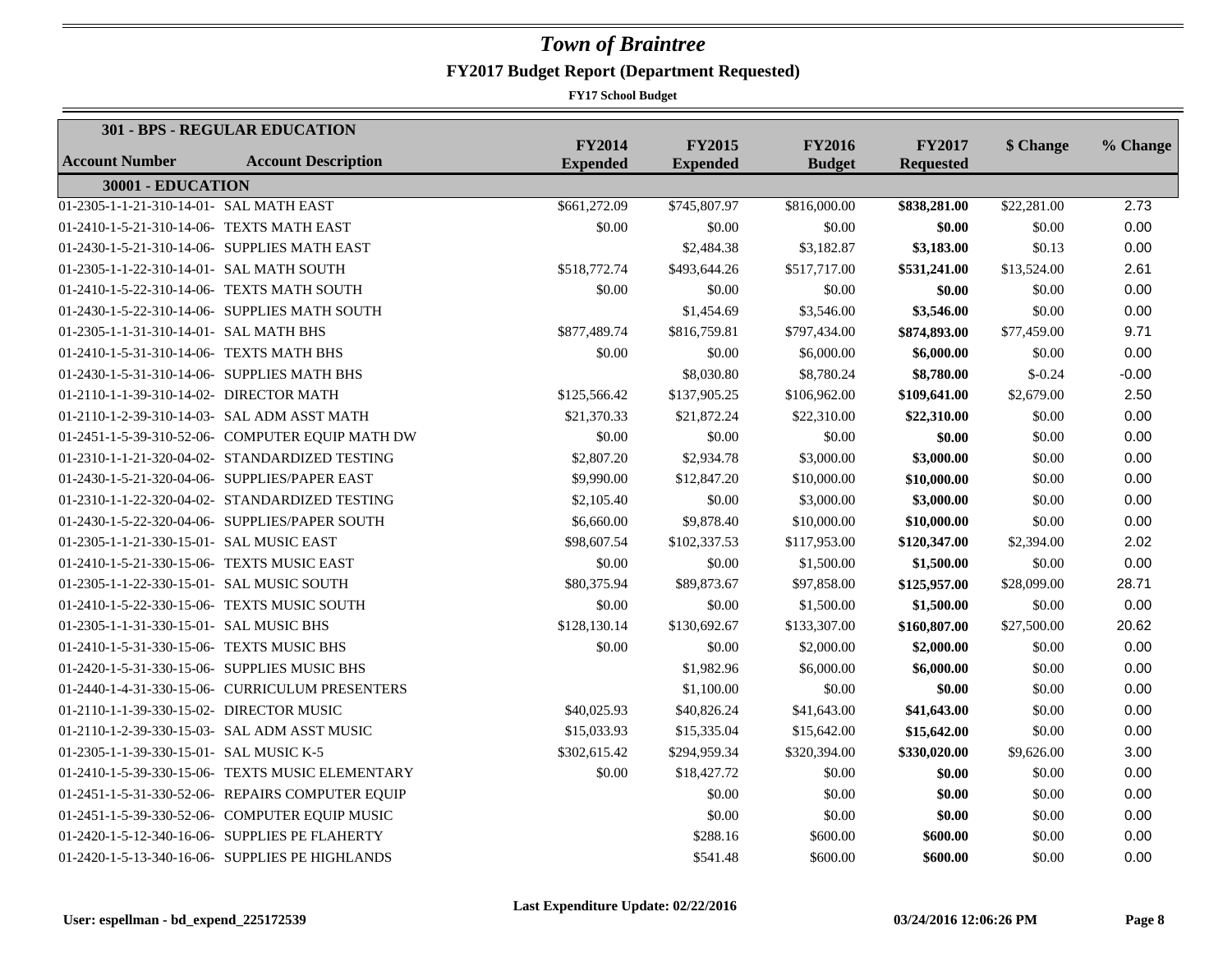|                                              | <b>301 - BPS - REGULAR EDUCATION</b>             |                                  |                                  |                                |                                   |             |          |
|----------------------------------------------|--------------------------------------------------|----------------------------------|----------------------------------|--------------------------------|-----------------------------------|-------------|----------|
| <b>Account Number</b>                        | <b>Account Description</b>                       | <b>FY2014</b><br><b>Expended</b> | <b>FY2015</b><br><b>Expended</b> | <b>FY2016</b><br><b>Budget</b> | <b>FY2017</b><br><b>Requested</b> | \$ Change   | % Change |
| 30001 - EDUCATION                            |                                                  |                                  |                                  |                                |                                   |             |          |
| 01-2305-1-1-21-310-14-01- SAL MATH EAST      |                                                  | \$661,272.09                     | \$745,807.97                     | \$816,000.00                   | \$838,281.00                      | \$22,281.00 | 2.73     |
| 01-2410-1-5-21-310-14-06- TEXTS MATH EAST    |                                                  | \$0.00                           | \$0.00                           | \$0.00                         | \$0.00                            | \$0.00      | 0.00     |
|                                              | 01-2430-1-5-21-310-14-06- SUPPLIES MATH EAST     |                                  | \$2,484.38                       | \$3,182.87                     | \$3,183.00                        | \$0.13      | 0.00     |
| 01-2305-1-1-22-310-14-01- SAL MATH SOUTH     |                                                  | \$518,772.74                     | \$493,644.26                     | \$517,717.00                   | \$531,241.00                      | \$13,524.00 | 2.61     |
| 01-2410-1-5-22-310-14-06- TEXTS MATH SOUTH   |                                                  | \$0.00                           | \$0.00                           | \$0.00                         | \$0.00                            | \$0.00      | 0.00     |
|                                              | 01-2430-1-5-22-310-14-06- SUPPLIES MATH SOUTH    |                                  | \$1,454.69                       | \$3,546.00                     | \$3,546.00                        | \$0.00      | 0.00     |
| 01-2305-1-1-31-310-14-01- SAL MATH BHS       |                                                  | \$877,489.74                     | \$816,759.81                     | \$797,434.00                   | \$874,893.00                      | \$77,459.00 | 9.71     |
| 01-2410-1-5-31-310-14-06- TEXTS MATH BHS     |                                                  | \$0.00                           | \$0.00                           | \$6,000.00                     | \$6,000.00                        | \$0.00      | 0.00     |
| 01-2430-1-5-31-310-14-06- SUPPLIES MATH BHS  |                                                  |                                  | \$8,030.80                       | \$8,780.24                     | \$8,780.00                        | $$-0.24$    | $-0.00$  |
| 01-2110-1-1-39-310-14-02- DIRECTOR MATH      |                                                  | \$125,566.42                     | \$137,905.25                     | \$106,962.00                   | \$109,641.00                      | \$2,679.00  | 2.50     |
|                                              | 01-2110-1-2-39-310-14-03- SAL ADM ASST MATH      | \$21,370.33                      | \$21,872.24                      | \$22,310.00                    | \$22,310.00                       | \$0.00      | 0.00     |
|                                              | 01-2451-1-5-39-310-52-06- COMPUTER EQUIP MATH DW | \$0.00                           | \$0.00                           | \$0.00                         | \$0.00                            | \$0.00      | 0.00     |
|                                              | 01-2310-1-1-21-320-04-02- STANDARDIZED TESTING   | \$2,807.20                       | \$2,934.78                       | \$3,000.00                     | \$3,000.00                        | \$0.00      | 0.00     |
|                                              | 01-2430-1-5-21-320-04-06- SUPPLIES/PAPER EAST    | \$9,990.00                       | \$12,847.20                      | \$10,000.00                    | \$10,000.00                       | \$0.00      | 0.00     |
|                                              | 01-2310-1-1-22-320-04-02- STANDARDIZED TESTING   | \$2,105.40                       | \$0.00                           | \$3,000.00                     | \$3,000.00                        | \$0.00      | 0.00     |
|                                              | 01-2430-1-5-22-320-04-06- SUPPLIES/PAPER SOUTH   | \$6,660.00                       | \$9,878.40                       | \$10,000.00                    | \$10,000.00                       | \$0.00      | 0.00     |
| 01-2305-1-1-21-330-15-01- SAL MUSIC EAST     |                                                  | \$98,607.54                      | \$102,337.53                     | \$117,953.00                   | \$120,347.00                      | \$2,394.00  | 2.02     |
| 01-2410-1-5-21-330-15-06- TEXTS MUSIC EAST   |                                                  | \$0.00                           | \$0.00                           | \$1,500.00                     | \$1,500.00                        | \$0.00      | 0.00     |
| 01-2305-1-1-22-330-15-01- SAL MUSIC SOUTH    |                                                  | \$80,375.94                      | \$89,873.67                      | \$97,858.00                    | \$125,957.00                      | \$28,099.00 | 28.71    |
| 01-2410-1-5-22-330-15-06- TEXTS MUSIC SOUTH  |                                                  | \$0.00                           | \$0.00                           | \$1,500.00                     | \$1,500.00                        | \$0.00      | 0.00     |
| 01-2305-1-1-31-330-15-01- SAL MUSIC BHS      |                                                  | \$128,130.14                     | \$130,692.67                     | \$133,307.00                   | \$160,807.00                      | \$27,500.00 | 20.62    |
| 01-2410-1-5-31-330-15-06- TEXTS MUSIC BHS    |                                                  | \$0.00                           | \$0.00                           | \$2,000.00                     | \$2,000.00                        | \$0.00      | 0.00     |
| 01-2420-1-5-31-330-15-06- SUPPLIES MUSIC BHS |                                                  |                                  | \$1,982.96                       | \$6,000.00                     | \$6,000.00                        | \$0.00      | 0.00     |
|                                              | 01-2440-1-4-31-330-15-06- CURRICULUM PRESENTERS  |                                  | \$1,100.00                       | \$0.00                         | \$0.00                            | \$0.00      | 0.00     |
| 01-2110-1-1-39-330-15-02- DIRECTOR MUSIC     |                                                  | \$40,025.93                      | \$40,826.24                      | \$41,643.00                    | \$41,643.00                       | \$0.00      | 0.00     |
|                                              | 01-2110-1-2-39-330-15-03- SAL ADM ASST MUSIC     | \$15,033.93                      | \$15,335.04                      | \$15,642.00                    | \$15,642.00                       | \$0.00      | 0.00     |
| 01-2305-1-1-39-330-15-01- SAL MUSIC K-5      |                                                  | \$302,615.42                     | \$294,959.34                     | \$320,394.00                   | \$330,020.00                      | \$9,626.00  | 3.00     |
|                                              | 01-2410-1-5-39-330-15-06- TEXTS MUSIC ELEMENTARY | \$0.00                           | \$18,427.72                      | \$0.00                         | \$0.00                            | \$0.00      | 0.00     |
|                                              | 01-2451-1-5-31-330-52-06- REPAIRS COMPUTER EQUIP |                                  | \$0.00                           | \$0.00                         | \$0.00                            | \$0.00      | 0.00     |
|                                              | 01-2451-1-5-39-330-52-06- COMPUTER EQUIP MUSIC   |                                  | \$0.00                           | \$0.00                         | \$0.00                            | \$0.00      | 0.00     |
|                                              | 01-2420-1-5-12-340-16-06- SUPPLIES PE FLAHERTY   |                                  | \$288.16                         | \$600.00                       | \$600.00                          | \$0.00      | 0.00     |
|                                              | 01-2420-1-5-13-340-16-06- SUPPLIES PE HIGHLANDS  |                                  | \$541.48                         | \$600.00                       | \$600.00                          | \$0.00      | 0.00     |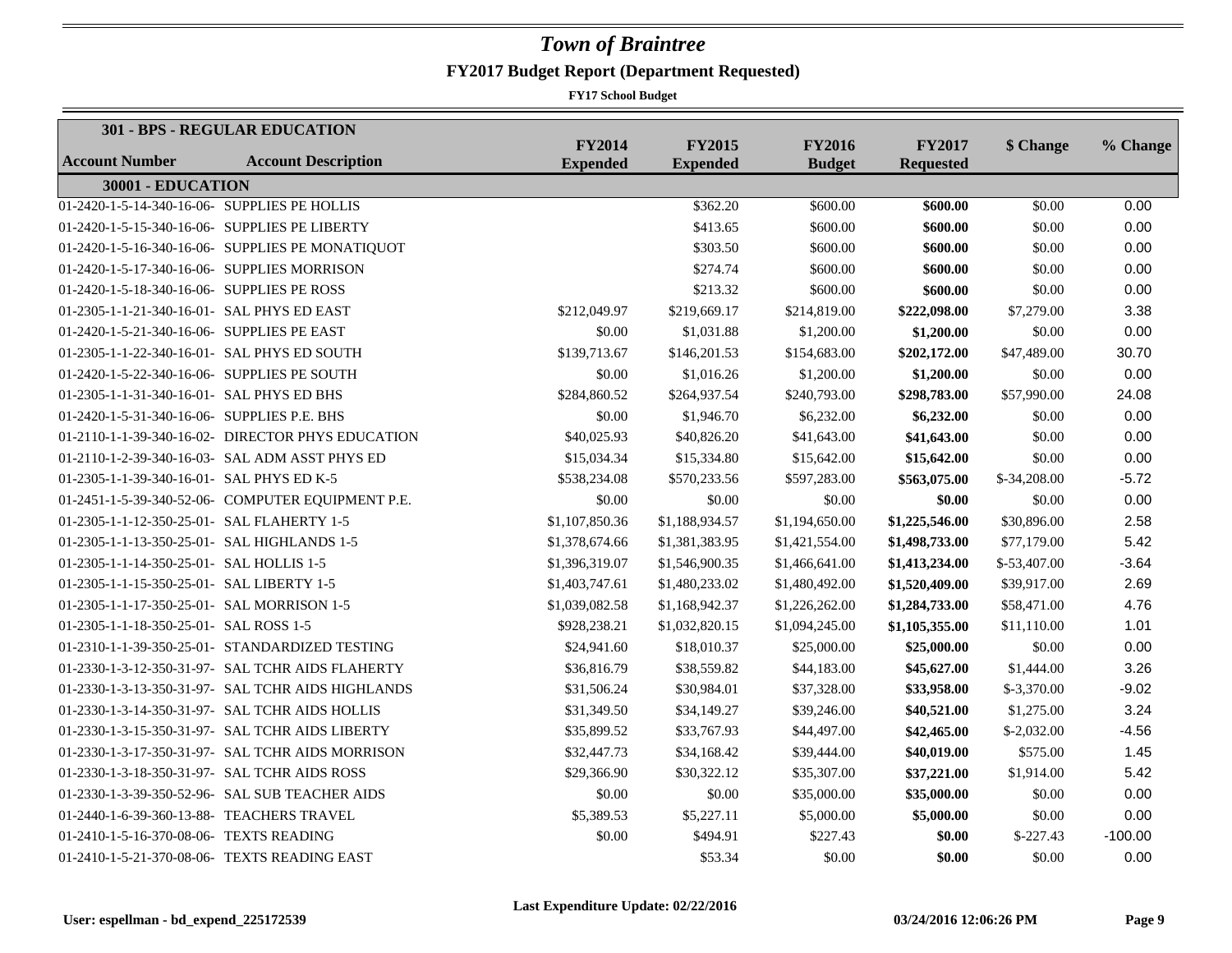|                                               | <b>301 - BPS - REGULAR EDUCATION</b>              |                                  |                                  |                                |                                   |              |           |
|-----------------------------------------------|---------------------------------------------------|----------------------------------|----------------------------------|--------------------------------|-----------------------------------|--------------|-----------|
| <b>Account Number</b>                         | <b>Account Description</b>                        | <b>FY2014</b><br><b>Expended</b> | <b>FY2015</b><br><b>Expended</b> | <b>FY2016</b><br><b>Budget</b> | <b>FY2017</b><br><b>Requested</b> | \$ Change    | % Change  |
| 30001 - EDUCATION                             |                                                   |                                  |                                  |                                |                                   |              |           |
| 01-2420-1-5-14-340-16-06- SUPPLIES PE HOLLIS  |                                                   |                                  | \$362.20                         | \$600.00                       | \$600.00                          | \$0.00       | 0.00      |
| 01-2420-1-5-15-340-16-06- SUPPLIES PE LIBERTY |                                                   |                                  | \$413.65                         | \$600.00                       | \$600.00                          | \$0.00       | 0.00      |
|                                               | 01-2420-1-5-16-340-16-06- SUPPLIES PE MONATIQUOT  |                                  | \$303.50                         | \$600.00                       | \$600.00                          | \$0.00       | 0.00      |
| 01-2420-1-5-17-340-16-06- SUPPLIES MORRISON   |                                                   |                                  | \$274.74                         | \$600.00                       | \$600.00                          | \$0.00       | 0.00      |
| 01-2420-1-5-18-340-16-06- SUPPLIES PE ROSS    |                                                   |                                  | \$213.32                         | \$600.00                       | \$600.00                          | \$0.00       | 0.00      |
| 01-2305-1-1-21-340-16-01- SAL PHYS ED EAST    |                                                   | \$212,049.97                     | \$219,669.17                     | \$214,819.00                   | \$222,098.00                      | \$7,279.00   | 3.38      |
| 01-2420-1-5-21-340-16-06- SUPPLIES PE EAST    |                                                   | \$0.00                           | \$1,031.88                       | \$1,200.00                     | \$1,200.00                        | \$0.00       | 0.00      |
| 01-2305-1-1-22-340-16-01- SAL PHYS ED SOUTH   |                                                   | \$139,713.67                     | \$146,201.53                     | \$154,683.00                   | \$202,172.00                      | \$47,489.00  | 30.70     |
| 01-2420-1-5-22-340-16-06- SUPPLIES PE SOUTH   |                                                   | \$0.00                           | \$1,016.26                       | \$1,200.00                     | \$1,200.00                        | \$0.00       | 0.00      |
| 01-2305-1-1-31-340-16-01- SAL PHYS ED BHS     |                                                   | \$284,860.52                     | \$264,937.54                     | \$240,793.00                   | \$298,783.00                      | \$57,990.00  | 24.08     |
| 01-2420-1-5-31-340-16-06- SUPPLIES P.E. BHS   |                                                   | \$0.00                           | \$1,946.70                       | \$6,232.00                     | \$6,232.00                        | \$0.00       | 0.00      |
|                                               | 01-2110-1-1-39-340-16-02- DIRECTOR PHYS EDUCATION | \$40,025.93                      | \$40,826.20                      | \$41,643.00                    | \$41,643.00                       | \$0.00       | 0.00      |
|                                               | 01-2110-1-2-39-340-16-03- SAL ADM ASST PHYS ED    | \$15,034.34                      | \$15,334.80                      | \$15,642.00                    | \$15,642.00                       | \$0.00       | 0.00      |
| 01-2305-1-1-39-340-16-01- SAL PHYS ED K-5     |                                                   | \$538,234.08                     | \$570,233.56                     | \$597,283.00                   | \$563,075.00                      | \$-34,208.00 | $-5.72$   |
|                                               | 01-2451-1-5-39-340-52-06- COMPUTER EQUIPMENT P.E. | \$0.00                           | \$0.00                           | \$0.00                         | \$0.00                            | \$0.00       | 0.00      |
| 01-2305-1-1-12-350-25-01- SAL FLAHERTY 1-5    |                                                   | \$1,107,850.36                   | \$1,188,934.57                   | \$1,194,650.00                 | \$1,225,546.00                    | \$30,896.00  | 2.58      |
| 01-2305-1-1-13-350-25-01- SAL HIGHLANDS 1-5   |                                                   | \$1,378,674.66                   | \$1,381,383.95                   | \$1,421,554.00                 | \$1,498,733.00                    | \$77,179.00  | 5.42      |
| 01-2305-1-1-14-350-25-01- SAL HOLLIS 1-5      |                                                   | \$1,396,319.07                   | \$1,546,900.35                   | \$1,466,641.00                 | \$1,413,234.00                    | \$-53,407.00 | $-3.64$   |
| 01-2305-1-1-15-350-25-01- SAL LIBERTY 1-5     |                                                   | \$1,403,747.61                   | \$1,480,233.02                   | \$1,480,492.00                 | \$1,520,409.00                    | \$39,917.00  | 2.69      |
| 01-2305-1-1-17-350-25-01- SAL MORRISON 1-5    |                                                   | \$1,039,082.58                   | \$1,168,942.37                   | \$1,226,262.00                 | \$1,284,733.00                    | \$58,471.00  | 4.76      |
| 01-2305-1-1-18-350-25-01- SAL ROSS 1-5        |                                                   | \$928,238.21                     | \$1,032,820.15                   | \$1,094,245.00                 | \$1,105,355.00                    | \$11,110.00  | 1.01      |
|                                               | 01-2310-1-1-39-350-25-01- STANDARDIZED TESTING    | \$24,941.60                      | \$18,010.37                      | \$25,000.00                    | \$25,000.00                       | \$0.00       | 0.00      |
|                                               | 01-2330-1-3-12-350-31-97- SAL TCHR AIDS FLAHERTY  | \$36,816.79                      | \$38,559.82                      | \$44,183.00                    | \$45,627.00                       | \$1,444.00   | 3.26      |
|                                               | 01-2330-1-3-13-350-31-97- SAL TCHR AIDS HIGHLANDS | \$31,506.24                      | \$30,984.01                      | \$37,328.00                    | \$33,958.00                       | $$-3,370.00$ | $-9.02$   |
|                                               | 01-2330-1-3-14-350-31-97- SAL TCHR AIDS HOLLIS    | \$31,349.50                      | \$34,149.27                      | \$39,246.00                    | \$40,521.00                       | \$1,275.00   | 3.24      |
|                                               | 01-2330-1-3-15-350-31-97- SAL TCHR AIDS LIBERTY   | \$35,899.52                      | \$33,767.93                      | \$44,497.00                    | \$42,465.00                       | $$-2,032.00$ | $-4.56$   |
|                                               | 01-2330-1-3-17-350-31-97- SAL TCHR AIDS MORRISON  | \$32,447.73                      | \$34,168.42                      | \$39,444.00                    | \$40,019.00                       | \$575.00     | 1.45      |
| 01-2330-1-3-18-350-31-97- SAL TCHR AIDS ROSS  |                                                   | \$29,366.90                      | \$30,322.12                      | \$35,307.00                    | \$37,221.00                       | \$1,914.00   | 5.42      |
|                                               | 01-2330-1-3-39-350-52-96- SAL SUB TEACHER AIDS    | \$0.00                           | \$0.00                           | \$35,000.00                    | \$35,000.00                       | \$0.00       | 0.00      |
| 01-2440-1-6-39-360-13-88- TEACHERS TRAVEL     |                                                   | \$5,389.53                       | \$5,227.11                       | \$5,000.00                     | \$5,000.00                        | \$0.00       | 0.00      |
| 01-2410-1-5-16-370-08-06- TEXTS READING       |                                                   | \$0.00                           | \$494.91                         | \$227.43                       | \$0.00                            | $$-227.43$   | $-100.00$ |
|                                               | 01-2410-1-5-21-370-08-06- TEXTS READING EAST      |                                  | \$53.34                          | \$0.00                         | \$0.00                            | \$0.00       | 0.00      |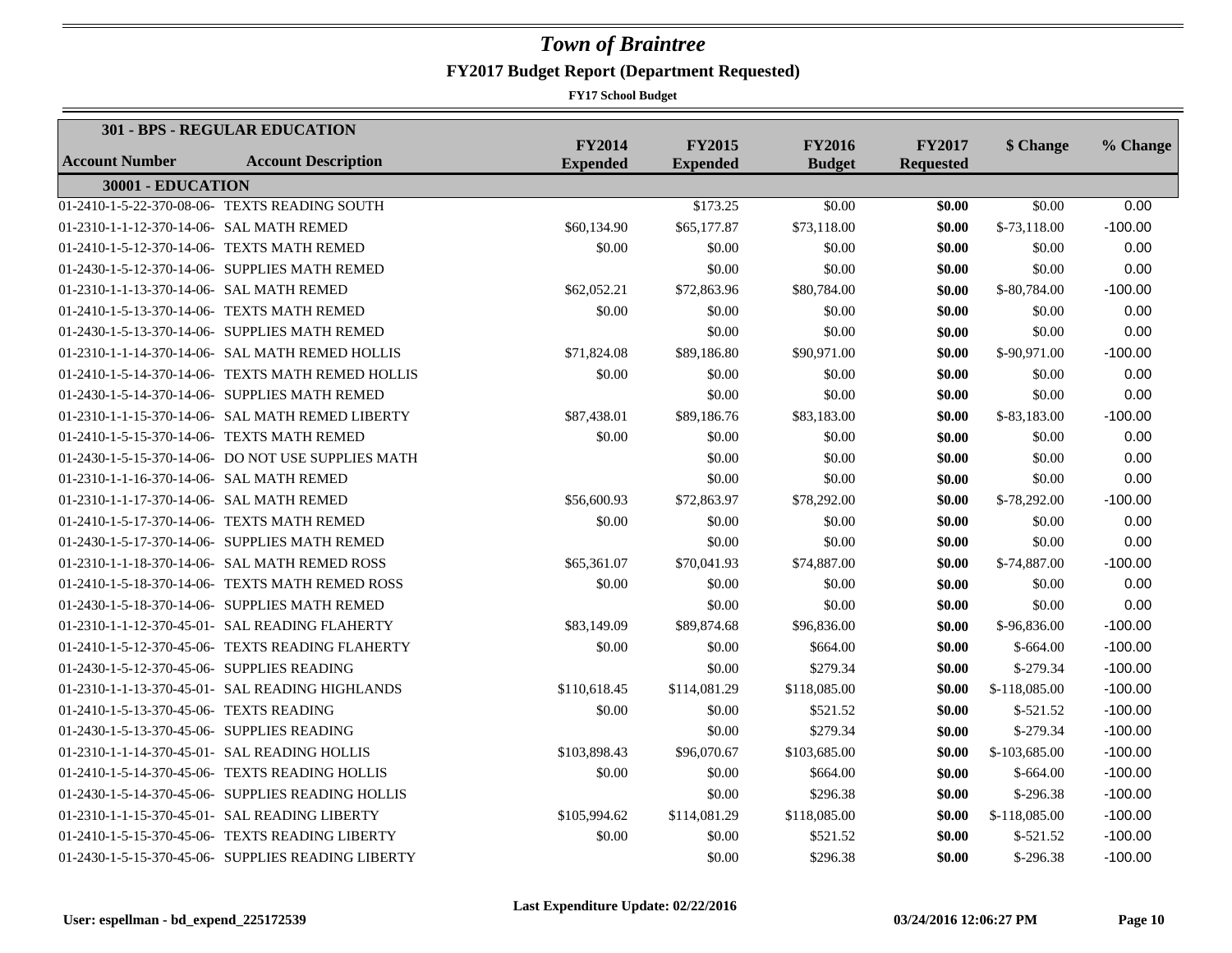|                                            | 301 - BPS - REGULAR EDUCATION                      |                                  |                                  |                                |                                   |               |           |
|--------------------------------------------|----------------------------------------------------|----------------------------------|----------------------------------|--------------------------------|-----------------------------------|---------------|-----------|
| <b>Account Number</b>                      | <b>Account Description</b>                         | <b>FY2014</b><br><b>Expended</b> | <b>FY2015</b><br><b>Expended</b> | <b>FY2016</b><br><b>Budget</b> | <b>FY2017</b><br><b>Requested</b> | \$ Change     | % Change  |
| 30001 - EDUCATION                          |                                                    |                                  |                                  |                                |                                   |               |           |
|                                            | 01-2410-1-5-22-370-08-06- TEXTS READING SOUTH      |                                  | \$173.25                         | \$0.00                         | \$0.00                            | \$0.00        | 0.00      |
| 01-2310-1-1-12-370-14-06- SAL MATH REMED   |                                                    | \$60,134.90                      | \$65,177.87                      | \$73,118.00                    | \$0.00                            | $$-73.118.00$ | $-100.00$ |
| 01-2410-1-5-12-370-14-06- TEXTS MATH REMED |                                                    | \$0.00                           | \$0.00                           | \$0.00                         | \$0.00                            | \$0.00        | 0.00      |
|                                            | 01-2430-1-5-12-370-14-06- SUPPLIES MATH REMED      |                                  | \$0.00                           | \$0.00                         | \$0.00                            | \$0.00        | 0.00      |
| 01-2310-1-1-13-370-14-06- SAL MATH REMED   |                                                    | \$62,052.21                      | \$72,863.96                      | \$80,784.00                    | \$0.00                            | \$-80,784.00  | $-100.00$ |
| 01-2410-1-5-13-370-14-06- TEXTS MATH REMED |                                                    | \$0.00                           | \$0.00                           | \$0.00                         | \$0.00                            | \$0.00        | 0.00      |
|                                            | 01-2430-1-5-13-370-14-06- SUPPLIES MATH REMED      |                                  | \$0.00                           | \$0.00                         | \$0.00                            | \$0.00        | 0.00      |
|                                            | 01-2310-1-1-14-370-14-06- SAL MATH REMED HOLLIS    | \$71,824.08                      | \$89,186.80                      | \$90,971.00                    | \$0.00                            | \$-90,971.00  | $-100.00$ |
|                                            | 01-2410-1-5-14-370-14-06- TEXTS MATH REMED HOLLIS  | \$0.00                           | \$0.00                           | \$0.00                         | \$0.00                            | \$0.00        | 0.00      |
|                                            | 01-2430-1-5-14-370-14-06- SUPPLIES MATH REMED      |                                  | \$0.00                           | \$0.00                         | \$0.00                            | \$0.00        | 0.00      |
|                                            | 01-2310-1-1-15-370-14-06- SAL MATH REMED LIBERTY   | \$87,438.01                      | \$89,186.76                      | \$83,183.00                    | \$0.00                            | \$-83,183.00  | $-100.00$ |
| 01-2410-1-5-15-370-14-06- TEXTS MATH REMED |                                                    | \$0.00                           | \$0.00                           | \$0.00                         | \$0.00                            | \$0.00        | 0.00      |
|                                            | 01-2430-1-5-15-370-14-06- DO NOT USE SUPPLIES MATH |                                  | \$0.00                           | \$0.00                         | \$0.00                            | \$0.00        | 0.00      |
| 01-2310-1-1-16-370-14-06- SAL MATH REMED   |                                                    |                                  | \$0.00                           | \$0.00                         | \$0.00                            | \$0.00        | 0.00      |
| 01-2310-1-1-17-370-14-06- SAL MATH REMED   |                                                    | \$56,600.93                      | \$72,863.97                      | \$78,292.00                    | \$0.00                            | \$-78,292.00  | $-100.00$ |
| 01-2410-1-5-17-370-14-06- TEXTS MATH REMED |                                                    | \$0.00                           | \$0.00                           | \$0.00                         | \$0.00                            | \$0.00        | 0.00      |
|                                            | 01-2430-1-5-17-370-14-06- SUPPLIES MATH REMED      |                                  | \$0.00                           | \$0.00                         | \$0.00                            | \$0.00        | 0.00      |
|                                            | 01-2310-1-1-18-370-14-06- SAL MATH REMED ROSS      | \$65,361.07                      | \$70,041.93                      | \$74,887.00                    | \$0.00                            | \$-74,887.00  | $-100.00$ |
|                                            | 01-2410-1-5-18-370-14-06- TEXTS MATH REMED ROSS    | \$0.00                           | \$0.00                           | \$0.00                         | \$0.00                            | \$0.00        | 0.00      |
|                                            | 01-2430-1-5-18-370-14-06- SUPPLIES MATH REMED      |                                  | \$0.00                           | \$0.00                         | \$0.00                            | \$0.00        | 0.00      |
|                                            | 01-2310-1-1-12-370-45-01- SAL READING FLAHERTY     | \$83,149.09                      | \$89,874.68                      | \$96,836.00                    | \$0.00                            | \$-96,836.00  | $-100.00$ |
|                                            | 01-2410-1-5-12-370-45-06- TEXTS READING FLAHERTY   | \$0.00                           | \$0.00                           | \$664.00                       | \$0.00                            | $$-664.00$    | $-100.00$ |
| 01-2430-1-5-12-370-45-06- SUPPLIES READING |                                                    |                                  | \$0.00                           | \$279.34                       | \$0.00                            | $$-279.34$    | $-100.00$ |
|                                            | 01-2310-1-1-13-370-45-01- SAL READING HIGHLANDS    | \$110,618.45                     | \$114,081.29                     | \$118,085.00                   | \$0.00                            | \$-118,085.00 | $-100.00$ |
| 01-2410-1-5-13-370-45-06- TEXTS READING    |                                                    | \$0.00                           | \$0.00                           | \$521.52                       | \$0.00                            | $$-521.52$    | $-100.00$ |
| 01-2430-1-5-13-370-45-06- SUPPLIES READING |                                                    |                                  | \$0.00                           | \$279.34                       | \$0.00                            | $$-279.34$    | $-100.00$ |
|                                            | 01-2310-1-1-14-370-45-01- SAL READING HOLLIS       | \$103,898.43                     | \$96,070.67                      | \$103,685.00                   | \$0.00                            | \$-103,685.00 | $-100.00$ |
|                                            | 01-2410-1-5-14-370-45-06- TEXTS READING HOLLIS     | \$0.00                           | \$0.00                           | \$664.00                       | \$0.00                            | $$-664.00$    | $-100.00$ |
|                                            | 01-2430-1-5-14-370-45-06- SUPPLIES READING HOLLIS  |                                  | \$0.00                           | \$296.38                       | \$0.00                            | $$-296.38$    | $-100.00$ |
|                                            | 01-2310-1-1-15-370-45-01- SAL READING LIBERTY      | \$105,994.62                     | \$114,081.29                     | \$118,085.00                   | \$0.00                            | \$-118,085.00 | $-100.00$ |
|                                            | 01-2410-1-5-15-370-45-06- TEXTS READING LIBERTY    | \$0.00                           | \$0.00                           | \$521.52                       | \$0.00                            | $$-521.52$    | $-100.00$ |
|                                            | 01-2430-1-5-15-370-45-06- SUPPLIES READING LIBERTY |                                  | \$0.00                           | \$296.38                       | \$0.00                            | $$-296.38$    | $-100.00$ |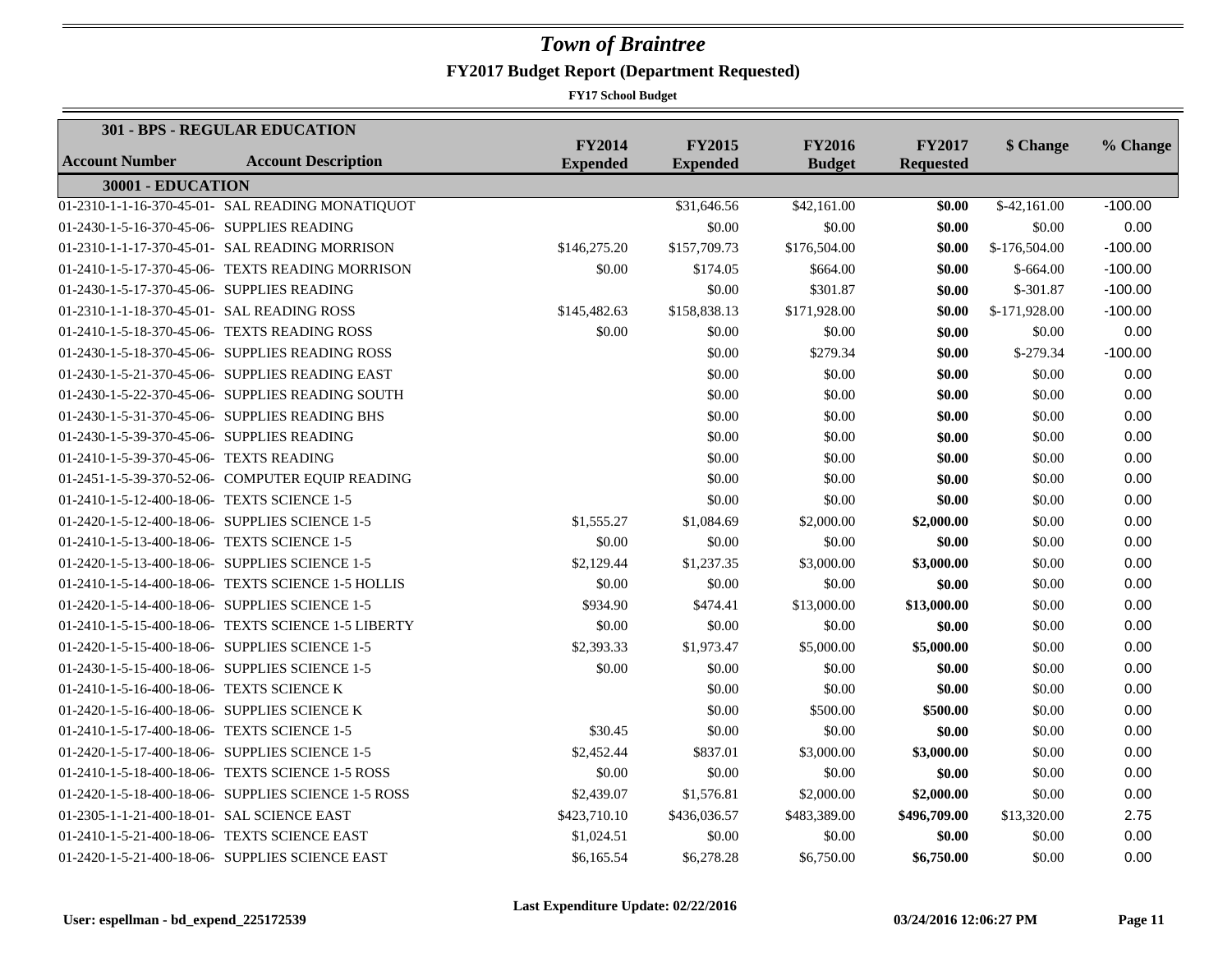|                                              | <b>301 - BPS - REGULAR EDUCATION</b>                |                                  |                                  |                                |                                   |                           |           |
|----------------------------------------------|-----------------------------------------------------|----------------------------------|----------------------------------|--------------------------------|-----------------------------------|---------------------------|-----------|
| <b>Account Number</b>                        | <b>Account Description</b>                          | <b>FY2014</b><br><b>Expended</b> | <b>FY2015</b><br><b>Expended</b> | <b>FY2016</b><br><b>Budget</b> | <b>FY2017</b><br><b>Requested</b> | \$ Change                 | % Change  |
| 30001 - EDUCATION                            |                                                     |                                  |                                  |                                |                                   |                           |           |
|                                              | 01-2310-1-1-16-370-45-01- SAL READING MONATIQUOT    |                                  | \$31,646.56                      | \$42,161.00                    | \$0.00                            | $\overline{$}$ -42,161.00 | $-100.00$ |
| 01-2430-1-5-16-370-45-06- SUPPLIES READING   |                                                     |                                  | \$0.00                           | \$0.00                         | \$0.00                            | \$0.00                    | 0.00      |
|                                              | 01-2310-1-1-17-370-45-01- SAL READING MORRISON      | \$146,275.20                     | \$157,709.73                     | \$176,504.00                   | \$0.00                            | \$-176,504.00             | $-100.00$ |
|                                              | 01-2410-1-5-17-370-45-06- TEXTS READING MORRISON    | \$0.00                           | \$174.05                         | \$664.00                       | \$0.00                            | $$-664.00$                | $-100.00$ |
| 01-2430-1-5-17-370-45-06- SUPPLIES READING   |                                                     |                                  | \$0.00                           | \$301.87                       | \$0.00                            | $$-301.87$                | $-100.00$ |
| 01-2310-1-1-18-370-45-01- SAL READING ROSS   |                                                     | \$145,482.63                     | \$158,838.13                     | \$171,928.00                   | \$0.00                            | \$-171,928.00             | $-100.00$ |
|                                              | 01-2410-1-5-18-370-45-06- TEXTS READING ROSS        | \$0.00                           | \$0.00                           | \$0.00                         | \$0.00                            | \$0.00                    | 0.00      |
|                                              | 01-2430-1-5-18-370-45-06- SUPPLIES READING ROSS     |                                  | \$0.00                           | \$279.34                       | \$0.00                            | $$-279.34$                | $-100.00$ |
|                                              | 01-2430-1-5-21-370-45-06- SUPPLIES READING EAST     |                                  | \$0.00                           | \$0.00                         | \$0.00                            | \$0.00                    | 0.00      |
|                                              | 01-2430-1-5-22-370-45-06- SUPPLIES READING SOUTH    |                                  | \$0.00                           | \$0.00                         | \$0.00                            | \$0.00                    | 0.00      |
|                                              | 01-2430-1-5-31-370-45-06- SUPPLIES READING BHS      |                                  | \$0.00                           | \$0.00                         | \$0.00                            | \$0.00                    | 0.00      |
| 01-2430-1-5-39-370-45-06- SUPPLIES READING   |                                                     |                                  | \$0.00                           | \$0.00                         | \$0.00                            | \$0.00                    | 0.00      |
| 01-2410-1-5-39-370-45-06- TEXTS READING      |                                                     |                                  | \$0.00                           | \$0.00                         | \$0.00                            | \$0.00                    | 0.00      |
|                                              | 01-2451-1-5-39-370-52-06- COMPUTER EQUIP READING    |                                  | \$0.00                           | \$0.00                         | \$0.00                            | \$0.00                    | 0.00      |
| 01-2410-1-5-12-400-18-06- TEXTS SCIENCE 1-5  |                                                     |                                  | \$0.00                           | \$0.00                         | \$0.00                            | \$0.00                    | 0.00      |
|                                              | 01-2420-1-5-12-400-18-06- SUPPLIES SCIENCE 1-5      | \$1,555.27                       | \$1,084.69                       | \$2,000.00                     | \$2,000.00                        | \$0.00                    | 0.00      |
| 01-2410-1-5-13-400-18-06- TEXTS SCIENCE 1-5  |                                                     | \$0.00                           | \$0.00                           | \$0.00                         | \$0.00                            | \$0.00                    | 0.00      |
|                                              | 01-2420-1-5-13-400-18-06- SUPPLIES SCIENCE 1-5      | \$2,129.44                       | \$1,237.35                       | \$3,000.00                     | \$3,000.00                        | \$0.00                    | 0.00      |
|                                              | 01-2410-1-5-14-400-18-06- TEXTS SCIENCE 1-5 HOLLIS  | \$0.00                           | \$0.00                           | \$0.00                         | \$0.00                            | \$0.00                    | 0.00      |
|                                              | 01-2420-1-5-14-400-18-06- SUPPLIES SCIENCE 1-5      | \$934.90                         | \$474.41                         | \$13,000.00                    | \$13,000.00                       | \$0.00                    | 0.00      |
|                                              | 01-2410-1-5-15-400-18-06- TEXTS SCIENCE 1-5 LIBERTY | \$0.00                           | \$0.00                           | \$0.00                         | \$0.00                            | \$0.00                    | 0.00      |
|                                              | 01-2420-1-5-15-400-18-06- SUPPLIES SCIENCE 1-5      | \$2,393.33                       | \$1,973.47                       | \$5,000.00                     | \$5,000.00                        | \$0.00                    | 0.00      |
|                                              | 01-2430-1-5-15-400-18-06- SUPPLIES SCIENCE 1-5      | \$0.00                           | \$0.00                           | \$0.00                         | \$0.00                            | \$0.00                    | 0.00      |
| 01-2410-1-5-16-400-18-06- TEXTS SCIENCE K    |                                                     |                                  | \$0.00                           | \$0.00                         | \$0.00                            | \$0.00                    | 0.00      |
| 01-2420-1-5-16-400-18-06- SUPPLIES SCIENCE K |                                                     |                                  | \$0.00                           | \$500.00                       | \$500.00                          | \$0.00                    | 0.00      |
| 01-2410-1-5-17-400-18-06- TEXTS SCIENCE 1-5  |                                                     | \$30.45                          | \$0.00                           | \$0.00                         | \$0.00                            | \$0.00                    | 0.00      |
|                                              | 01-2420-1-5-17-400-18-06- SUPPLIES SCIENCE 1-5      | \$2,452.44                       | \$837.01                         | \$3,000.00                     | \$3,000.00                        | \$0.00                    | 0.00      |
|                                              | 01-2410-1-5-18-400-18-06- TEXTS SCIENCE 1-5 ROSS    | \$0.00                           | \$0.00                           | \$0.00                         | \$0.00                            | \$0.00                    | 0.00      |
|                                              | 01-2420-1-5-18-400-18-06- SUPPLIES SCIENCE 1-5 ROSS | \$2,439.07                       | \$1,576.81                       | \$2,000.00                     | \$2,000.00                        | \$0.00                    | 0.00      |
| 01-2305-1-1-21-400-18-01- SAL SCIENCE EAST   |                                                     | \$423,710.10                     | \$436,036.57                     | \$483,389.00                   | \$496,709.00                      | \$13,320.00               | 2.75      |
| 01-2410-1-5-21-400-18-06- TEXTS SCIENCE EAST |                                                     | \$1,024.51                       | \$0.00                           | \$0.00                         | \$0.00                            | \$0.00                    | 0.00      |
|                                              | 01-2420-1-5-21-400-18-06- SUPPLIES SCIENCE EAST     | \$6,165.54                       | \$6,278.28                       | \$6,750.00                     | \$6,750.00                        | \$0.00                    | 0.00      |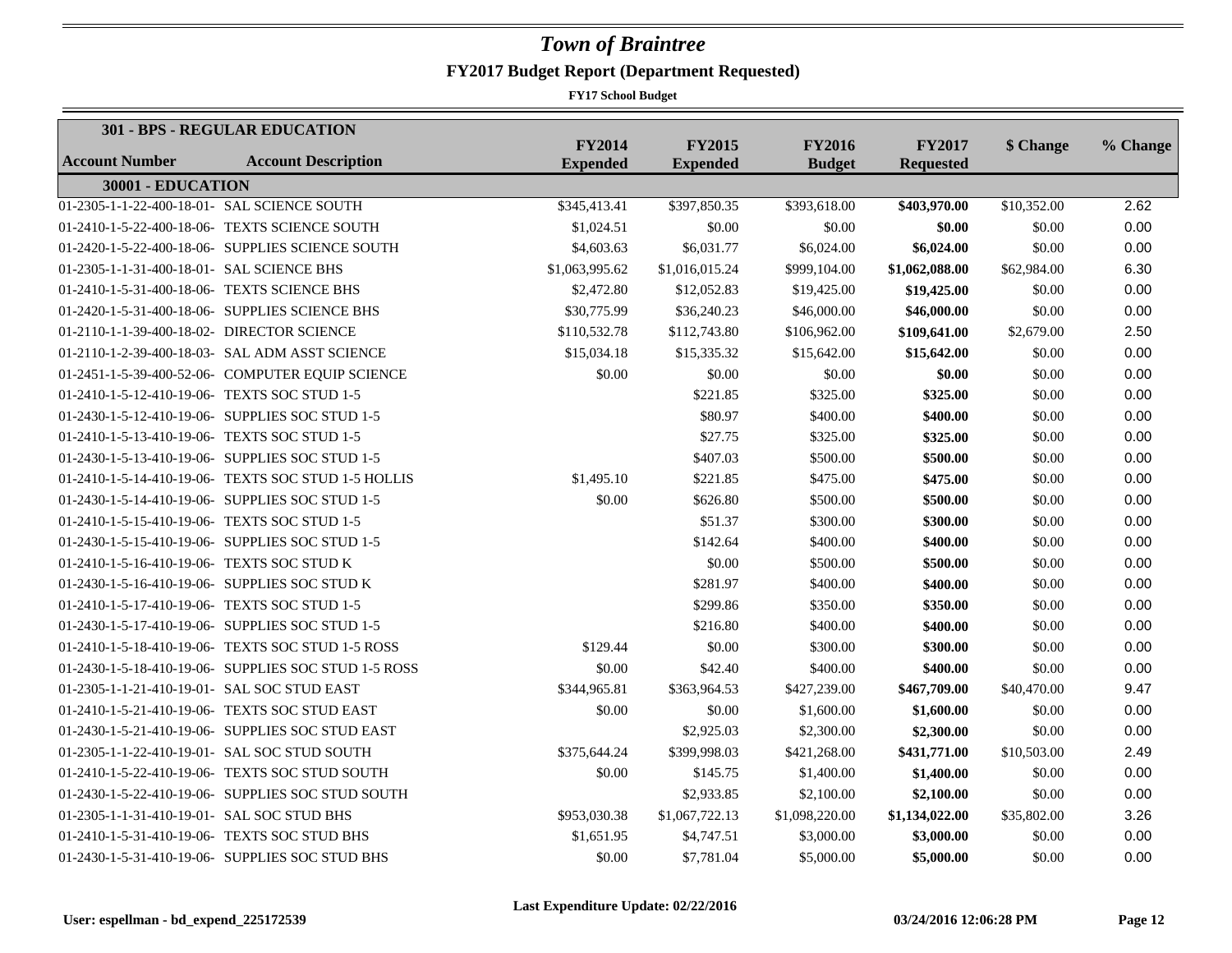|                                              | 301 - BPS - REGULAR EDUCATION                        |                                  |                                  |                                |                                   |             |          |
|----------------------------------------------|------------------------------------------------------|----------------------------------|----------------------------------|--------------------------------|-----------------------------------|-------------|----------|
| <b>Account Number</b>                        | <b>Account Description</b>                           | <b>FY2014</b><br><b>Expended</b> | <b>FY2015</b><br><b>Expended</b> | <b>FY2016</b><br><b>Budget</b> | <b>FY2017</b><br><b>Requested</b> | \$ Change   | % Change |
| 30001 - EDUCATION                            |                                                      |                                  |                                  |                                |                                   |             |          |
| 01-2305-1-1-22-400-18-01- SAL SCIENCE SOUTH  |                                                      | \$345,413.41                     | \$397,850.35                     | \$393,618.00                   | \$403,970.00                      | \$10,352.00 | 2.62     |
|                                              | 01-2410-1-5-22-400-18-06- TEXTS SCIENCE SOUTH        | \$1,024.51                       | \$0.00                           | \$0.00                         | \$0.00                            | \$0.00      | 0.00     |
|                                              | 01-2420-1-5-22-400-18-06- SUPPLIES SCIENCE SOUTH     | \$4,603.63                       | \$6,031.77                       | \$6,024.00                     | \$6,024.00                        | \$0.00      | 0.00     |
| 01-2305-1-1-31-400-18-01- SAL SCIENCE BHS    |                                                      | \$1,063,995.62                   | \$1,016,015.24                   | \$999,104.00                   | \$1,062,088.00                    | \$62,984.00 | 6.30     |
| 01-2410-1-5-31-400-18-06- TEXTS SCIENCE BHS  |                                                      | \$2,472.80                       | \$12,052.83                      | \$19,425.00                    | \$19,425.00                       | \$0.00      | 0.00     |
|                                              | 01-2420-1-5-31-400-18-06- SUPPLIES SCIENCE BHS       | \$30,775.99                      | \$36,240.23                      | \$46,000.00                    | \$46,000.00                       | \$0.00      | 0.00     |
| 01-2110-1-1-39-400-18-02- DIRECTOR SCIENCE   |                                                      | \$110,532.78                     | \$112,743.80                     | \$106,962.00                   | \$109,641.00                      | \$2,679.00  | 2.50     |
|                                              | 01-2110-1-2-39-400-18-03- SAL ADM ASST SCIENCE       | \$15,034.18                      | \$15,335.32                      | \$15,642.00                    | \$15,642.00                       | \$0.00      | 0.00     |
|                                              | 01-2451-1-5-39-400-52-06- COMPUTER EQUIP SCIENCE     | \$0.00                           | \$0.00                           | \$0.00                         | \$0.00                            | \$0.00      | 0.00     |
| 01-2410-1-5-12-410-19-06- TEXTS SOC STUD 1-5 |                                                      |                                  | \$221.85                         | \$325.00                       | \$325.00                          | \$0.00      | 0.00     |
|                                              | 01-2430-1-5-12-410-19-06- SUPPLIES SOC STUD 1-5      |                                  | \$80.97                          | \$400.00                       | \$400.00                          | \$0.00      | 0.00     |
| 01-2410-1-5-13-410-19-06- TEXTS SOC STUD 1-5 |                                                      |                                  | \$27.75                          | \$325.00                       | \$325.00                          | \$0.00      | 0.00     |
|                                              | 01-2430-1-5-13-410-19-06- SUPPLIES SOC STUD 1-5      |                                  | \$407.03                         | \$500.00                       | \$500.00                          | \$0.00      | 0.00     |
|                                              | 01-2410-1-5-14-410-19-06- TEXTS SOC STUD 1-5 HOLLIS  | \$1,495.10                       | \$221.85                         | \$475.00                       | \$475.00                          | \$0.00      | 0.00     |
|                                              | 01-2430-1-5-14-410-19-06- SUPPLIES SOC STUD 1-5      | \$0.00                           | \$626.80                         | \$500.00                       | \$500.00                          | \$0.00      | 0.00     |
| 01-2410-1-5-15-410-19-06- TEXTS SOC STUD 1-5 |                                                      |                                  | \$51.37                          | \$300.00                       | \$300.00                          | \$0.00      | 0.00     |
|                                              | 01-2430-1-5-15-410-19-06- SUPPLIES SOC STUD 1-5      |                                  | \$142.64                         | \$400.00                       | \$400.00                          | \$0.00      | 0.00     |
| 01-2410-1-5-16-410-19-06- TEXTS SOC STUD K   |                                                      |                                  | \$0.00                           | \$500.00                       | \$500.00                          | \$0.00      | 0.00     |
|                                              | 01-2430-1-5-16-410-19-06- SUPPLIES SOC STUD K        |                                  | \$281.97                         | \$400.00                       | \$400.00                          | \$0.00      | 0.00     |
| 01-2410-1-5-17-410-19-06- TEXTS SOC STUD 1-5 |                                                      |                                  | \$299.86                         | \$350.00                       | \$350.00                          | \$0.00      | 0.00     |
|                                              | 01-2430-1-5-17-410-19-06- SUPPLIES SOC STUD 1-5      |                                  | \$216.80                         | \$400.00                       | \$400.00                          | \$0.00      | 0.00     |
|                                              | 01-2410-1-5-18-410-19-06- TEXTS SOC STUD 1-5 ROSS    | \$129.44                         | \$0.00                           | \$300.00                       | \$300.00                          | \$0.00      | 0.00     |
|                                              | 01-2430-1-5-18-410-19-06- SUPPLIES SOC STUD 1-5 ROSS | \$0.00                           | \$42.40                          | \$400.00                       | \$400.00                          | \$0.00      | 0.00     |
| 01-2305-1-1-21-410-19-01- SAL SOC STUD EAST  |                                                      | \$344,965.81                     | \$363,964.53                     | \$427,239.00                   | \$467,709.00                      | \$40,470.00 | 9.47     |
|                                              | 01-2410-1-5-21-410-19-06- TEXTS SOC STUD EAST        | \$0.00                           | \$0.00                           | \$1,600.00                     | \$1,600.00                        | \$0.00      | 0.00     |
|                                              | 01-2430-1-5-21-410-19-06- SUPPLIES SOC STUD EAST     |                                  | \$2,925.03                       | \$2,300.00                     | \$2,300.00                        | \$0.00      | 0.00     |
|                                              | 01-2305-1-1-22-410-19-01- SAL SOC STUD SOUTH         | \$375,644.24                     | \$399,998.03                     | \$421,268.00                   | \$431,771.00                      | \$10,503.00 | 2.49     |
|                                              | 01-2410-1-5-22-410-19-06- TEXTS SOC STUD SOUTH       | \$0.00                           | \$145.75                         | \$1,400.00                     | \$1,400.00                        | \$0.00      | 0.00     |
|                                              | 01-2430-1-5-22-410-19-06- SUPPLIES SOC STUD SOUTH    |                                  | \$2,933.85                       | \$2,100.00                     | \$2,100.00                        | \$0.00      | 0.00     |
| 01-2305-1-1-31-410-19-01- SAL SOC STUD BHS   |                                                      | \$953,030.38                     | \$1,067,722.13                   | \$1,098,220.00                 | \$1,134,022.00                    | \$35,802.00 | 3.26     |
| 01-2410-1-5-31-410-19-06- TEXTS SOC STUD BHS |                                                      | \$1,651.95                       | \$4,747.51                       | \$3,000.00                     | \$3,000.00                        | \$0.00      | 0.00     |
|                                              | 01-2430-1-5-31-410-19-06- SUPPLIES SOC STUD BHS      | \$0.00                           | \$7,781.04                       | \$5,000.00                     | \$5,000.00                        | \$0.00      | 0.00     |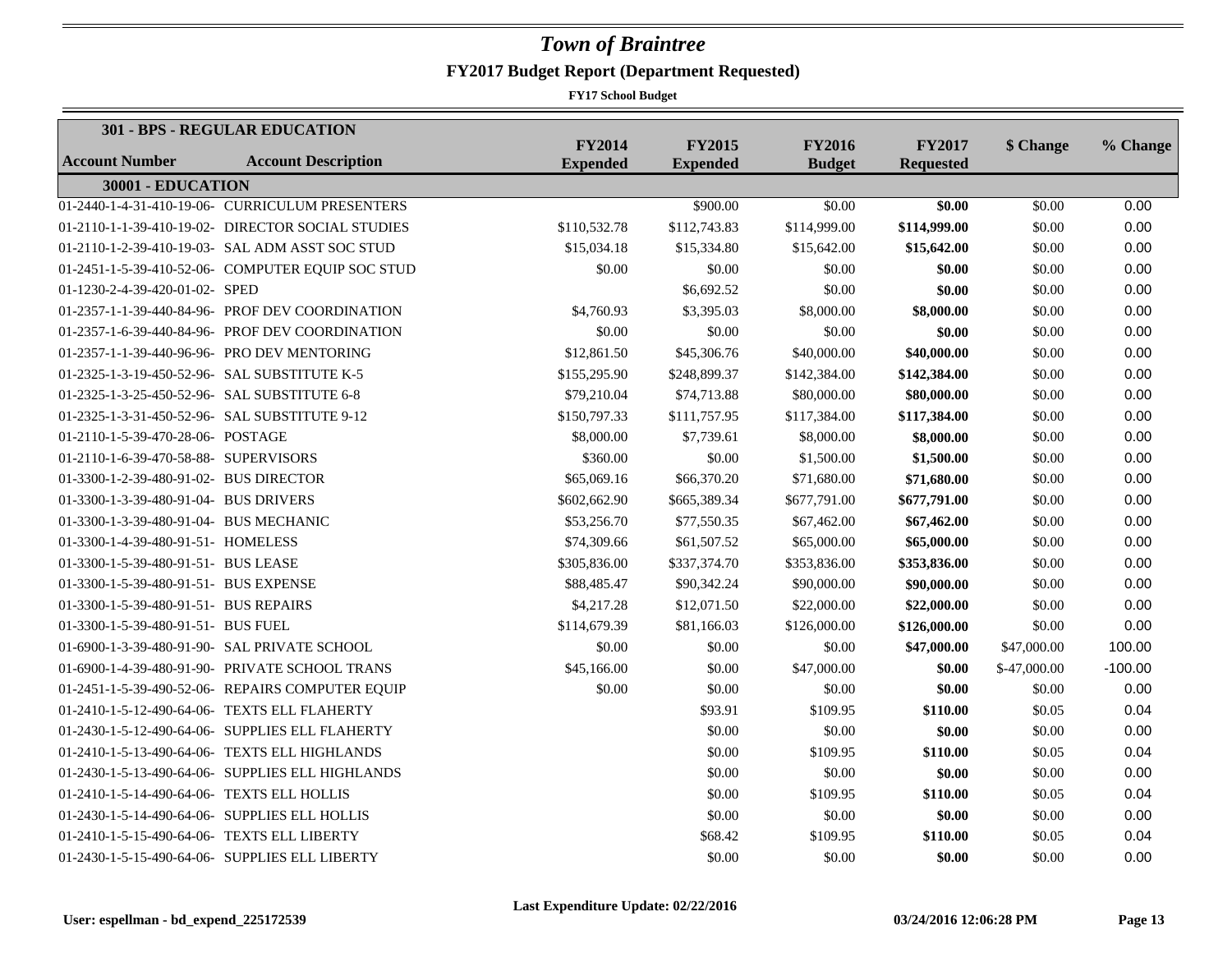|                                              | 301 - BPS - REGULAR EDUCATION                     |                                  |                                  |                                |                                   |              |           |
|----------------------------------------------|---------------------------------------------------|----------------------------------|----------------------------------|--------------------------------|-----------------------------------|--------------|-----------|
| <b>Account Number</b>                        | <b>Account Description</b>                        | <b>FY2014</b><br><b>Expended</b> | <b>FY2015</b><br><b>Expended</b> | <b>FY2016</b><br><b>Budget</b> | <b>FY2017</b><br><b>Requested</b> | \$ Change    | % Change  |
| 30001 - EDUCATION                            |                                                   |                                  |                                  |                                |                                   |              |           |
|                                              | 01-2440-1-4-31-410-19-06- CURRICULUM PRESENTERS   |                                  | \$900.00                         | \$0.00                         | \$0.00                            | \$0.00       | 0.00      |
|                                              | 01-2110-1-1-39-410-19-02- DIRECTOR SOCIAL STUDIES | \$110,532.78                     | \$112,743.83                     | \$114,999.00                   | \$114,999.00                      | \$0.00       | 0.00      |
|                                              | 01-2110-1-2-39-410-19-03- SAL ADM ASST SOC STUD   | \$15,034.18                      | \$15,334.80                      | \$15,642.00                    | \$15,642.00                       | \$0.00       | 0.00      |
|                                              | 01-2451-1-5-39-410-52-06- COMPUTER EQUIP SOC STUD | \$0.00                           | \$0.00                           | \$0.00                         | \$0.00                            | \$0.00       | 0.00      |
| 01-1230-2-4-39-420-01-02- SPED               |                                                   |                                  | \$6,692.52                       | \$0.00                         | \$0.00                            | \$0.00       | 0.00      |
|                                              | 01-2357-1-1-39-440-84-96- PROF DEV COORDINATION   | \$4,760.93                       | \$3,395.03                       | \$8,000.00                     | \$8,000.00                        | \$0.00       | 0.00      |
|                                              | 01-2357-1-6-39-440-84-96- PROF DEV COORDINATION   | \$0.00                           | \$0.00                           | \$0.00                         | \$0.00                            | \$0.00       | 0.00      |
|                                              | 01-2357-1-1-39-440-96-96- PRO DEV MENTORING       | \$12,861.50                      | \$45,306.76                      | \$40,000.00                    | \$40,000.00                       | \$0.00       | 0.00      |
| 01-2325-1-3-19-450-52-96- SAL SUBSTITUTE K-5 |                                                   | \$155,295.90                     | \$248,899.37                     | \$142,384.00                   | \$142,384.00                      | \$0.00       | 0.00      |
| 01-2325-1-3-25-450-52-96- SAL SUBSTITUTE 6-8 |                                                   | \$79,210.04                      | \$74,713.88                      | \$80,000.00                    | \$80,000.00                       | \$0.00       | 0.00      |
|                                              | 01-2325-1-3-31-450-52-96- SAL SUBSTITUTE 9-12     | \$150,797.33                     | \$111,757.95                     | \$117,384.00                   | \$117,384.00                      | \$0.00       | 0.00      |
| 01-2110-1-5-39-470-28-06- POSTAGE            |                                                   | \$8,000.00                       | \$7,739.61                       | \$8,000.00                     | \$8,000.00                        | \$0.00       | 0.00      |
| 01-2110-1-6-39-470-58-88- SUPERVISORS        |                                                   | \$360.00                         | \$0.00                           | \$1,500.00                     | \$1,500.00                        | \$0.00       | 0.00      |
| 01-3300-1-2-39-480-91-02- BUS DIRECTOR       |                                                   | \$65,069.16                      | \$66,370.20                      | \$71,680.00                    | \$71,680.00                       | \$0.00       | 0.00      |
| 01-3300-1-3-39-480-91-04- BUS DRIVERS        |                                                   | \$602,662.90                     | \$665,389.34                     | \$677,791.00                   | \$677,791.00                      | \$0.00       | 0.00      |
| 01-3300-1-3-39-480-91-04- BUS MECHANIC       |                                                   | \$53,256.70                      | \$77,550.35                      | \$67,462.00                    | \$67,462.00                       | \$0.00       | 0.00      |
| 01-3300-1-4-39-480-91-51- HOMELESS           |                                                   | \$74,309.66                      | \$61,507.52                      | \$65,000.00                    | \$65,000.00                       | \$0.00       | 0.00      |
| 01-3300-1-5-39-480-91-51- BUS LEASE          |                                                   | \$305,836.00                     | \$337,374.70                     | \$353,836.00                   | \$353,836.00                      | \$0.00       | 0.00      |
| 01-3300-1-5-39-480-91-51- BUS EXPENSE        |                                                   | \$88,485.47                      | \$90,342.24                      | \$90,000.00                    | \$90,000.00                       | \$0.00       | 0.00      |
| 01-3300-1-5-39-480-91-51- BUS REPAIRS        |                                                   | \$4,217.28                       | \$12,071.50                      | \$22,000.00                    | \$22,000.00                       | \$0.00       | 0.00      |
| 01-3300-1-5-39-480-91-51- BUS FUEL           |                                                   | \$114,679.39                     | \$81,166.03                      | \$126,000.00                   | \$126,000.00                      | \$0.00       | 0.00      |
|                                              | 01-6900-1-3-39-480-91-90- SAL PRIVATE SCHOOL      | \$0.00                           | \$0.00                           | \$0.00                         | \$47,000.00                       | \$47,000.00  | 100.00    |
|                                              | 01-6900-1-4-39-480-91-90- PRIVATE SCHOOL TRANS    | \$45,166.00                      | \$0.00                           | \$47,000.00                    | \$0.00                            | \$-47,000.00 | $-100.00$ |
|                                              | 01-2451-1-5-39-490-52-06- REPAIRS COMPUTER EQUIP  | \$0.00                           | \$0.00                           | \$0.00                         | \$0.00                            | \$0.00       | 0.00      |
|                                              | 01-2410-1-5-12-490-64-06- TEXTS ELL FLAHERTY      |                                  | \$93.91                          | \$109.95                       | \$110.00                          | \$0.05       | 0.04      |
|                                              | 01-2430-1-5-12-490-64-06- SUPPLIES ELL FLAHERTY   |                                  | \$0.00                           | \$0.00                         | \$0.00                            | \$0.00       | 0.00      |
|                                              | 01-2410-1-5-13-490-64-06- TEXTS ELL HIGHLANDS     |                                  | \$0.00                           | \$109.95                       | \$110.00                          | \$0.05       | 0.04      |
|                                              | 01-2430-1-5-13-490-64-06- SUPPLIES ELL HIGHLANDS  |                                  | \$0.00                           | \$0.00                         | \$0.00                            | \$0.00       | 0.00      |
| 01-2410-1-5-14-490-64-06- TEXTS ELL HOLLIS   |                                                   |                                  | \$0.00                           | \$109.95                       | \$110.00                          | \$0.05       | 0.04      |
|                                              | 01-2430-1-5-14-490-64-06- SUPPLIES ELL HOLLIS     |                                  | \$0.00                           | \$0.00                         | \$0.00                            | \$0.00       | 0.00      |
| 01-2410-1-5-15-490-64-06- TEXTS ELL LIBERTY  |                                                   |                                  | \$68.42                          | \$109.95                       | \$110.00                          | \$0.05       | 0.04      |
|                                              | 01-2430-1-5-15-490-64-06- SUPPLIES ELL LIBERTY    |                                  | \$0.00                           | \$0.00                         | \$0.00                            | \$0.00       | 0.00      |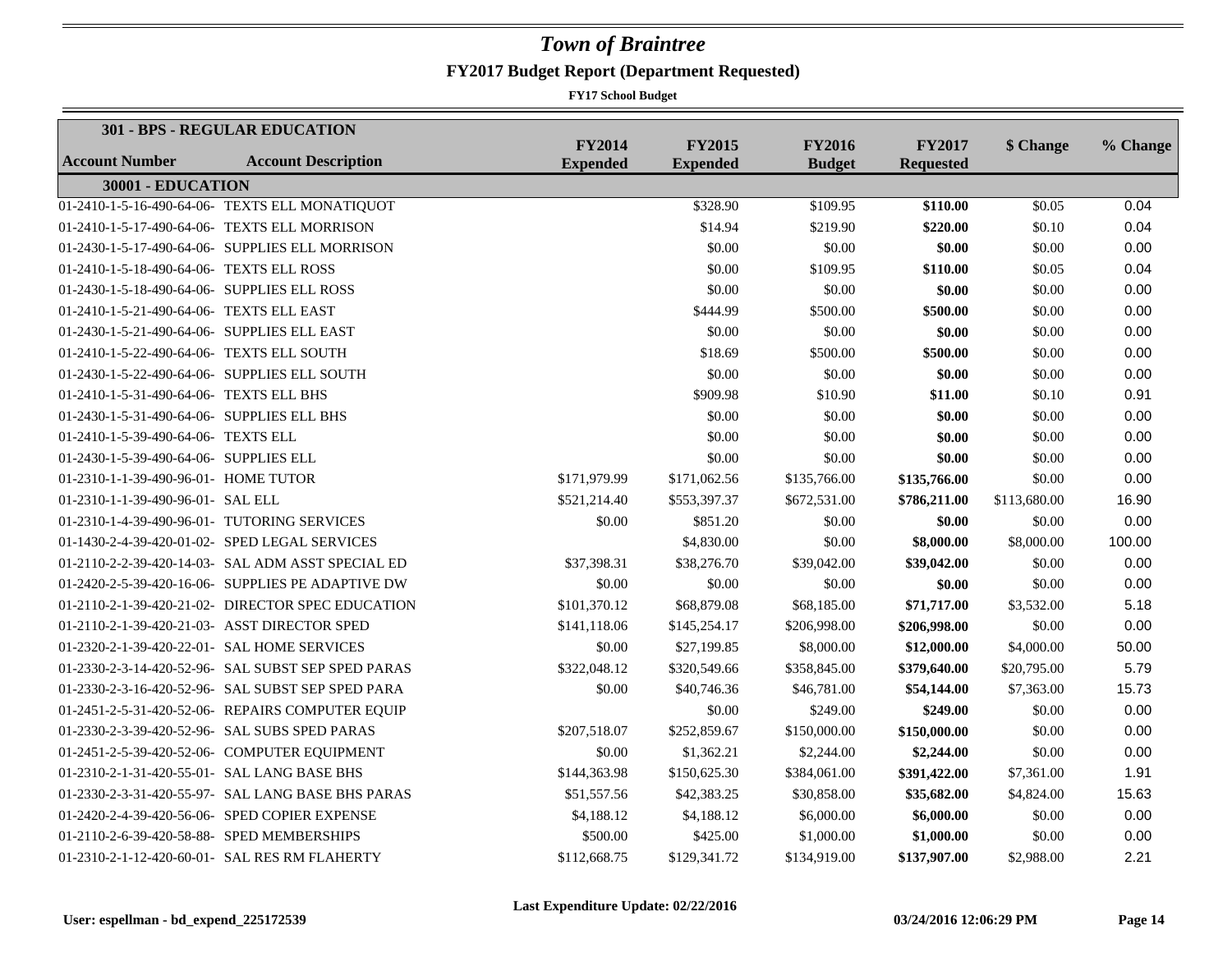|                                             | 301 - BPS - REGULAR EDUCATION                      |                                  |                                  |                                |                                   |              |          |
|---------------------------------------------|----------------------------------------------------|----------------------------------|----------------------------------|--------------------------------|-----------------------------------|--------------|----------|
| <b>Account Number</b>                       | <b>Account Description</b>                         | <b>FY2014</b><br><b>Expended</b> | <b>FY2015</b><br><b>Expended</b> | <b>FY2016</b><br><b>Budget</b> | <b>FY2017</b><br><b>Requested</b> | \$ Change    | % Change |
| 30001 - EDUCATION                           |                                                    |                                  |                                  |                                |                                   |              |          |
|                                             | 01-2410-1-5-16-490-64-06- TEXTS ELL MONATIQUOT     |                                  | \$328.90                         | \$109.95                       | \$110.00                          | \$0.05       | 0.04     |
|                                             | 01-2410-1-5-17-490-64-06- TEXTS ELL MORRISON       |                                  | \$14.94                          | \$219.90                       | \$220.00                          | \$0.10       | 0.04     |
|                                             | 01-2430-1-5-17-490-64-06- SUPPLIES ELL MORRISON    |                                  | \$0.00                           | \$0.00                         | \$0.00                            | \$0.00       | 0.00     |
| 01-2410-1-5-18-490-64-06- TEXTS ELL ROSS    |                                                    |                                  | \$0.00                           | \$109.95                       | \$110.00                          | \$0.05       | 0.04     |
| 01-2430-1-5-18-490-64-06- SUPPLIES ELL ROSS |                                                    |                                  | \$0.00                           | \$0.00                         | \$0.00                            | \$0.00       | 0.00     |
| 01-2410-1-5-21-490-64-06- TEXTS ELL EAST    |                                                    |                                  | \$444.99                         | \$500.00                       | \$500.00                          | \$0.00       | 0.00     |
| 01-2430-1-5-21-490-64-06- SUPPLIES ELL EAST |                                                    |                                  | \$0.00                           | \$0.00                         | \$0.00                            | \$0.00       | 0.00     |
| 01-2410-1-5-22-490-64-06- TEXTS ELL SOUTH   |                                                    |                                  | \$18.69                          | \$500.00                       | \$500.00                          | \$0.00       | 0.00     |
|                                             | 01-2430-1-5-22-490-64-06- SUPPLIES ELL SOUTH       |                                  | \$0.00                           | \$0.00                         | \$0.00                            | \$0.00       | 0.00     |
| 01-2410-1-5-31-490-64-06- TEXTS ELL BHS     |                                                    |                                  | \$909.98                         | \$10.90                        | \$11.00                           | \$0.10       | 0.91     |
| 01-2430-1-5-31-490-64-06- SUPPLIES ELL BHS  |                                                    |                                  | \$0.00                           | \$0.00                         | \$0.00                            | \$0.00       | 0.00     |
| 01-2410-1-5-39-490-64-06- TEXTS ELL         |                                                    |                                  | \$0.00                           | \$0.00                         | \$0.00                            | \$0.00       | 0.00     |
| 01-2430-1-5-39-490-64-06- SUPPLIES ELL      |                                                    |                                  | \$0.00                           | \$0.00                         | \$0.00                            | \$0.00       | 0.00     |
| 01-2310-1-1-39-490-96-01- HOME TUTOR        |                                                    | \$171,979.99                     | \$171,062.56                     | \$135,766.00                   | \$135,766.00                      | \$0.00       | 0.00     |
| 01-2310-1-1-39-490-96-01- SAL ELL           |                                                    | \$521,214.40                     | \$553,397.37                     | \$672,531.00                   | \$786,211.00                      | \$113,680.00 | 16.90    |
|                                             | 01-2310-1-4-39-490-96-01- TUTORING SERVICES        | \$0.00                           | \$851.20                         | \$0.00                         | \$0.00                            | \$0.00       | 0.00     |
|                                             | 01-1430-2-4-39-420-01-02- SPED LEGAL SERVICES      |                                  | \$4,830.00                       | \$0.00                         | \$8,000.00                        | \$8,000.00   | 100.00   |
|                                             | 01-2110-2-2-39-420-14-03- SAL ADM ASST SPECIAL ED  | \$37,398.31                      | \$38,276.70                      | \$39,042.00                    | \$39,042.00                       | \$0.00       | 0.00     |
|                                             | 01-2420-2-5-39-420-16-06- SUPPLIES PE ADAPTIVE DW  | \$0.00                           | \$0.00                           | \$0.00                         | \$0.00                            | \$0.00       | 0.00     |
|                                             | 01-2110-2-1-39-420-21-02- DIRECTOR SPEC EDUCATION  | \$101,370.12                     | \$68,879.08                      | \$68,185.00                    | \$71,717.00                       | \$3,532.00   | 5.18     |
|                                             | 01-2110-2-1-39-420-21-03- ASST DIRECTOR SPED       | \$141,118.06                     | \$145,254.17                     | \$206,998.00                   | \$206,998.00                      | \$0.00       | 0.00     |
|                                             | 01-2320-2-1-39-420-22-01- SAL HOME SERVICES        | \$0.00                           | \$27,199.85                      | \$8,000.00                     | \$12,000.00                       | \$4,000.00   | 50.00    |
|                                             | 01-2330-2-3-14-420-52-96- SAL SUBST SEP SPED PARAS | \$322,048.12                     | \$320,549.66                     | \$358,845.00                   | \$379,640.00                      | \$20,795.00  | 5.79     |
|                                             | 01-2330-2-3-16-420-52-96- SAL SUBST SEP SPED PARA  | \$0.00                           | \$40,746.36                      | \$46,781.00                    | \$54,144.00                       | \$7,363.00   | 15.73    |
|                                             | 01-2451-2-5-31-420-52-06- REPAIRS COMPUTER EQUIP   |                                  | \$0.00                           | \$249.00                       | \$249.00                          | \$0.00       | 0.00     |
|                                             | 01-2330-2-3-39-420-52-96- SAL SUBS SPED PARAS      | \$207,518.07                     | \$252,859.67                     | \$150,000.00                   | \$150,000.00                      | \$0.00       | 0.00     |
|                                             | 01-2451-2-5-39-420-52-06- COMPUTER EQUIPMENT       | \$0.00                           | \$1,362.21                       | \$2,244.00                     | \$2,244.00                        | \$0.00       | 0.00     |
| 01-2310-2-1-31-420-55-01- SAL LANG BASE BHS |                                                    | \$144,363.98                     | \$150,625.30                     | \$384,061.00                   | \$391,422.00                      | \$7,361.00   | 1.91     |
|                                             | 01-2330-2-3-31-420-55-97- SAL LANG BASE BHS PARAS  | \$51,557.56                      | \$42,383.25                      | \$30,858.00                    | \$35,682.00                       | \$4,824.00   | 15.63    |
|                                             | 01-2420-2-4-39-420-56-06- SPED COPIER EXPENSE      | \$4,188.12                       | \$4,188.12                       | \$6,000.00                     | \$6,000.00                        | \$0.00       | 0.00     |
| 01-2110-2-6-39-420-58-88- SPED MEMBERSHIPS  |                                                    | \$500.00                         | \$425.00                         | \$1,000.00                     | \$1,000.00                        | \$0.00       | 0.00     |
|                                             | 01-2310-2-1-12-420-60-01- SAL RES RM FLAHERTY      | \$112,668.75                     | \$129,341.72                     | \$134,919.00                   | \$137,907.00                      | \$2,988.00   | 2.21     |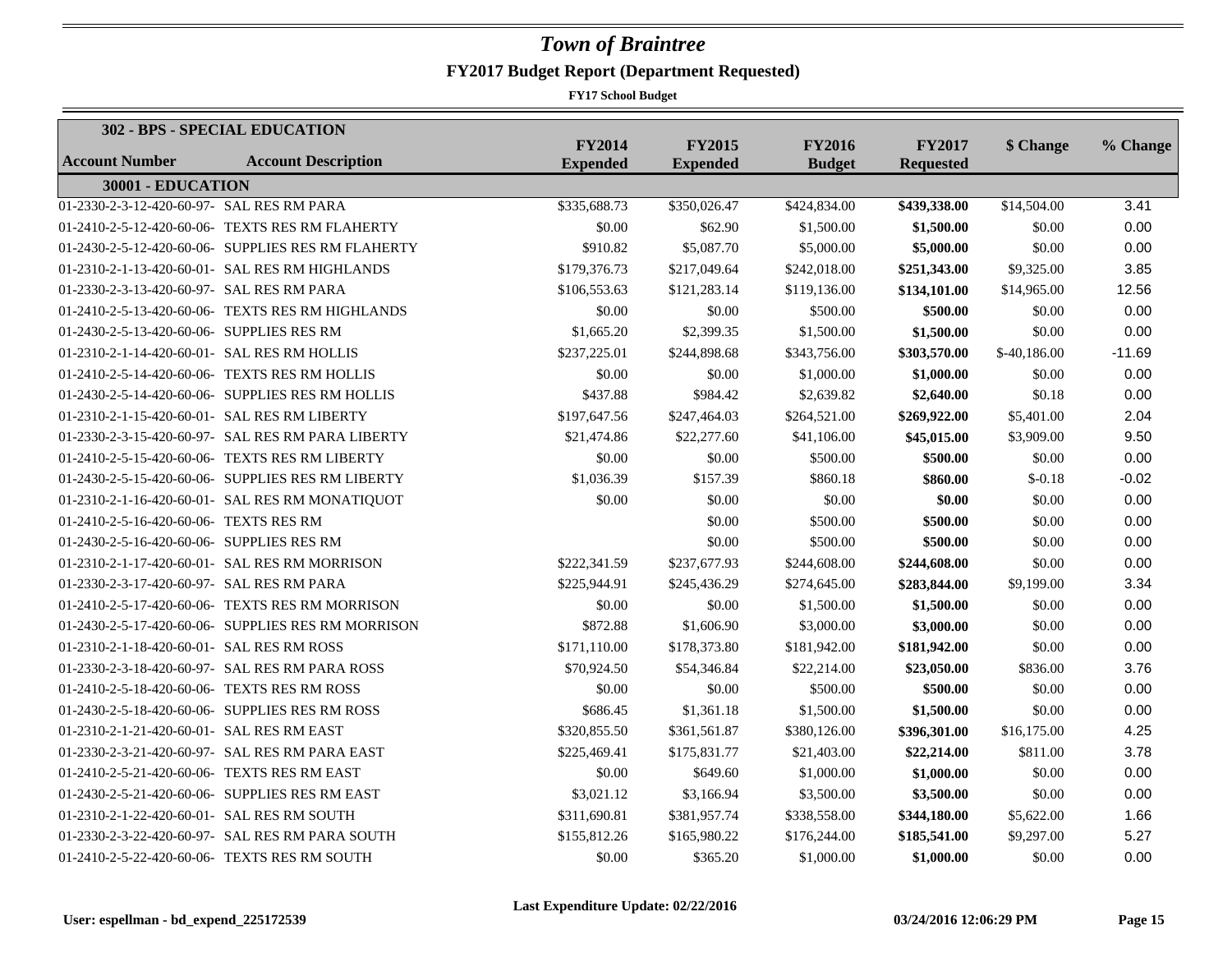|                                              | <b>302 - BPS - SPECIAL EDUCATION</b>               |                                  |                                  |                                |                                   |              |          |
|----------------------------------------------|----------------------------------------------------|----------------------------------|----------------------------------|--------------------------------|-----------------------------------|--------------|----------|
| Account Number                               | <b>Account Description</b>                         | <b>FY2014</b><br><b>Expended</b> | <b>FY2015</b><br><b>Expended</b> | <b>FY2016</b><br><b>Budget</b> | <b>FY2017</b><br><b>Requested</b> | \$ Change    | % Change |
| 30001 - EDUCATION                            |                                                    |                                  |                                  |                                |                                   |              |          |
| 01-2330-2-3-12-420-60-97- SAL RES RM PARA    |                                                    | \$335,688.73                     | \$350,026.47                     | \$424,834.00                   | \$439,338.00                      | \$14,504.00  | 3.41     |
|                                              | 01-2410-2-5-12-420-60-06- TEXTS RES RM FLAHERTY    | \$0.00                           | \$62.90                          | \$1,500.00                     | \$1,500.00                        | \$0.00       | 0.00     |
|                                              | 01-2430-2-5-12-420-60-06- SUPPLIES RES RM FLAHERTY | \$910.82                         | \$5,087.70                       | \$5,000.00                     | \$5,000.00                        | \$0.00       | 0.00     |
|                                              | 01-2310-2-1-13-420-60-01- SAL RES RM HIGHLANDS     | \$179,376.73                     | \$217,049.64                     | \$242,018.00                   | \$251,343.00                      | \$9,325.00   | 3.85     |
| 01-2330-2-3-13-420-60-97- SAL RES RM PARA    |                                                    | \$106,553.63                     | \$121,283.14                     | \$119,136.00                   | \$134,101.00                      | \$14,965.00  | 12.56    |
|                                              | 01-2410-2-5-13-420-60-06- TEXTS RES RM HIGHLANDS   | \$0.00                           | \$0.00                           | \$500.00                       | \$500.00                          | \$0.00       | 0.00     |
| 01-2430-2-5-13-420-60-06- SUPPLIES RES RM    |                                                    | \$1,665.20                       | \$2,399.35                       | \$1,500.00                     | \$1,500.00                        | \$0.00       | 0.00     |
| 01-2310-2-1-14-420-60-01- SAL RES RM HOLLIS  |                                                    | \$237,225.01                     | \$244,898.68                     | \$343,756.00                   | \$303,570.00                      | \$-40,186.00 | $-11.69$ |
|                                              | 01-2410-2-5-14-420-60-06- TEXTS RES RM HOLLIS      | \$0.00                           | \$0.00                           | \$1,000.00                     | \$1,000.00                        | \$0.00       | 0.00     |
|                                              | 01-2430-2-5-14-420-60-06- SUPPLIES RES RM HOLLIS   | \$437.88                         | \$984.42                         | \$2,639.82                     | \$2,640.00                        | \$0.18       | 0.00     |
| 01-2310-2-1-15-420-60-01- SAL RES RM LIBERTY |                                                    | \$197,647.56                     | \$247,464.03                     | \$264,521.00                   | \$269,922.00                      | \$5,401.00   | 2.04     |
|                                              | 01-2330-2-3-15-420-60-97- SAL RES RM PARA LIBERTY  | \$21,474.86                      | \$22,277.60                      | \$41,106.00                    | \$45,015.00                       | \$3,909.00   | 9.50     |
|                                              | 01-2410-2-5-15-420-60-06- TEXTS RES RM LIBERTY     | \$0.00                           | \$0.00                           | \$500.00                       | \$500.00                          | \$0.00       | 0.00     |
|                                              | 01-2430-2-5-15-420-60-06- SUPPLIES RES RM LIBERTY  | \$1,036.39                       | \$157.39                         | \$860.18                       | \$860.00                          | $$-0.18$     | $-0.02$  |
|                                              | 01-2310-2-1-16-420-60-01- SAL RES RM MONATIQUOT    | \$0.00                           | \$0.00                           | \$0.00                         | \$0.00                            | \$0.00       | 0.00     |
| 01-2410-2-5-16-420-60-06- TEXTS RES RM       |                                                    |                                  | \$0.00                           | \$500.00                       | \$500.00                          | \$0.00       | 0.00     |
| 01-2430-2-5-16-420-60-06- SUPPLIES RES RM    |                                                    |                                  | \$0.00                           | \$500.00                       | \$500.00                          | \$0.00       | 0.00     |
|                                              | 01-2310-2-1-17-420-60-01- SAL RES RM MORRISON      | \$222,341.59                     | \$237,677.93                     | \$244,608.00                   | \$244,608.00                      | \$0.00       | 0.00     |
| 01-2330-2-3-17-420-60-97- SAL RES RM PARA    |                                                    | \$225,944.91                     | \$245,436.29                     | \$274,645.00                   | \$283,844.00                      | \$9,199.00   | 3.34     |
|                                              | 01-2410-2-5-17-420-60-06- TEXTS RES RM MORRISON    | \$0.00                           | \$0.00                           | \$1,500.00                     | \$1,500.00                        | \$0.00       | 0.00     |
|                                              | 01-2430-2-5-17-420-60-06- SUPPLIES RES RM MORRISON | \$872.88                         | \$1,606.90                       | \$3,000.00                     | \$3,000.00                        | \$0.00       | 0.00     |
| 01-2310-2-1-18-420-60-01- SAL RES RM ROSS    |                                                    | \$171,110.00                     | \$178,373.80                     | \$181,942.00                   | \$181,942.00                      | \$0.00       | 0.00     |
|                                              | 01-2330-2-3-18-420-60-97- SAL RES RM PARA ROSS     | \$70,924.50                      | \$54,346.84                      | \$22,214.00                    | \$23,050.00                       | \$836.00     | 3.76     |
| 01-2410-2-5-18-420-60-06- TEXTS RES RM ROSS  |                                                    | \$0.00                           | \$0.00                           | \$500.00                       | \$500.00                          | \$0.00       | 0.00     |
|                                              | 01-2430-2-5-18-420-60-06- SUPPLIES RES RM ROSS     | \$686.45                         | \$1,361.18                       | \$1,500.00                     | \$1,500.00                        | \$0.00       | 0.00     |
| 01-2310-2-1-21-420-60-01- SAL RES RM EAST    |                                                    | \$320,855.50                     | \$361,561.87                     | \$380,126.00                   | \$396,301.00                      | \$16,175.00  | 4.25     |
|                                              | 01-2330-2-3-21-420-60-97- SAL RES RM PARA EAST     | \$225,469.41                     | \$175,831.77                     | \$21,403.00                    | \$22,214.00                       | \$811.00     | 3.78     |
| 01-2410-2-5-21-420-60-06- TEXTS RES RM EAST  |                                                    | \$0.00                           | \$649.60                         | \$1,000.00                     | \$1,000.00                        | \$0.00       | 0.00     |
|                                              | 01-2430-2-5-21-420-60-06- SUPPLIES RES RM EAST     | \$3,021.12                       | \$3,166.94                       | \$3,500.00                     | \$3,500.00                        | \$0.00       | 0.00     |
| 01-2310-2-1-22-420-60-01- SAL RES RM SOUTH   |                                                    | \$311,690.81                     | \$381,957.74                     | \$338,558.00                   | \$344,180.00                      | \$5,622.00   | 1.66     |
|                                              | 01-2330-2-3-22-420-60-97- SAL RES RM PARA SOUTH    | \$155,812.26                     | \$165,980.22                     | \$176,244.00                   | \$185,541.00                      | \$9,297.00   | 5.27     |
|                                              | 01-2410-2-5-22-420-60-06- TEXTS RES RM SOUTH       | \$0.00                           | \$365.20                         | \$1,000.00                     | \$1,000.00                        | \$0.00       | 0.00     |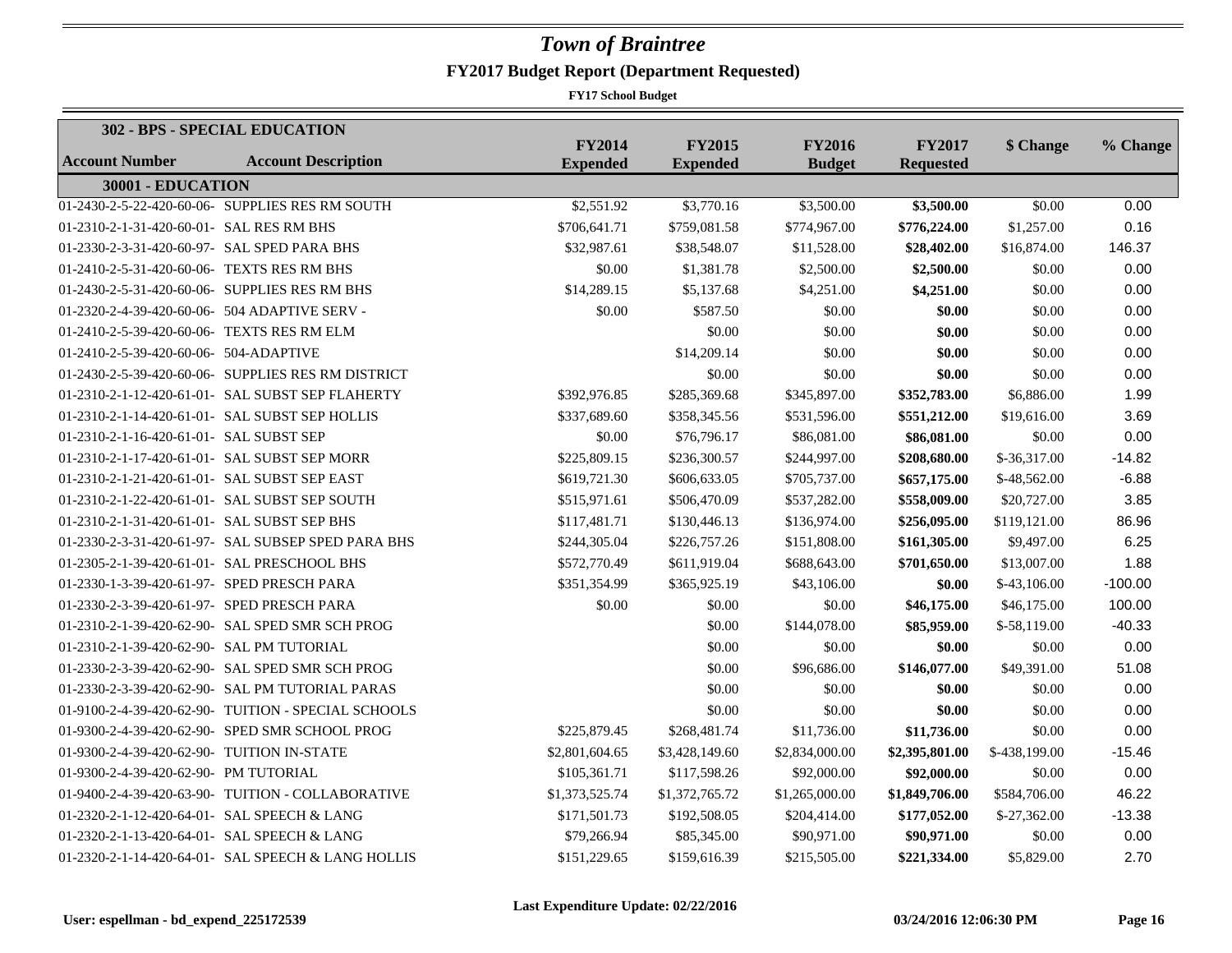|                                              | 302 - BPS - SPECIAL EDUCATION                       |                                  |                                  |                                |                                   |               |           |
|----------------------------------------------|-----------------------------------------------------|----------------------------------|----------------------------------|--------------------------------|-----------------------------------|---------------|-----------|
| <b>Account Number</b>                        | <b>Account Description</b>                          | <b>FY2014</b><br><b>Expended</b> | <b>FY2015</b><br><b>Expended</b> | <b>FY2016</b><br><b>Budget</b> | <b>FY2017</b><br><b>Requested</b> | \$ Change     | % Change  |
| 30001 - EDUCATION                            |                                                     |                                  |                                  |                                |                                   |               |           |
|                                              | 01-2430-2-5-22-420-60-06- SUPPLIES RES RM SOUTH     | \$2,551.92                       | \$3,770.16                       | \$3,500.00                     | \$3,500.00                        | \$0.00        | 0.00      |
| 01-2310-2-1-31-420-60-01- SAL RES RM BHS     |                                                     | \$706,641.71                     | \$759,081.58                     | \$774,967.00                   | \$776,224.00                      | \$1,257.00    | 0.16      |
| 01-2330-2-3-31-420-60-97- SAL SPED PARA BHS  |                                                     | \$32,987.61                      | \$38,548.07                      | \$11,528.00                    | \$28,402.00                       | \$16,874.00   | 146.37    |
| 01-2410-2-5-31-420-60-06- TEXTS RES RM BHS   |                                                     | \$0.00                           | \$1,381.78                       | \$2,500.00                     | \$2,500.00                        | \$0.00        | 0.00      |
|                                              | 01-2430-2-5-31-420-60-06- SUPPLIES RES RM BHS       | \$14,289.15                      | \$5,137.68                       | \$4,251.00                     | \$4,251.00                        | \$0.00        | 0.00      |
|                                              | 01-2320-2-4-39-420-60-06- 504 ADAPTIVE SERV -       | \$0.00                           | \$587.50                         | \$0.00                         | \$0.00                            | \$0.00        | 0.00      |
| 01-2410-2-5-39-420-60-06- TEXTS RES RM ELM   |                                                     |                                  | \$0.00                           | \$0.00                         | \$0.00                            | \$0.00        | 0.00      |
| 01-2410-2-5-39-420-60-06- 504-ADAPTIVE       |                                                     |                                  | \$14,209.14                      | \$0.00                         | \$0.00                            | \$0.00        | 0.00      |
|                                              | 01-2430-2-5-39-420-60-06- SUPPLIES RES RM DISTRICT  |                                  | \$0.00                           | \$0.00                         | \$0.00                            | \$0.00        | 0.00      |
|                                              | 01-2310-2-1-12-420-61-01- SAL SUBST SEP FLAHERTY    | \$392,976.85                     | \$285,369.68                     | \$345,897.00                   | \$352,783.00                      | \$6,886.00    | 1.99      |
|                                              | 01-2310-2-1-14-420-61-01- SAL SUBST SEP HOLLIS      | \$337,689.60                     | \$358,345.56                     | \$531,596.00                   | \$551,212.00                      | \$19,616.00   | 3.69      |
| 01-2310-2-1-16-420-61-01- SAL SUBST SEP      |                                                     | \$0.00                           | \$76,796.17                      | \$86,081.00                    | \$86,081.00                       | \$0.00        | 0.00      |
|                                              | 01-2310-2-1-17-420-61-01- SAL SUBST SEP MORR        | \$225,809.15                     | \$236,300.57                     | \$244,997.00                   | \$208,680.00                      | $$-36,317.00$ | $-14.82$  |
| 01-2310-2-1-21-420-61-01- SAL SUBST SEP EAST |                                                     | \$619,721.30                     | \$606,633.05                     | \$705,737.00                   | \$657,175.00                      | $$-48,562.00$ | $-6.88$   |
|                                              | 01-2310-2-1-22-420-61-01- SAL SUBST SEP SOUTH       | \$515,971.61                     | \$506,470.09                     | \$537,282.00                   | \$558,009.00                      | \$20,727.00   | 3.85      |
| 01-2310-2-1-31-420-61-01- SAL SUBST SEP BHS  |                                                     | \$117,481.71                     | \$130,446.13                     | \$136,974.00                   | \$256,095.00                      | \$119,121.00  | 86.96     |
|                                              | 01-2330-2-3-31-420-61-97- SAL SUBSEP SPED PARA BHS  | \$244,305.04                     | \$226,757.26                     | \$151,808.00                   | \$161,305.00                      | \$9,497.00    | 6.25      |
|                                              | 01-2305-2-1-39-420-61-01- SAL PRESCHOOL BHS         | \$572,770.49                     | \$611,919.04                     | \$688,643.00                   | \$701,650.00                      | \$13,007.00   | 1.88      |
| 01-2330-1-3-39-420-61-97- SPED PRESCH PARA   |                                                     | \$351,354.99                     | \$365,925.19                     | \$43,106.00                    | \$0.00                            | $$-43,106.00$ | $-100.00$ |
| 01-2330-2-3-39-420-61-97- SPED PRESCH PARA   |                                                     | \$0.00                           | \$0.00                           | \$0.00                         | \$46,175.00                       | \$46,175.00   | 100.00    |
|                                              | 01-2310-2-1-39-420-62-90- SAL SPED SMR SCH PROG     |                                  | \$0.00                           | \$144,078.00                   | \$85,959.00                       | $$-58,119.00$ | $-40.33$  |
| 01-2310-2-1-39-420-62-90- SAL PM TUTORIAL    |                                                     |                                  | \$0.00                           | \$0.00                         | \$0.00                            | \$0.00        | 0.00      |
|                                              | 01-2330-2-3-39-420-62-90- SAL SPED SMR SCH PROG     |                                  | \$0.00                           | \$96,686.00                    | \$146,077.00                      | \$49,391.00   | 51.08     |
|                                              | 01-2330-2-3-39-420-62-90- SAL PM TUTORIAL PARAS     |                                  | \$0.00                           | \$0.00                         | \$0.00                            | \$0.00        | 0.00      |
|                                              | 01-9100-2-4-39-420-62-90- TUITION - SPECIAL SCHOOLS |                                  | \$0.00                           | \$0.00                         | \$0.00                            | \$0.00        | 0.00      |
|                                              | 01-9300-2-4-39-420-62-90- SPED SMR SCHOOL PROG      | \$225,879.45                     | \$268,481.74                     | \$11,736.00                    | \$11,736.00                       | \$0.00        | 0.00      |
| 01-9300-2-4-39-420-62-90- TUITION IN-STATE   |                                                     | \$2,801,604.65                   | \$3,428,149.60                   | \$2,834,000.00                 | \$2,395,801.00                    | \$-438,199.00 | $-15.46$  |
| 01-9300-2-4-39-420-62-90- PM TUTORIAL        |                                                     | \$105,361.71                     | \$117,598.26                     | \$92,000.00                    | \$92,000.00                       | \$0.00        | 0.00      |
|                                              | 01-9400-2-4-39-420-63-90- TUITION - COLLABORATIVE   | \$1,373,525.74                   | \$1,372,765.72                   | \$1,265,000.00                 | \$1,849,706.00                    | \$584,706.00  | 46.22     |
| 01-2320-2-1-12-420-64-01- SAL SPEECH & LANG  |                                                     | \$171,501.73                     | \$192,508.05                     | \$204,414.00                   | \$177,052.00                      | $$-27,362.00$ | $-13.38$  |
| 01-2320-2-1-13-420-64-01- SAL SPEECH & LANG  |                                                     | \$79,266.94                      | \$85,345.00                      | \$90,971.00                    | \$90,971.00                       | \$0.00        | 0.00      |
|                                              | 01-2320-2-1-14-420-64-01- SAL SPEECH & LANG HOLLIS  | \$151,229.65                     | \$159,616.39                     | \$215,505.00                   | \$221,334.00                      | \$5,829.00    | 2.70      |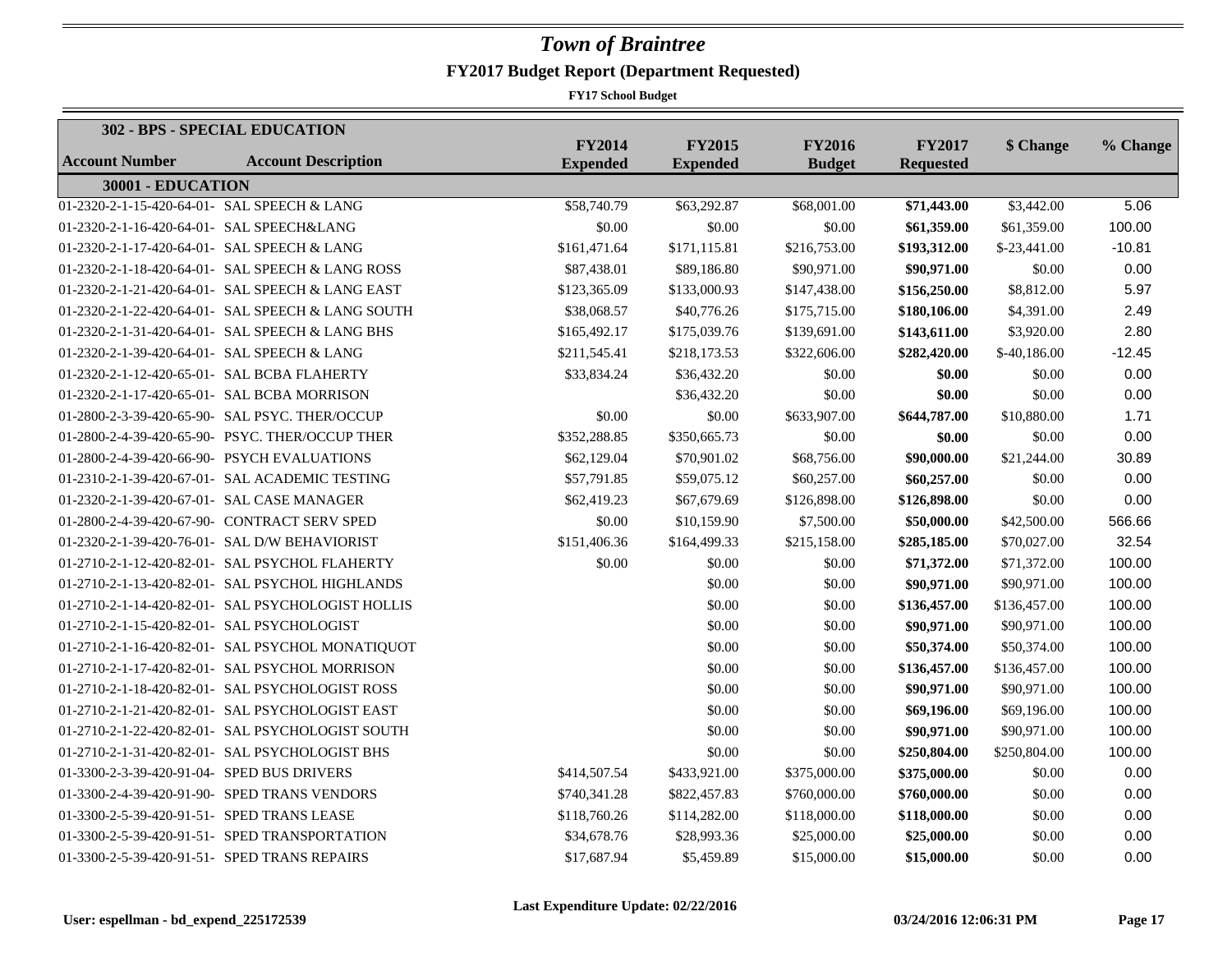|                                              | 302 - BPS - SPECIAL EDUCATION                     |                                  |                                  |                                |                                   |               |          |
|----------------------------------------------|---------------------------------------------------|----------------------------------|----------------------------------|--------------------------------|-----------------------------------|---------------|----------|
| <b>Account Number</b>                        | <b>Account Description</b>                        | <b>FY2014</b><br><b>Expended</b> | <b>FY2015</b><br><b>Expended</b> | <b>FY2016</b><br><b>Budget</b> | <b>FY2017</b><br><b>Requested</b> | \$ Change     | % Change |
| 30001 - EDUCATION                            |                                                   |                                  |                                  |                                |                                   |               |          |
| 01-2320-2-1-15-420-64-01- SAL SPEECH & LANG  |                                                   | \$58,740.79                      | \$63,292.87                      | \$68,001.00                    | \$71,443.00                       | \$3,442.00    | 5.06     |
| 01-2320-2-1-16-420-64-01- SAL SPEECH&LANG    |                                                   | \$0.00                           | \$0.00                           | \$0.00                         | \$61,359.00                       | \$61,359.00   | 100.00   |
| 01-2320-2-1-17-420-64-01- SAL SPEECH & LANG  |                                                   | \$161,471.64                     | \$171,115.81                     | \$216,753.00                   | \$193,312.00                      | $$-23,441.00$ | $-10.81$ |
|                                              | 01-2320-2-1-18-420-64-01- SAL SPEECH & LANG ROSS  | \$87,438.01                      | \$89,186.80                      | \$90,971.00                    | \$90,971.00                       | \$0.00        | 0.00     |
|                                              | 01-2320-2-1-21-420-64-01- SAL SPEECH & LANG EAST  | \$123,365.09                     | \$133,000.93                     | \$147,438.00                   | \$156,250.00                      | \$8,812.00    | 5.97     |
|                                              | 01-2320-2-1-22-420-64-01- SAL SPEECH & LANG SOUTH | \$38,068.57                      | \$40,776.26                      | \$175,715.00                   | \$180,106.00                      | \$4,391.00    | 2.49     |
|                                              | 01-2320-2-1-31-420-64-01- SAL SPEECH & LANG BHS   | \$165,492.17                     | \$175,039.76                     | \$139,691.00                   | \$143,611.00                      | \$3,920.00    | 2.80     |
| 01-2320-2-1-39-420-64-01- SAL SPEECH & LANG  |                                                   | \$211,545.41                     | \$218,173.53                     | \$322,606.00                   | \$282,420.00                      | $$-40,186.00$ | $-12.45$ |
| 01-2320-2-1-12-420-65-01- SAL BCBA FLAHERTY  |                                                   | \$33,834.24                      | \$36,432.20                      | \$0.00                         | \$0.00                            | \$0.00        | 0.00     |
| 01-2320-2-1-17-420-65-01- SAL BCBA MORRISON  |                                                   |                                  | \$36,432.20                      | \$0.00                         | \$0.00                            | \$0.00        | 0.00     |
|                                              | 01-2800-2-3-39-420-65-90- SAL PSYC. THER/OCCUP    | \$0.00                           | \$0.00                           | \$633,907.00                   | \$644,787.00                      | \$10,880.00   | 1.71     |
|                                              | 01-2800-2-4-39-420-65-90- PSYC. THER/OCCUP THER   | \$352,288.85                     | \$350,665.73                     | \$0.00                         | \$0.00                            | \$0.00        | 0.00     |
|                                              | 01-2800-2-4-39-420-66-90- PSYCH EVALUATIONS       | \$62,129.04                      | \$70,901.02                      | \$68,756.00                    | \$90,000.00                       | \$21,244.00   | 30.89    |
|                                              | 01-2310-2-1-39-420-67-01- SAL ACADEMIC TESTING    | \$57,791.85                      | \$59,075.12                      | \$60,257.00                    | \$60,257.00                       | \$0.00        | 0.00     |
| 01-2320-2-1-39-420-67-01- SAL CASE MANAGER   |                                                   | \$62,419.23                      | \$67,679.69                      | \$126,898.00                   | \$126,898.00                      | \$0.00        | 0.00     |
|                                              | 01-2800-2-4-39-420-67-90- CONTRACT SERV SPED      | \$0.00                           | \$10,159.90                      | \$7,500.00                     | \$50,000.00                       | \$42,500.00   | 566.66   |
|                                              | 01-2320-2-1-39-420-76-01- SAL D/W BEHAVIORIST     | \$151,406.36                     | \$164,499.33                     | \$215,158.00                   | \$285,185.00                      | \$70,027.00   | 32.54    |
|                                              | 01-2710-2-1-12-420-82-01- SAL PSYCHOL FLAHERTY    | \$0.00                           | \$0.00                           | \$0.00                         | \$71,372.00                       | \$71,372.00   | 100.00   |
|                                              | 01-2710-2-1-13-420-82-01- SAL PSYCHOL HIGHLANDS   |                                  | \$0.00                           | \$0.00                         | \$90,971.00                       | \$90,971.00   | 100.00   |
|                                              | 01-2710-2-1-14-420-82-01- SAL PSYCHOLOGIST HOLLIS |                                  | \$0.00                           | \$0.00                         | \$136,457.00                      | \$136,457.00  | 100.00   |
| 01-2710-2-1-15-420-82-01- SAL PSYCHOLOGIST   |                                                   |                                  | \$0.00                           | \$0.00                         | \$90,971.00                       | \$90,971.00   | 100.00   |
|                                              | 01-2710-2-1-16-420-82-01- SAL PSYCHOL MONATIQUOT  |                                  | \$0.00                           | \$0.00                         | \$50,374.00                       | \$50,374.00   | 100.00   |
|                                              | 01-2710-2-1-17-420-82-01- SAL PSYCHOL MORRISON    |                                  | \$0.00                           | \$0.00                         | \$136,457.00                      | \$136,457.00  | 100.00   |
|                                              | 01-2710-2-1-18-420-82-01- SAL PSYCHOLOGIST ROSS   |                                  | \$0.00                           | \$0.00                         | \$90,971.00                       | \$90,971.00   | 100.00   |
|                                              | 01-2710-2-1-21-420-82-01- SAL PSYCHOLOGIST EAST   |                                  | \$0.00                           | \$0.00                         | \$69,196.00                       | \$69,196.00   | 100.00   |
|                                              | 01-2710-2-1-22-420-82-01- SAL PSYCHOLOGIST SOUTH  |                                  | \$0.00                           | \$0.00                         | \$90,971.00                       | \$90,971.00   | 100.00   |
|                                              | 01-2710-2-1-31-420-82-01- SAL PSYCHOLOGIST BHS    |                                  | \$0.00                           | \$0.00                         | \$250,804.00                      | \$250,804.00  | 100.00   |
| 01-3300-2-3-39-420-91-04- SPED BUS DRIVERS   |                                                   | \$414,507.54                     | \$433,921.00                     | \$375,000.00                   | \$375,000.00                      | \$0.00        | 0.00     |
|                                              | 01-3300-2-4-39-420-91-90- SPED TRANS VENDORS      | \$740,341.28                     | \$822,457.83                     | \$760,000.00                   | \$760,000.00                      | \$0.00        | 0.00     |
| 01-3300-2-5-39-420-91-51- SPED TRANS LEASE   |                                                   | \$118,760.26                     | \$114,282.00                     | \$118,000.00                   | \$118,000.00                      | \$0.00        | 0.00     |
|                                              | 01-3300-2-5-39-420-91-51- SPED TRANSPORTATION     | \$34,678.76                      | \$28,993.36                      | \$25,000.00                    | \$25,000.00                       | \$0.00        | 0.00     |
| 01-3300-2-5-39-420-91-51- SPED TRANS REPAIRS |                                                   | \$17,687.94                      | \$5,459.89                       | \$15,000.00                    | \$15,000.00                       | \$0.00        | 0.00     |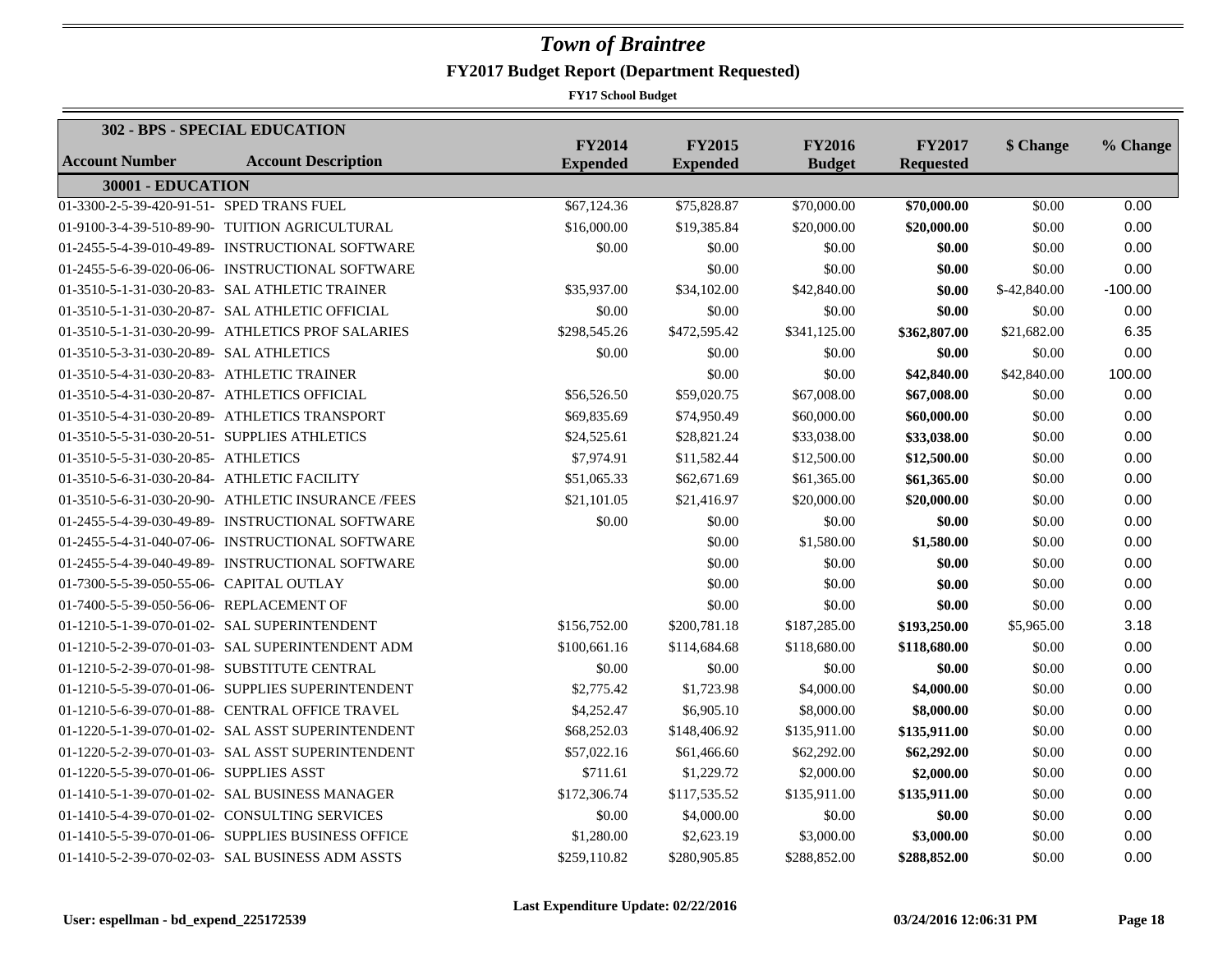|                                              | 302 - BPS - SPECIAL EDUCATION                      |                                  |                                  |                                |                                   |              |           |
|----------------------------------------------|----------------------------------------------------|----------------------------------|----------------------------------|--------------------------------|-----------------------------------|--------------|-----------|
| <b>Account Number</b>                        | <b>Account Description</b>                         | <b>FY2014</b><br><b>Expended</b> | <b>FY2015</b><br><b>Expended</b> | <b>FY2016</b><br><b>Budget</b> | <b>FY2017</b><br><b>Requested</b> | \$ Change    | % Change  |
| 30001 - EDUCATION                            |                                                    |                                  |                                  |                                |                                   |              |           |
| 01-3300-2-5-39-420-91-51- SPED TRANS FUEL    |                                                    | \$67,124.36                      | \$75,828.87                      | \$70,000.00                    | \$70,000.00                       | \$0.00       | 0.00      |
|                                              | 01-9100-3-4-39-510-89-90- TUITION AGRICULTURAL     | \$16,000.00                      | \$19,385.84                      | \$20,000.00                    | \$20,000.00                       | \$0.00       | 0.00      |
|                                              | 01-2455-5-4-39-010-49-89- INSTRUCTIONAL SOFTWARE   | \$0.00                           | \$0.00                           | \$0.00                         | \$0.00                            | \$0.00       | 0.00      |
|                                              | 01-2455-5-6-39-020-06-06- INSTRUCTIONAL SOFTWARE   |                                  | \$0.00                           | \$0.00                         | \$0.00                            | \$0.00       | 0.00      |
|                                              | 01-3510-5-1-31-030-20-83- SAL ATHLETIC TRAINER     | \$35,937.00                      | \$34,102.00                      | \$42,840.00                    | \$0.00                            | \$-42,840.00 | $-100.00$ |
|                                              | 01-3510-5-1-31-030-20-87- SAL ATHLETIC OFFICIAL    | \$0.00                           | \$0.00                           | \$0.00                         | \$0.00                            | \$0.00       | 0.00      |
|                                              | 01-3510-5-1-31-030-20-99- ATHLETICS PROF SALARIES  | \$298,545.26                     | \$472,595.42                     | \$341,125.00                   | \$362,807.00                      | \$21,682.00  | 6.35      |
| 01-3510-5-3-31-030-20-89- SAL ATHLETICS      |                                                    | \$0.00                           | \$0.00                           | \$0.00                         | \$0.00                            | \$0.00       | 0.00      |
| 01-3510-5-4-31-030-20-83- ATHLETIC TRAINER   |                                                    |                                  | \$0.00                           | \$0.00                         | \$42,840.00                       | \$42,840.00  | 100.00    |
| 01-3510-5-4-31-030-20-87- ATHLETICS OFFICIAL |                                                    | \$56,526.50                      | \$59,020.75                      | \$67,008.00                    | \$67,008.00                       | \$0.00       | 0.00      |
|                                              | 01-3510-5-4-31-030-20-89- ATHLETICS TRANSPORT      | \$69,835.69                      | \$74,950.49                      | \$60,000.00                    | \$60,000.00                       | \$0.00       | 0.00      |
| 01-3510-5-5-31-030-20-51- SUPPLIES ATHLETICS |                                                    | \$24,525.61                      | \$28,821.24                      | \$33,038.00                    | \$33,038.00                       | \$0.00       | 0.00      |
| 01-3510-5-5-31-030-20-85- ATHLETICS          |                                                    | \$7,974.91                       | \$11,582.44                      | \$12,500.00                    | \$12,500.00                       | \$0.00       | 0.00      |
| 01-3510-5-6-31-030-20-84- ATHLETIC FACILITY  |                                                    | \$51,065.33                      | \$62,671.69                      | \$61,365.00                    | \$61,365.00                       | \$0.00       | 0.00      |
|                                              | 01-3510-5-6-31-030-20-90- ATHLETIC INSURANCE /FEES | \$21,101.05                      | \$21,416.97                      | \$20,000.00                    | \$20,000.00                       | \$0.00       | 0.00      |
|                                              | 01-2455-5-4-39-030-49-89- INSTRUCTIONAL SOFTWARE   | \$0.00                           | \$0.00                           | \$0.00                         | \$0.00                            | \$0.00       | 0.00      |
|                                              | 01-2455-5-4-31-040-07-06- INSTRUCTIONAL SOFTWARE   |                                  | \$0.00                           | \$1,580.00                     | \$1,580.00                        | \$0.00       | 0.00      |
|                                              | 01-2455-5-4-39-040-49-89- INSTRUCTIONAL SOFTWARE   |                                  | \$0.00                           | \$0.00                         | \$0.00                            | \$0.00       | 0.00      |
| 01-7300-5-5-39-050-55-06- CAPITAL OUTLAY     |                                                    |                                  | \$0.00                           | \$0.00                         | \$0.00                            | \$0.00       | 0.00      |
| 01-7400-5-5-39-050-56-06- REPLACEMENT OF     |                                                    |                                  | \$0.00                           | \$0.00                         | \$0.00                            | \$0.00       | 0.00      |
|                                              | 01-1210-5-1-39-070-01-02- SAL SUPERINTENDENT       | \$156,752.00                     | \$200,781.18                     | \$187,285,00                   | \$193,250.00                      | \$5,965.00   | 3.18      |
|                                              | 01-1210-5-2-39-070-01-03- SAL SUPERINTENDENT ADM   | \$100,661.16                     | \$114,684.68                     | \$118,680.00                   | \$118,680.00                      | \$0.00       | 0.00      |
|                                              | 01-1210-5-2-39-070-01-98- SUBSTITUTE CENTRAL       | \$0.00                           | \$0.00                           | \$0.00                         | \$0.00                            | \$0.00       | 0.00      |
|                                              | 01-1210-5-5-39-070-01-06- SUPPLIES SUPERINTENDENT  | \$2,775.42                       | \$1,723.98                       | \$4,000.00                     | \$4,000.00                        | \$0.00       | 0.00      |
|                                              | 01-1210-5-6-39-070-01-88- CENTRAL OFFICE TRAVEL    | \$4,252.47                       | \$6,905.10                       | \$8,000.00                     | \$8,000.00                        | \$0.00       | 0.00      |
|                                              | 01-1220-5-1-39-070-01-02- SAL ASST SUPERINTENDENT  | \$68,252.03                      | \$148,406.92                     | \$135,911.00                   | \$135,911.00                      | \$0.00       | 0.00      |
|                                              | 01-1220-5-2-39-070-01-03- SAL ASST SUPERINTENDENT  | \$57,022.16                      | \$61,466.60                      | \$62,292.00                    | \$62,292.00                       | \$0.00       | 0.00      |
| 01-1220-5-5-39-070-01-06- SUPPLIES ASST      |                                                    | \$711.61                         | \$1,229.72                       | \$2,000.00                     | \$2,000.00                        | \$0.00       | 0.00      |
|                                              | 01-1410-5-1-39-070-01-02- SAL BUSINESS MANAGER     | \$172,306.74                     | \$117,535.52                     | \$135,911.00                   | \$135,911.00                      | \$0.00       | 0.00      |
|                                              | 01-1410-5-4-39-070-01-02- CONSULTING SERVICES      | \$0.00                           | \$4,000.00                       | \$0.00                         | \$0.00                            | \$0.00       | 0.00      |
|                                              | 01-1410-5-5-39-070-01-06- SUPPLIES BUSINESS OFFICE | \$1,280.00                       | \$2,623.19                       | \$3,000.00                     | \$3,000.00                        | \$0.00       | 0.00      |
|                                              | 01-1410-5-2-39-070-02-03- SAL BUSINESS ADM ASSTS   | \$259,110.82                     | \$280,905.85                     | \$288,852.00                   | \$288,852.00                      | \$0.00       | 0.00      |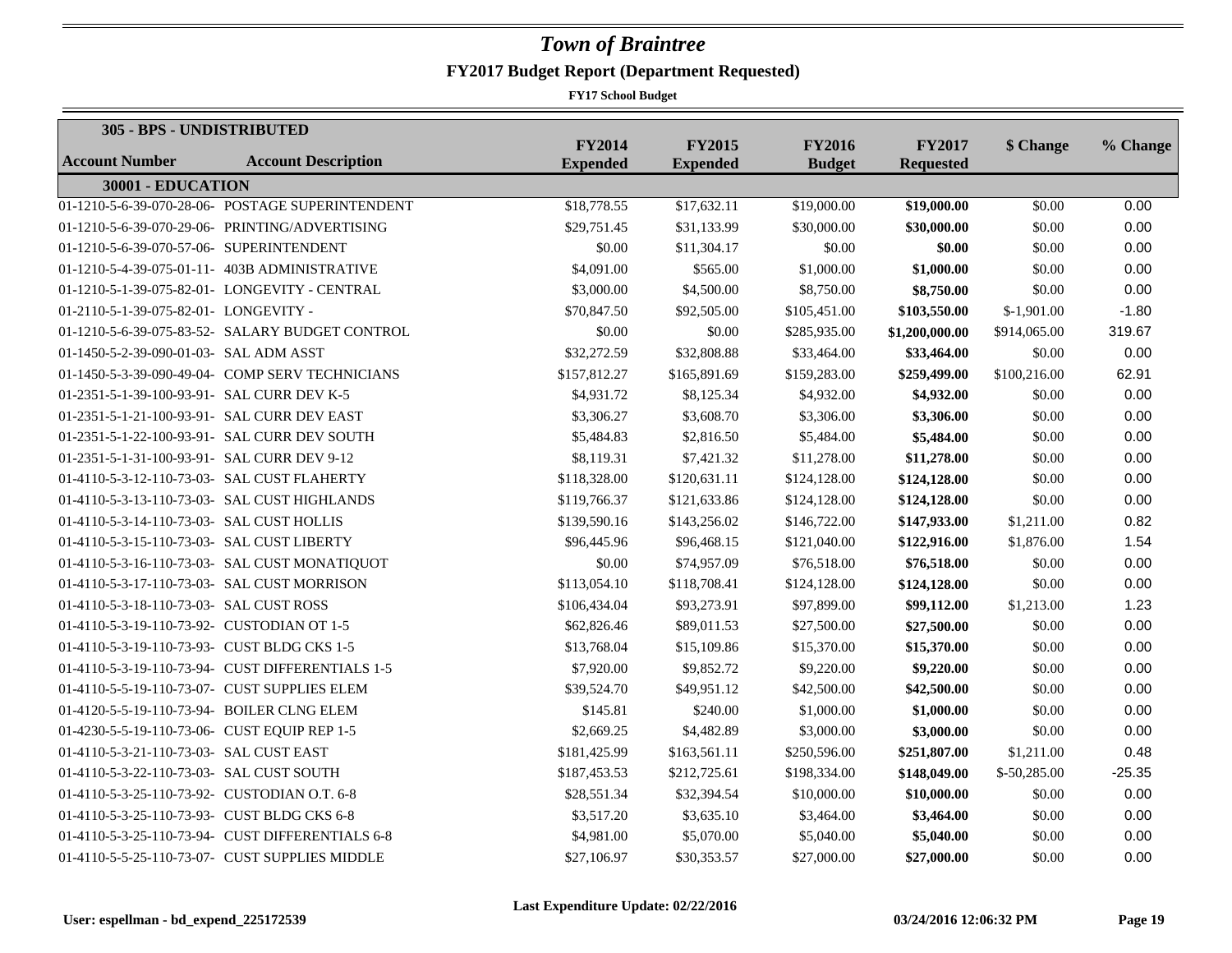| 305 - BPS - UNDISTRIBUTED                    |                                                  |                                  |                                  |                                |                                   |              |          |
|----------------------------------------------|--------------------------------------------------|----------------------------------|----------------------------------|--------------------------------|-----------------------------------|--------------|----------|
| <b>Account Number</b>                        | <b>Account Description</b>                       | <b>FY2014</b><br><b>Expended</b> | <b>FY2015</b><br><b>Expended</b> | <b>FY2016</b><br><b>Budget</b> | <b>FY2017</b><br><b>Requested</b> | \$ Change    | % Change |
| 30001 - EDUCATION                            |                                                  |                                  |                                  |                                |                                   |              |          |
|                                              | 01-1210-5-6-39-070-28-06- POSTAGE SUPERINTENDENT | \$18,778.55                      | \$17,632.11                      | \$19,000.00                    | \$19,000.00                       | \$0.00       | 0.00     |
|                                              | 01-1210-5-6-39-070-29-06- PRINTING/ADVERTISING   | \$29,751.45                      | \$31,133.99                      | \$30,000.00                    | \$30,000.00                       | \$0.00       | 0.00     |
| 01-1210-5-6-39-070-57-06- SUPERINTENDENT     |                                                  | \$0.00                           | \$11,304.17                      | \$0.00                         | \$0.00                            | \$0.00       | 0.00     |
|                                              | 01-1210-5-4-39-075-01-11- 403B ADMINISTRATIVE    | \$4,091.00                       | \$565.00                         | \$1,000.00                     | \$1,000.00                        | \$0.00       | 0.00     |
|                                              | 01-1210-5-1-39-075-82-01- LONGEVITY - CENTRAL    | \$3,000.00                       | \$4,500.00                       | \$8,750.00                     | \$8,750.00                        | \$0.00       | 0.00     |
| 01-2110-5-1-39-075-82-01- LONGEVITY -        |                                                  | \$70,847.50                      | \$92,505.00                      | \$105,451.00                   | \$103,550.00                      | $$-1,901.00$ | $-1.80$  |
|                                              | 01-1210-5-6-39-075-83-52- SALARY BUDGET CONTROL  | \$0.00                           | \$0.00                           | \$285,935.00                   | \$1,200,000.00                    | \$914,065.00 | 319.67   |
| 01-1450-5-2-39-090-01-03- SAL ADM ASST       |                                                  | \$32,272.59                      | \$32,808.88                      | \$33,464.00                    | \$33,464.00                       | \$0.00       | 0.00     |
|                                              | 01-1450-5-3-39-090-49-04- COMP SERV TECHNICIANS  | \$157,812.27                     | \$165,891.69                     | \$159,283.00                   | \$259,499.00                      | \$100,216.00 | 62.91    |
| 01-2351-5-1-39-100-93-91- SAL CURR DEV K-5   |                                                  | \$4,931.72                       | \$8,125.34                       | \$4,932.00                     | \$4,932.00                        | \$0.00       | 0.00     |
| 01-2351-5-1-21-100-93-91- SAL CURR DEV EAST  |                                                  | \$3,306.27                       | \$3,608.70                       | \$3,306.00                     | \$3,306.00                        | \$0.00       | 0.00     |
|                                              | 01-2351-5-1-22-100-93-91- SAL CURR DEV SOUTH     | \$5,484.83                       | \$2,816.50                       | \$5,484.00                     | \$5,484.00                        | \$0.00       | 0.00     |
| 01-2351-5-1-31-100-93-91- SAL CURR DEV 9-12  |                                                  | \$8,119.31                       | \$7,421.32                       | \$11,278.00                    | \$11,278.00                       | \$0.00       | 0.00     |
| 01-4110-5-3-12-110-73-03- SAL CUST FLAHERTY  |                                                  | \$118,328.00                     | \$120,631.11                     | \$124,128.00                   | \$124,128.00                      | \$0.00       | 0.00     |
|                                              | 01-4110-5-3-13-110-73-03- SAL CUST HIGHLANDS     | \$119,766.37                     | \$121,633.86                     | \$124,128.00                   | \$124,128.00                      | \$0.00       | 0.00     |
| 01-4110-5-3-14-110-73-03- SAL CUST HOLLIS    |                                                  | \$139,590.16                     | \$143,256.02                     | \$146,722.00                   | \$147,933.00                      | \$1,211.00   | 0.82     |
| 01-4110-5-3-15-110-73-03- SAL CUST LIBERTY   |                                                  | \$96,445.96                      | \$96,468.15                      | \$121,040.00                   | \$122,916.00                      | \$1,876.00   | 1.54     |
|                                              | 01-4110-5-3-16-110-73-03- SAL CUST MONATIQUOT    | \$0.00                           | \$74,957.09                      | \$76,518.00                    | \$76,518.00                       | \$0.00       | 0.00     |
| 01-4110-5-3-17-110-73-03- SAL CUST MORRISON  |                                                  | \$113,054.10                     | \$118,708.41                     | \$124,128.00                   | \$124,128.00                      | \$0.00       | 0.00     |
| 01-4110-5-3-18-110-73-03- SAL CUST ROSS      |                                                  | \$106,434.04                     | \$93,273.91                      | \$97,899.00                    | \$99,112.00                       | \$1,213.00   | 1.23     |
| 01-4110-5-3-19-110-73-92- CUSTODIAN OT 1-5   |                                                  | \$62,826.46                      | \$89,011.53                      | \$27,500.00                    | \$27,500.00                       | \$0.00       | 0.00     |
| 01-4110-5-3-19-110-73-93- CUST BLDG CKS 1-5  |                                                  | \$13,768.04                      | \$15,109.86                      | \$15,370.00                    | \$15,370.00                       | \$0.00       | 0.00     |
|                                              | 01-4110-5-3-19-110-73-94- CUST DIFFERENTIALS 1-5 | \$7,920.00                       | \$9,852.72                       | \$9,220.00                     | \$9,220.00                        | \$0.00       | 0.00     |
| 01-4110-5-5-19-110-73-07- CUST SUPPLIES ELEM |                                                  | \$39,524.70                      | \$49,951.12                      | \$42,500.00                    | \$42,500.00                       | \$0.00       | 0.00     |
| 01-4120-5-5-19-110-73-94- BOILER CLNG ELEM   |                                                  | \$145.81                         | \$240.00                         | \$1,000.00                     | \$1,000.00                        | \$0.00       | 0.00     |
| 01-4230-5-5-19-110-73-06- CUST EQUIP REP 1-5 |                                                  | \$2,669.25                       | \$4,482.89                       | \$3,000.00                     | \$3,000.00                        | \$0.00       | 0.00     |
| 01-4110-5-3-21-110-73-03- SAL CUST EAST      |                                                  | \$181,425.99                     | \$163,561.11                     | \$250,596.00                   | \$251,807.00                      | \$1,211.00   | 0.48     |
| 01-4110-5-3-22-110-73-03- SAL CUST SOUTH     |                                                  | \$187,453.53                     | \$212,725.61                     | \$198,334.00                   | \$148,049.00                      | \$-50,285.00 | $-25.35$ |
| 01-4110-5-3-25-110-73-92- CUSTODIAN O.T. 6-8 |                                                  | \$28,551.34                      | \$32,394.54                      | \$10,000.00                    | \$10,000.00                       | \$0.00       | 0.00     |
| 01-4110-5-3-25-110-73-93- CUST BLDG CKS 6-8  |                                                  | \$3,517.20                       | \$3,635.10                       | \$3,464.00                     | \$3,464.00                        | \$0.00       | 0.00     |
|                                              | 01-4110-5-3-25-110-73-94- CUST DIFFERENTIALS 6-8 | \$4,981.00                       | \$5,070.00                       | \$5,040.00                     | \$5,040.00                        | \$0.00       | 0.00     |
|                                              | 01-4110-5-5-25-110-73-07- CUST SUPPLIES MIDDLE   | \$27,106.97                      | \$30,353.57                      | \$27,000.00                    | \$27,000.00                       | \$0.00       | 0.00     |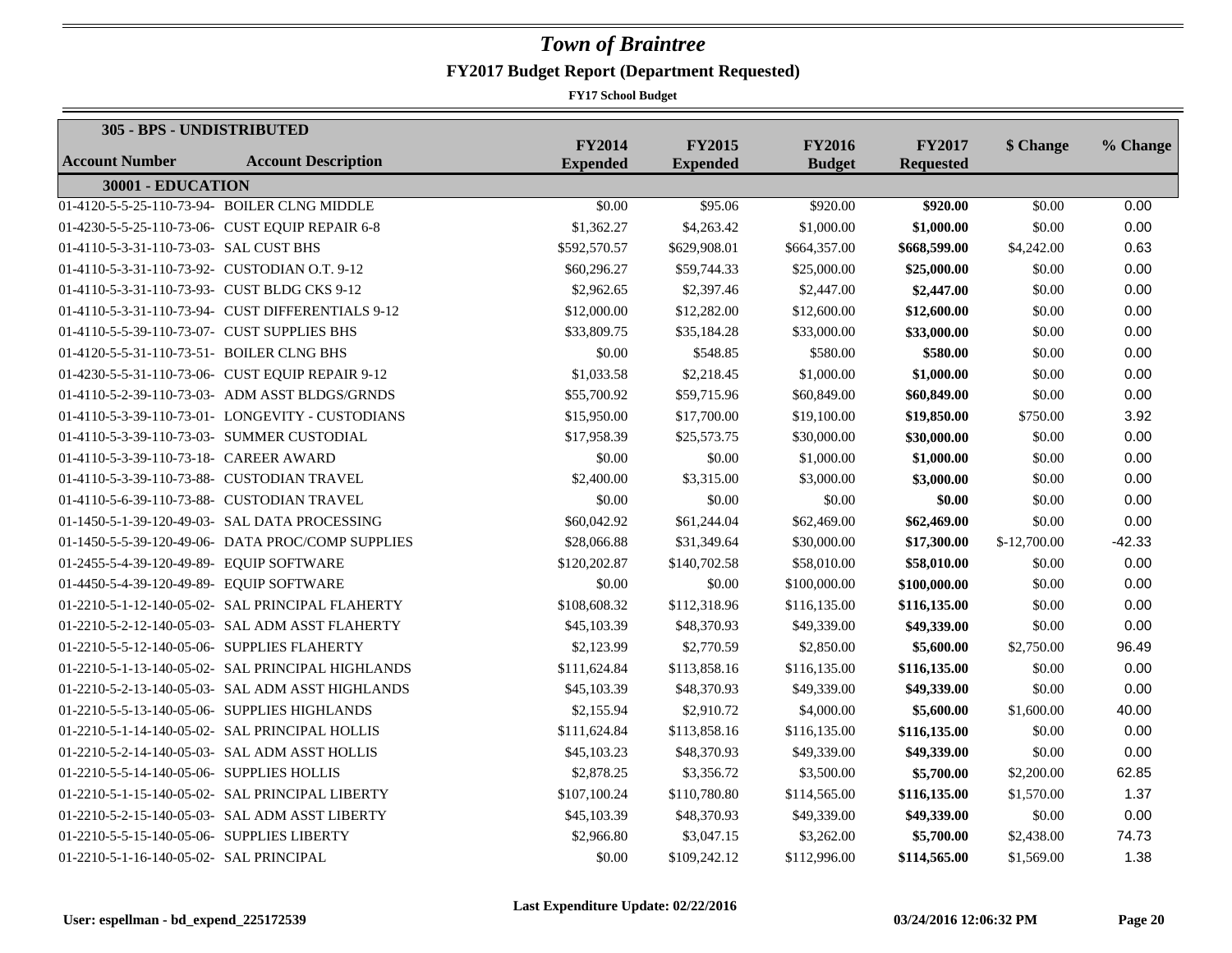| 305 - BPS - UNDISTRIBUTED                     |                                                   |                                  |                                  |                                |                                   |               |          |
|-----------------------------------------------|---------------------------------------------------|----------------------------------|----------------------------------|--------------------------------|-----------------------------------|---------------|----------|
| <b>Account Number</b>                         | <b>Account Description</b>                        | <b>FY2014</b><br><b>Expended</b> | <b>FY2015</b><br><b>Expended</b> | <b>FY2016</b><br><b>Budget</b> | <b>FY2017</b><br><b>Requested</b> | \$ Change     | % Change |
| 30001 - EDUCATION                             |                                                   |                                  |                                  |                                |                                   |               |          |
|                                               | 01-4120-5-5-25-110-73-94- BOILER CLNG MIDDLE      | \$0.00                           | \$95.06                          | \$920.00                       | \$920.00                          | \$0.00        | 0.00     |
|                                               | 01-4230-5-5-25-110-73-06- CUST EQUIP REPAIR 6-8   | \$1,362.27                       | \$4,263.42                       | \$1,000.00                     | \$1,000.00                        | \$0.00        | 0.00     |
| 01-4110-5-3-31-110-73-03- SAL CUST BHS        |                                                   | \$592,570.57                     | \$629,908.01                     | \$664,357.00                   | \$668,599.00                      | \$4,242.00    | 0.63     |
| 01-4110-5-3-31-110-73-92- CUSTODIAN O.T. 9-12 |                                                   | \$60,296.27                      | \$59,744.33                      | \$25,000.00                    | \$25,000.00                       | \$0.00        | 0.00     |
| 01-4110-5-3-31-110-73-93- CUST BLDG CKS 9-12  |                                                   | \$2,962.65                       | \$2,397.46                       | \$2,447.00                     | \$2,447.00                        | \$0.00        | 0.00     |
|                                               | 01-4110-5-3-31-110-73-94- CUST DIFFERENTIALS 9-12 | \$12,000.00                      | \$12,282.00                      | \$12,600.00                    | \$12,600.00                       | \$0.00        | 0.00     |
| 01-4110-5-5-39-110-73-07- CUST SUPPLIES BHS   |                                                   | \$33,809.75                      | \$35,184.28                      | \$33,000.00                    | \$33,000.00                       | \$0.00        | 0.00     |
| 01-4120-5-5-31-110-73-51- BOILER CLNG BHS     |                                                   | \$0.00                           | \$548.85                         | \$580.00                       | \$580.00                          | \$0.00        | 0.00     |
|                                               | 01-4230-5-5-31-110-73-06- CUST EQUIP REPAIR 9-12  | \$1,033.58                       | \$2,218.45                       | \$1,000.00                     | \$1,000.00                        | \$0.00        | 0.00     |
|                                               | 01-4110-5-2-39-110-73-03- ADM ASST BLDGS/GRNDS    | \$55,700.92                      | \$59,715.96                      | \$60,849.00                    | \$60,849.00                       | \$0.00        | 0.00     |
|                                               | 01-4110-5-3-39-110-73-01- LONGEVITY - CUSTODIANS  | \$15,950.00                      | \$17,700.00                      | \$19,100.00                    | \$19,850.00                       | \$750.00      | 3.92     |
| 01-4110-5-3-39-110-73-03- SUMMER CUSTODIAL    |                                                   | \$17,958.39                      | \$25,573.75                      | \$30,000.00                    | \$30,000.00                       | \$0.00        | 0.00     |
| 01-4110-5-3-39-110-73-18- CAREER AWARD        |                                                   | \$0.00                           | \$0.00                           | \$1,000.00                     | \$1,000.00                        | \$0.00        | 0.00     |
| 01-4110-5-3-39-110-73-88- CUSTODIAN TRAVEL    |                                                   | \$2,400.00                       | \$3,315.00                       | \$3,000.00                     | \$3,000.00                        | \$0.00        | 0.00     |
| 01-4110-5-6-39-110-73-88- CUSTODIAN TRAVEL    |                                                   | \$0.00                           | \$0.00                           | \$0.00                         | \$0.00                            | \$0.00        | 0.00     |
|                                               | 01-1450-5-1-39-120-49-03- SAL DATA PROCESSING     | \$60,042.92                      | \$61,244.04                      | \$62,469.00                    | \$62,469.00                       | \$0.00        | 0.00     |
|                                               | 01-1450-5-5-39-120-49-06- DATA PROC/COMP SUPPLIES | \$28,066.88                      | \$31,349.64                      | \$30,000.00                    | \$17,300.00                       | $$-12,700.00$ | $-42.33$ |
| 01-2455-5-4-39-120-49-89- EQUIP SOFTWARE      |                                                   | \$120,202.87                     | \$140,702.58                     | \$58,010.00                    | \$58,010.00                       | \$0.00        | 0.00     |
| 01-4450-5-4-39-120-49-89- EQUIP SOFTWARE      |                                                   | \$0.00                           | \$0.00                           | \$100,000.00                   | \$100,000.00                      | \$0.00        | 0.00     |
|                                               | 01-2210-5-1-12-140-05-02- SAL PRINCIPAL FLAHERTY  | \$108,608.32                     | \$112,318.96                     | \$116,135.00                   | \$116,135.00                      | \$0.00        | 0.00     |
|                                               | 01-2210-5-2-12-140-05-03- SAL ADM ASST FLAHERTY   | \$45,103.39                      | \$48,370.93                      | \$49,339.00                    | \$49,339.00                       | \$0.00        | 0.00     |
| 01-2210-5-5-12-140-05-06- SUPPLIES FLAHERTY   |                                                   | \$2,123.99                       | \$2,770.59                       | \$2,850.00                     | \$5,600.00                        | \$2,750.00    | 96.49    |
|                                               | 01-2210-5-1-13-140-05-02- SAL PRINCIPAL HIGHLANDS | \$111,624.84                     | \$113,858.16                     | \$116,135.00                   | \$116,135.00                      | \$0.00        | 0.00     |
|                                               | 01-2210-5-2-13-140-05-03- SAL ADM ASST HIGHLANDS  | \$45,103.39                      | \$48,370.93                      | \$49,339.00                    | \$49,339.00                       | \$0.00        | 0.00     |
|                                               | 01-2210-5-5-13-140-05-06- SUPPLIES HIGHLANDS      | \$2,155.94                       | \$2,910.72                       | \$4,000.00                     | \$5,600.00                        | \$1,600.00    | 40.00    |
|                                               | 01-2210-5-1-14-140-05-02- SAL PRINCIPAL HOLLIS    | \$111,624.84                     | \$113,858.16                     | \$116,135.00                   | \$116,135.00                      | \$0.00        | 0.00     |
|                                               | 01-2210-5-2-14-140-05-03- SAL ADM ASST HOLLIS     | \$45,103.23                      | \$48,370.93                      | \$49,339.00                    | \$49,339.00                       | \$0.00        | 0.00     |
| 01-2210-5-5-14-140-05-06- SUPPLIES HOLLIS     |                                                   | \$2,878.25                       | \$3,356.72                       | \$3,500.00                     | \$5,700.00                        | \$2,200.00    | 62.85    |
|                                               | 01-2210-5-1-15-140-05-02- SAL PRINCIPAL LIBERTY   | \$107,100.24                     | \$110,780.80                     | \$114,565.00                   | \$116,135.00                      | \$1,570.00    | 1.37     |
|                                               | 01-2210-5-2-15-140-05-03- SAL ADM ASST LIBERTY    | \$45,103.39                      | \$48,370.93                      | \$49,339.00                    | \$49,339.00                       | \$0.00        | 0.00     |
| 01-2210-5-5-15-140-05-06- SUPPLIES LIBERTY    |                                                   | \$2,966.80                       | \$3,047.15                       | \$3,262.00                     | \$5,700.00                        | \$2,438.00    | 74.73    |
| 01-2210-5-1-16-140-05-02- SAL PRINCIPAL       |                                                   | \$0.00                           | \$109,242.12                     | \$112,996.00                   | \$114,565.00                      | \$1,569.00    | 1.38     |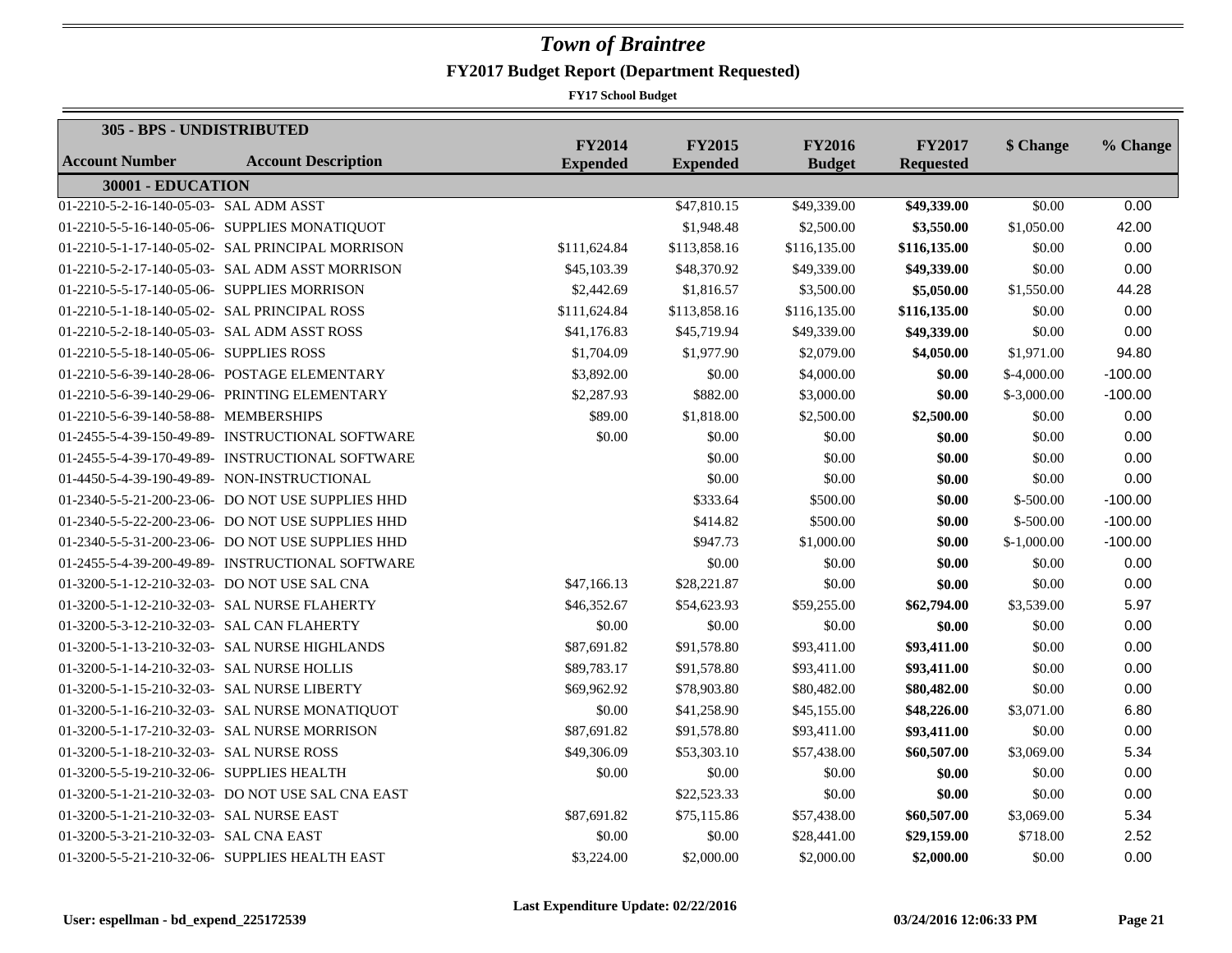| 305 - BPS - UNDISTRIBUTED                    |                                                   |                                  |                                  |                                |                                   |              |           |
|----------------------------------------------|---------------------------------------------------|----------------------------------|----------------------------------|--------------------------------|-----------------------------------|--------------|-----------|
| <b>Account Number</b>                        | <b>Account Description</b>                        | <b>FY2014</b><br><b>Expended</b> | <b>FY2015</b><br><b>Expended</b> | <b>FY2016</b><br><b>Budget</b> | <b>FY2017</b><br><b>Requested</b> | \$ Change    | % Change  |
| 30001 - EDUCATION                            |                                                   |                                  |                                  |                                |                                   |              |           |
| 01-2210-5-2-16-140-05-03- SAL ADM ASST       |                                                   |                                  | \$47,810.15                      | \$49,339.00                    | \$49,339.00                       | \$0.00       | 0.00      |
|                                              | 01-2210-5-5-16-140-05-06- SUPPLIES MONATIQUOT     |                                  | \$1,948.48                       | \$2,500.00                     | \$3,550.00                        | \$1,050.00   | 42.00     |
|                                              | 01-2210-5-1-17-140-05-02- SAL PRINCIPAL MORRISON  | \$111,624.84                     | \$113,858.16                     | \$116,135.00                   | \$116,135.00                      | \$0.00       | 0.00      |
|                                              | 01-2210-5-2-17-140-05-03- SAL ADM ASST MORRISON   | \$45,103.39                      | \$48,370.92                      | \$49,339.00                    | \$49,339.00                       | \$0.00       | 0.00      |
| 01-2210-5-5-17-140-05-06- SUPPLIES MORRISON  |                                                   | \$2,442.69                       | \$1,816.57                       | \$3,500.00                     | \$5,050.00                        | \$1,550.00   | 44.28     |
| 01-2210-5-1-18-140-05-02- SAL PRINCIPAL ROSS |                                                   | \$111,624.84                     | \$113,858.16                     | \$116,135.00                   | \$116,135.00                      | \$0.00       | 0.00      |
| 01-2210-5-2-18-140-05-03- SAL ADM ASST ROSS  |                                                   | \$41,176.83                      | \$45,719.94                      | \$49,339.00                    | \$49,339.00                       | \$0.00       | 0.00      |
| 01-2210-5-5-18-140-05-06- SUPPLIES ROSS      |                                                   | \$1,704.09                       | \$1,977.90                       | \$2,079.00                     | \$4,050.00                        | \$1,971.00   | 94.80     |
|                                              | 01-2210-5-6-39-140-28-06- POSTAGE ELEMENTARY      | \$3,892.00                       | \$0.00                           | \$4,000.00                     | \$0.00                            | $$-4,000.00$ | $-100.00$ |
|                                              | 01-2210-5-6-39-140-29-06- PRINTING ELEMENTARY     | \$2,287.93                       | \$882.00                         | \$3,000.00                     | \$0.00                            | $$-3,000.00$ | $-100.00$ |
| 01-2210-5-6-39-140-58-88- MEMBERSHIPS        |                                                   | \$89.00                          | \$1,818.00                       | \$2,500.00                     | \$2,500.00                        | \$0.00       | 0.00      |
|                                              | 01-2455-5-4-39-150-49-89- INSTRUCTIONAL SOFTWARE  | \$0.00                           | \$0.00                           | \$0.00                         | \$0.00                            | \$0.00       | 0.00      |
|                                              | 01-2455-5-4-39-170-49-89- INSTRUCTIONAL SOFTWARE  |                                  | \$0.00                           | \$0.00                         | \$0.00                            | \$0.00       | 0.00      |
|                                              | 01-4450-5-4-39-190-49-89- NON-INSTRUCTIONAL       |                                  | \$0.00                           | \$0.00                         | \$0.00                            | \$0.00       | 0.00      |
|                                              | 01-2340-5-5-21-200-23-06- DO NOT USE SUPPLIES HHD |                                  | \$333.64                         | \$500.00                       | \$0.00                            | $$-500.00$   | $-100.00$ |
|                                              | 01-2340-5-5-22-200-23-06- DO NOT USE SUPPLIES HHD |                                  | \$414.82                         | \$500.00                       | \$0.00                            | $$-500.00$   | $-100.00$ |
|                                              | 01-2340-5-5-31-200-23-06- DO NOT USE SUPPLIES HHD |                                  | \$947.73                         | \$1,000.00                     | \$0.00                            | $$-1,000.00$ | $-100.00$ |
|                                              | 01-2455-5-4-39-200-49-89- INSTRUCTIONAL SOFTWARE  |                                  | \$0.00                           | \$0.00                         | \$0.00                            | \$0.00       | 0.00      |
|                                              | 01-3200-5-1-12-210-32-03- DO NOT USE SAL CNA      | \$47,166.13                      | \$28,221.87                      | \$0.00                         | \$0.00                            | \$0.00       | 0.00      |
|                                              | 01-3200-5-1-12-210-32-03- SAL NURSE FLAHERTY      | \$46,352.67                      | \$54,623.93                      | \$59,255.00                    | \$62,794.00                       | \$3,539.00   | 5.97      |
| 01-3200-5-3-12-210-32-03- SAL CAN FLAHERTY   |                                                   | \$0.00                           | \$0.00                           | \$0.00                         | \$0.00                            | \$0.00       | 0.00      |
|                                              | 01-3200-5-1-13-210-32-03- SAL NURSE HIGHLANDS     | \$87,691.82                      | \$91,578.80                      | \$93,411.00                    | \$93,411.00                       | \$0.00       | 0.00      |
| 01-3200-5-1-14-210-32-03- SAL NURSE HOLLIS   |                                                   | \$89,783.17                      | \$91,578.80                      | \$93,411.00                    | \$93,411.00                       | \$0.00       | 0.00      |
| 01-3200-5-1-15-210-32-03- SAL NURSE LIBERTY  |                                                   | \$69,962.92                      | \$78,903.80                      | \$80,482.00                    | \$80,482.00                       | \$0.00       | 0.00      |
|                                              | 01-3200-5-1-16-210-32-03- SAL NURSE MONATIQUOT    | \$0.00                           | \$41,258.90                      | \$45,155.00                    | \$48,226.00                       | \$3,071.00   | 6.80      |
|                                              | 01-3200-5-1-17-210-32-03- SAL NURSE MORRISON      | \$87,691.82                      | \$91,578.80                      | \$93,411.00                    | \$93,411.00                       | \$0.00       | 0.00      |
| 01-3200-5-1-18-210-32-03- SAL NURSE ROSS     |                                                   | \$49,306.09                      | \$53,303.10                      | \$57,438.00                    | \$60,507.00                       | \$3,069.00   | 5.34      |
| 01-3200-5-5-19-210-32-06- SUPPLIES HEALTH    |                                                   | \$0.00                           | \$0.00                           | \$0.00                         | \$0.00                            | \$0.00       | 0.00      |
|                                              | 01-3200-5-1-21-210-32-03- DO NOT USE SAL CNA EAST |                                  | \$22,523.33                      | \$0.00                         | \$0.00                            | \$0.00       | 0.00      |
| 01-3200-5-1-21-210-32-03- SAL NURSE EAST     |                                                   | \$87,691.82                      | \$75,115.86                      | \$57,438.00                    | \$60,507.00                       | \$3,069.00   | 5.34      |
| 01-3200-5-3-21-210-32-03- SAL CNA EAST       |                                                   | \$0.00                           | \$0.00                           | \$28,441.00                    | \$29,159.00                       | \$718.00     | 2.52      |
|                                              | 01-3200-5-5-21-210-32-06- SUPPLIES HEALTH EAST    | \$3,224.00                       | \$2,000.00                       | \$2,000.00                     | \$2,000.00                        | \$0.00       | 0.00      |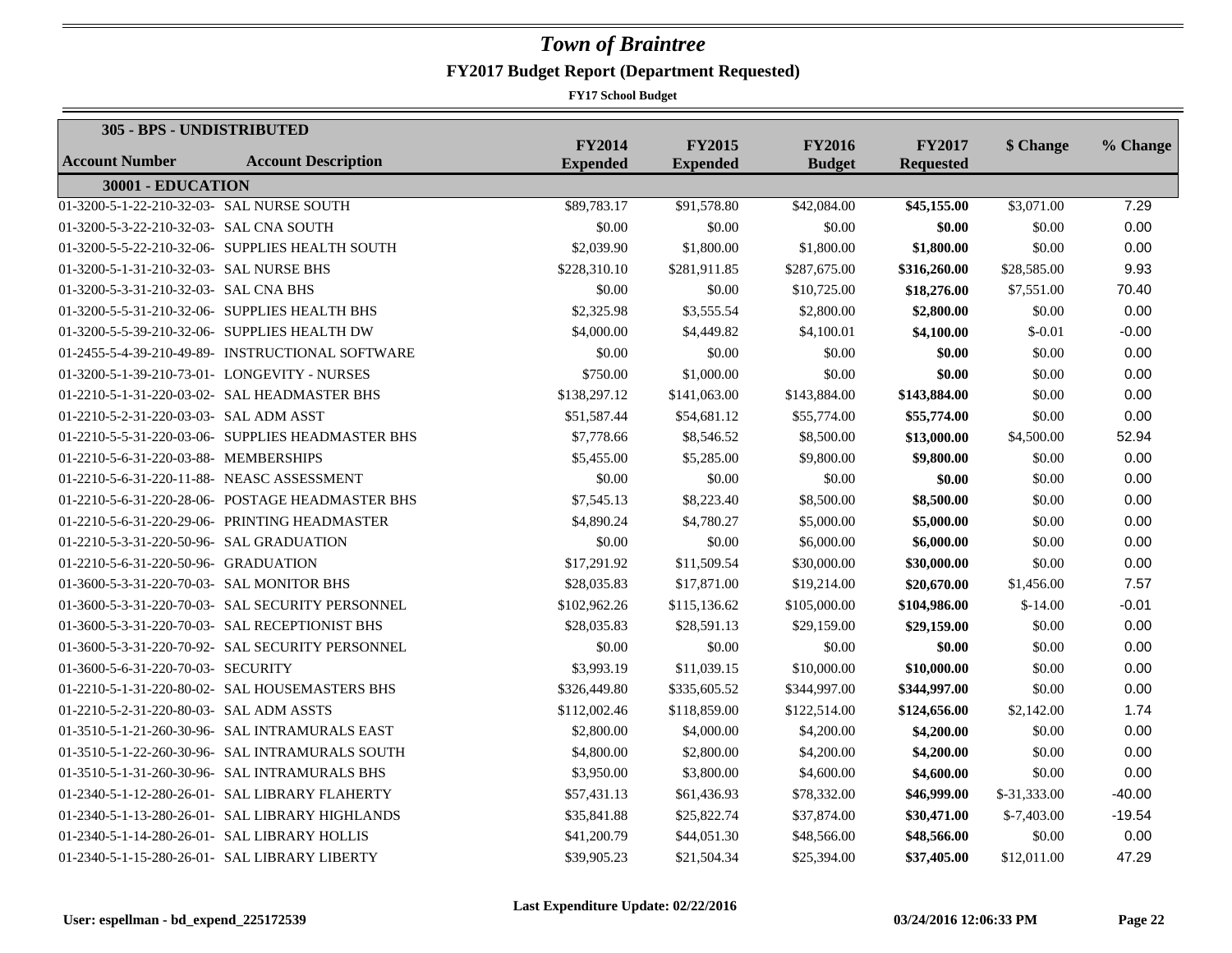| 305 - BPS - UNDISTRIBUTED                  |                                                   |                                  |                                  |                                |                                   |               |          |
|--------------------------------------------|---------------------------------------------------|----------------------------------|----------------------------------|--------------------------------|-----------------------------------|---------------|----------|
| <b>Account Number</b>                      | <b>Account Description</b>                        | <b>FY2014</b><br><b>Expended</b> | <b>FY2015</b><br><b>Expended</b> | <b>FY2016</b><br><b>Budget</b> | <b>FY2017</b><br><b>Requested</b> | \$ Change     | % Change |
| 30001 - EDUCATION                          |                                                   |                                  |                                  |                                |                                   |               |          |
| 01-3200-5-1-22-210-32-03- SAL NURSE SOUTH  |                                                   | \$89,783.17                      | \$91,578.80                      | \$42,084.00                    | \$45,155.00                       | \$3,071.00    | 7.29     |
| 01-3200-5-3-22-210-32-03- SAL CNA SOUTH    |                                                   | \$0.00                           | \$0.00                           | \$0.00                         | \$0.00                            | \$0.00        | 0.00     |
|                                            | 01-3200-5-5-22-210-32-06- SUPPLIES HEALTH SOUTH   | \$2,039.90                       | \$1,800.00                       | \$1,800.00                     | \$1,800.00                        | \$0.00        | 0.00     |
| 01-3200-5-1-31-210-32-03- SAL NURSE BHS    |                                                   | \$228,310.10                     | \$281,911.85                     | \$287,675.00                   | \$316,260.00                      | \$28,585.00   | 9.93     |
| 01-3200-5-3-31-210-32-03- SAL CNA BHS      |                                                   | \$0.00                           | \$0.00                           | \$10,725.00                    | \$18,276.00                       | \$7,551.00    | 70.40    |
|                                            | 01-3200-5-5-31-210-32-06- SUPPLIES HEALTH BHS     | \$2,325.98                       | \$3,555.54                       | \$2,800.00                     | \$2,800.00                        | \$0.00        | 0.00     |
|                                            | 01-3200-5-5-39-210-32-06- SUPPLIES HEALTH DW      | \$4,000.00                       | \$4,449.82                       | \$4,100.01                     | \$4,100.00                        | $$-0.01$      | $-0.00$  |
|                                            | 01-2455-5-4-39-210-49-89- INSTRUCTIONAL SOFTWARE  | \$0.00                           | \$0.00                           | \$0.00                         | \$0.00                            | \$0.00        | 0.00     |
|                                            | 01-3200-5-1-39-210-73-01- LONGEVITY - NURSES      | \$750.00                         | \$1,000.00                       | \$0.00                         | \$0.00                            | \$0.00        | 0.00     |
|                                            | 01-2210-5-1-31-220-03-02- SAL HEADMASTER BHS      | \$138,297.12                     | \$141,063.00                     | \$143,884.00                   | \$143,884.00                      | \$0.00        | 0.00     |
| 01-2210-5-2-31-220-03-03- SAL ADM ASST     |                                                   | \$51,587.44                      | \$54,681.12                      | \$55,774.00                    | \$55,774.00                       | \$0.00        | 0.00     |
|                                            | 01-2210-5-5-31-220-03-06- SUPPLIES HEADMASTER BHS | \$7,778.66                       | \$8,546.52                       | \$8,500.00                     | \$13,000.00                       | \$4,500.00    | 52.94    |
| 01-2210-5-6-31-220-03-88- MEMBERSHIPS      |                                                   | \$5,455.00                       | \$5,285.00                       | \$9,800.00                     | \$9,800.00                        | \$0.00        | 0.00     |
| 01-2210-5-6-31-220-11-88- NEASC ASSESSMENT |                                                   | \$0.00                           | \$0.00                           | \$0.00                         | \$0.00                            | \$0.00        | 0.00     |
|                                            | 01-2210-5-6-31-220-28-06- POSTAGE HEADMASTER BHS  | \$7,545.13                       | \$8,223.40                       | \$8,500.00                     | \$8,500.00                        | \$0.00        | 0.00     |
|                                            | 01-2210-5-6-31-220-29-06- PRINTING HEADMASTER     | \$4,890.24                       | \$4,780.27                       | \$5,000.00                     | \$5,000.00                        | \$0.00        | 0.00     |
| 01-2210-5-3-31-220-50-96- SAL GRADUATION   |                                                   | \$0.00                           | \$0.00                           | \$6,000.00                     | \$6,000.00                        | \$0.00        | 0.00     |
| 01-2210-5-6-31-220-50-96- GRADUATION       |                                                   | \$17,291.92                      | \$11,509.54                      | \$30,000.00                    | \$30,000.00                       | \$0.00        | 0.00     |
| 01-3600-5-3-31-220-70-03- SAL MONITOR BHS  |                                                   | \$28,035.83                      | \$17,871.00                      | \$19,214.00                    | \$20,670.00                       | \$1,456.00    | 7.57     |
|                                            | 01-3600-5-3-31-220-70-03- SAL SECURITY PERSONNEL  | \$102,962.26                     | \$115,136.62                     | \$105,000.00                   | \$104,986.00                      | $$-14.00$     | $-0.01$  |
|                                            | 01-3600-5-3-31-220-70-03- SAL RECEPTIONIST BHS    | \$28,035.83                      | \$28,591.13                      | \$29,159.00                    | \$29,159.00                       | \$0.00        | 0.00     |
|                                            | 01-3600-5-3-31-220-70-92- SAL SECURITY PERSONNEL  | \$0.00                           | \$0.00                           | \$0.00                         | \$0.00                            | \$0.00        | 0.00     |
| 01-3600-5-6-31-220-70-03- SECURITY         |                                                   | \$3,993.19                       | \$11,039.15                      | \$10,000.00                    | \$10,000.00                       | \$0.00        | 0.00     |
|                                            | 01-2210-5-1-31-220-80-02- SAL HOUSEMASTERS BHS    | \$326,449.80                     | \$335,605.52                     | \$344,997.00                   | \$344,997.00                      | \$0.00        | 0.00     |
| 01-2210-5-2-31-220-80-03- SAL ADM ASSTS    |                                                   | \$112,002.46                     | \$118,859.00                     | \$122,514.00                   | \$124,656.00                      | \$2,142.00    | 1.74     |
|                                            | 01-3510-5-1-21-260-30-96- SAL INTRAMURALS EAST    | \$2,800.00                       | \$4,000.00                       | \$4,200.00                     | \$4,200.00                        | \$0.00        | 0.00     |
|                                            | 01-3510-5-1-22-260-30-96- SAL INTRAMURALS SOUTH   | \$4,800.00                       | \$2,800.00                       | \$4,200.00                     | \$4,200.00                        | \$0.00        | 0.00     |
|                                            | 01-3510-5-1-31-260-30-96- SAL INTRAMURALS BHS     | \$3,950.00                       | \$3,800.00                       | \$4,600.00                     | \$4,600.00                        | \$0.00        | 0.00     |
|                                            | 01-2340-5-1-12-280-26-01- SAL LIBRARY FLAHERTY    | \$57,431.13                      | \$61,436.93                      | \$78,332.00                    | \$46,999.00                       | $$-31,333.00$ | $-40.00$ |
|                                            | 01-2340-5-1-13-280-26-01- SAL LIBRARY HIGHLANDS   | \$35,841.88                      | \$25,822.74                      | \$37,874.00                    | \$30,471.00                       | $$-7,403.00$  | $-19.54$ |
|                                            | 01-2340-5-1-14-280-26-01- SAL LIBRARY HOLLIS      | \$41,200.79                      | \$44,051.30                      | \$48,566.00                    | \$48,566.00                       | \$0.00        | 0.00     |
|                                            | 01-2340-5-1-15-280-26-01- SAL LIBRARY LIBERTY     | \$39,905.23                      | \$21,504.34                      | \$25,394.00                    | \$37,405.00                       | \$12,011.00   | 47.29    |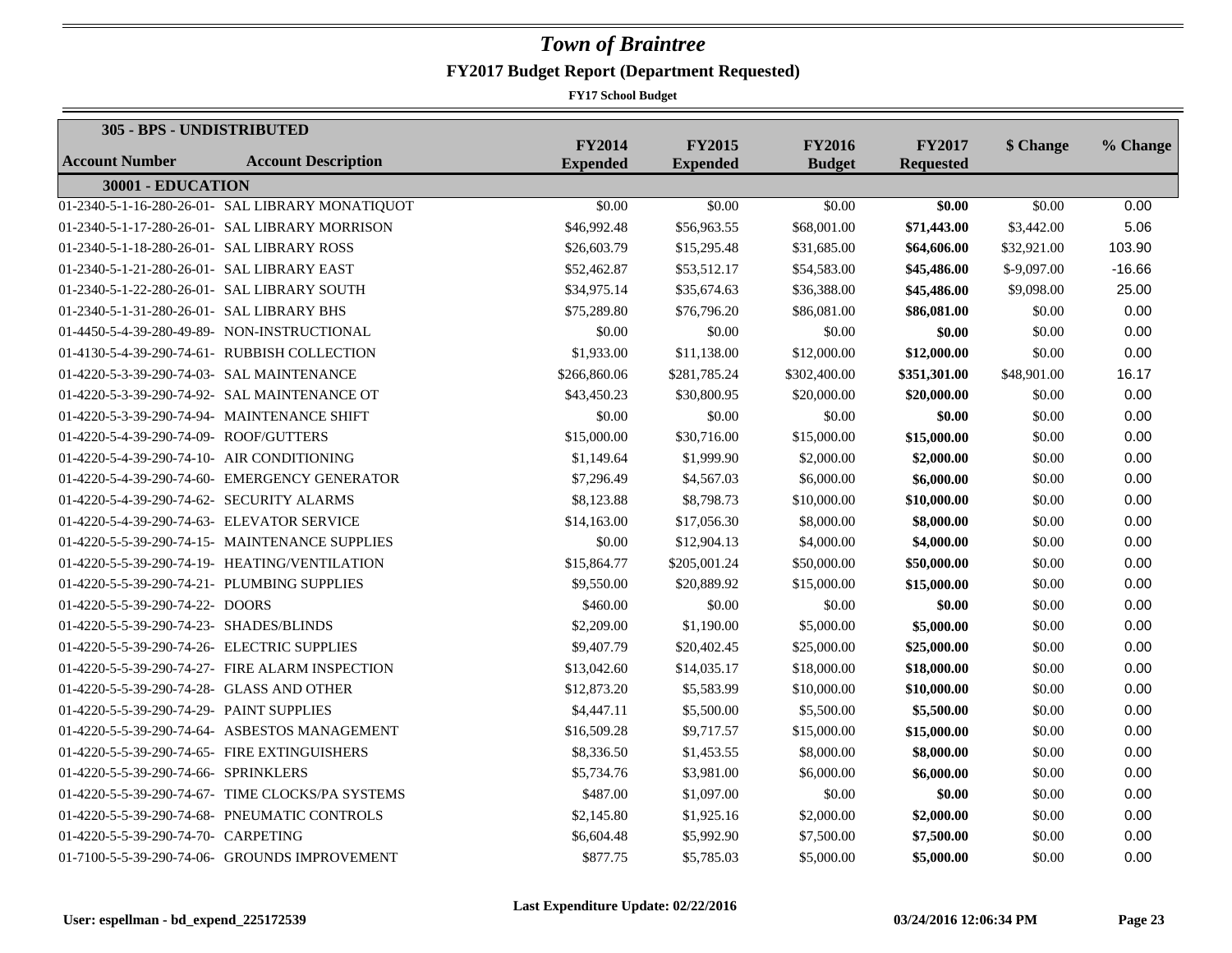|                                             | 305 - BPS - UNDISTRIBUTED                        |                                  |                                  |                                |                                   |              |          |
|---------------------------------------------|--------------------------------------------------|----------------------------------|----------------------------------|--------------------------------|-----------------------------------|--------------|----------|
| <b>Account Number</b>                       | <b>Account Description</b>                       | <b>FY2014</b><br><b>Expended</b> | <b>FY2015</b><br><b>Expended</b> | <b>FY2016</b><br><b>Budget</b> | <b>FY2017</b><br><b>Requested</b> | \$ Change    | % Change |
| 30001 - EDUCATION                           |                                                  |                                  |                                  |                                |                                   |              |          |
|                                             | 01-2340-5-1-16-280-26-01- SAL LIBRARY MONATIQUOT | \$0.00                           | \$0.00                           | \$0.00                         | \$0.00                            | \$0.00       | 0.00     |
|                                             | 01-2340-5-1-17-280-26-01- SAL LIBRARY MORRISON   | \$46,992.48                      | \$56,963.55                      | \$68,001.00                    | \$71,443.00                       | \$3,442.00   | 5.06     |
| 01-2340-5-1-18-280-26-01- SAL LIBRARY ROSS  |                                                  | \$26,603.79                      | \$15,295.48                      | \$31,685.00                    | \$64,606.00                       | \$32,921.00  | 103.90   |
| 01-2340-5-1-21-280-26-01- SAL LIBRARY EAST  |                                                  | \$52,462.87                      | \$53,512.17                      | \$54,583.00                    | \$45,486.00                       | $$-9,097.00$ | $-16.66$ |
| 01-2340-5-1-22-280-26-01- SAL LIBRARY SOUTH |                                                  | \$34,975.14                      | \$35,674.63                      | \$36,388.00                    | \$45,486.00                       | \$9,098.00   | 25.00    |
| 01-2340-5-1-31-280-26-01- SAL LIBRARY BHS   |                                                  | \$75,289.80                      | \$76,796.20                      | \$86,081.00                    | \$86,081.00                       | \$0.00       | 0.00     |
|                                             | 01-4450-5-4-39-280-49-89- NON-INSTRUCTIONAL      | \$0.00                           | \$0.00                           | \$0.00                         | \$0.00                            | \$0.00       | 0.00     |
|                                             | 01-4130-5-4-39-290-74-61- RUBBISH COLLECTION     | \$1,933.00                       | \$11,138.00                      | \$12,000.00                    | \$12,000.00                       | \$0.00       | 0.00     |
| 01-4220-5-3-39-290-74-03- SAL MAINTENANCE   |                                                  | \$266,860.06                     | \$281,785.24                     | \$302,400.00                   | \$351,301.00                      | \$48,901.00  | 16.17    |
|                                             | 01-4220-5-3-39-290-74-92- SAL MAINTENANCE OT     | \$43,450.23                      | \$30,800.95                      | \$20,000.00                    | \$20,000.00                       | \$0.00       | 0.00     |
|                                             | 01-4220-5-3-39-290-74-94- MAINTENANCE SHIFT      | \$0.00                           | \$0.00                           | \$0.00                         | \$0.00                            | \$0.00       | 0.00     |
| 01-4220-5-4-39-290-74-09- ROOF/GUTTERS      |                                                  | \$15,000.00                      | \$30,716.00                      | \$15,000.00                    | \$15,000.00                       | \$0.00       | 0.00     |
| 01-4220-5-4-39-290-74-10- AIR CONDITIONING  |                                                  | \$1,149.64                       | \$1,999.90                       | \$2,000.00                     | \$2,000.00                        | \$0.00       | 0.00     |
|                                             | 01-4220-5-4-39-290-74-60- EMERGENCY GENERATOR    | \$7,296.49                       | \$4,567.03                       | \$6,000.00                     | \$6,000.00                        | \$0.00       | 0.00     |
| 01-4220-5-4-39-290-74-62- SECURITY ALARMS   |                                                  | \$8,123.88                       | \$8,798.73                       | \$10,000.00                    | \$10,000.00                       | \$0.00       | 0.00     |
| 01-4220-5-4-39-290-74-63- ELEVATOR SERVICE  |                                                  | \$14,163.00                      | \$17,056.30                      | \$8,000.00                     | \$8,000.00                        | \$0.00       | 0.00     |
|                                             | 01-4220-5-5-39-290-74-15- MAINTENANCE SUPPLIES   | \$0.00                           | \$12,904.13                      | \$4,000.00                     | \$4,000.00                        | \$0.00       | 0.00     |
|                                             | 01-4220-5-5-39-290-74-19- HEATING/VENTILATION    | \$15,864.77                      | \$205,001.24                     | \$50,000.00                    | \$50,000.00                       | \$0.00       | 0.00     |
| 01-4220-5-5-39-290-74-21- PLUMBING SUPPLIES |                                                  | \$9,550.00                       | \$20,889.92                      | \$15,000.00                    | \$15,000.00                       | \$0.00       | 0.00     |
| 01-4220-5-5-39-290-74-22- DOORS             |                                                  | \$460.00                         | \$0.00                           | \$0.00                         | \$0.00                            | \$0.00       | 0.00     |
| 01-4220-5-5-39-290-74-23- SHADES/BLINDS     |                                                  | \$2,209.00                       | \$1,190.00                       | \$5,000.00                     | \$5,000.00                        | \$0.00       | 0.00     |
| 01-4220-5-5-39-290-74-26- ELECTRIC SUPPLIES |                                                  | \$9,407.79                       | \$20,402.45                      | \$25,000.00                    | \$25,000.00                       | \$0.00       | 0.00     |
|                                             | 01-4220-5-5-39-290-74-27- FIRE ALARM INSPECTION  | \$13,042.60                      | \$14,035.17                      | \$18,000.00                    | \$18,000.00                       | \$0.00       | 0.00     |
| 01-4220-5-5-39-290-74-28- GLASS AND OTHER   |                                                  | \$12,873.20                      | \$5,583.99                       | \$10,000.00                    | \$10,000.00                       | \$0.00       | 0.00     |
| 01-4220-5-5-39-290-74-29- PAINT SUPPLIES    |                                                  | \$4,447.11                       | \$5,500.00                       | \$5,500.00                     | \$5,500.00                        | \$0.00       | 0.00     |
|                                             | 01-4220-5-5-39-290-74-64- ASBESTOS MANAGEMENT    | \$16,509.28                      | \$9,717.57                       | \$15,000.00                    | \$15,000.00                       | \$0.00       | 0.00     |
|                                             | 01-4220-5-5-39-290-74-65- FIRE EXTINGUISHERS     | \$8,336.50                       | \$1,453.55                       | \$8,000.00                     | \$8,000.00                        | \$0.00       | 0.00     |
| 01-4220-5-5-39-290-74-66- SPRINKLERS        |                                                  | \$5,734.76                       | \$3,981.00                       | \$6,000.00                     | \$6,000.00                        | \$0.00       | 0.00     |
|                                             | 01-4220-5-5-39-290-74-67- TIME CLOCKS/PA SYSTEMS | \$487.00                         | \$1,097.00                       | \$0.00                         | \$0.00                            | \$0.00       | 0.00     |
|                                             | 01-4220-5-5-39-290-74-68- PNEUMATIC CONTROLS     | \$2,145.80                       | \$1,925.16                       | \$2,000.00                     | \$2,000.00                        | \$0.00       | 0.00     |
| 01-4220-5-5-39-290-74-70- CARPETING         |                                                  | \$6,604.48                       | \$5,992.90                       | \$7,500.00                     | \$7,500.00                        | \$0.00       | 0.00     |
|                                             | 01-7100-5-5-39-290-74-06- GROUNDS IMPROVEMENT    | \$877.75                         | \$5,785.03                       | \$5,000.00                     | \$5,000.00                        | \$0.00       | 0.00     |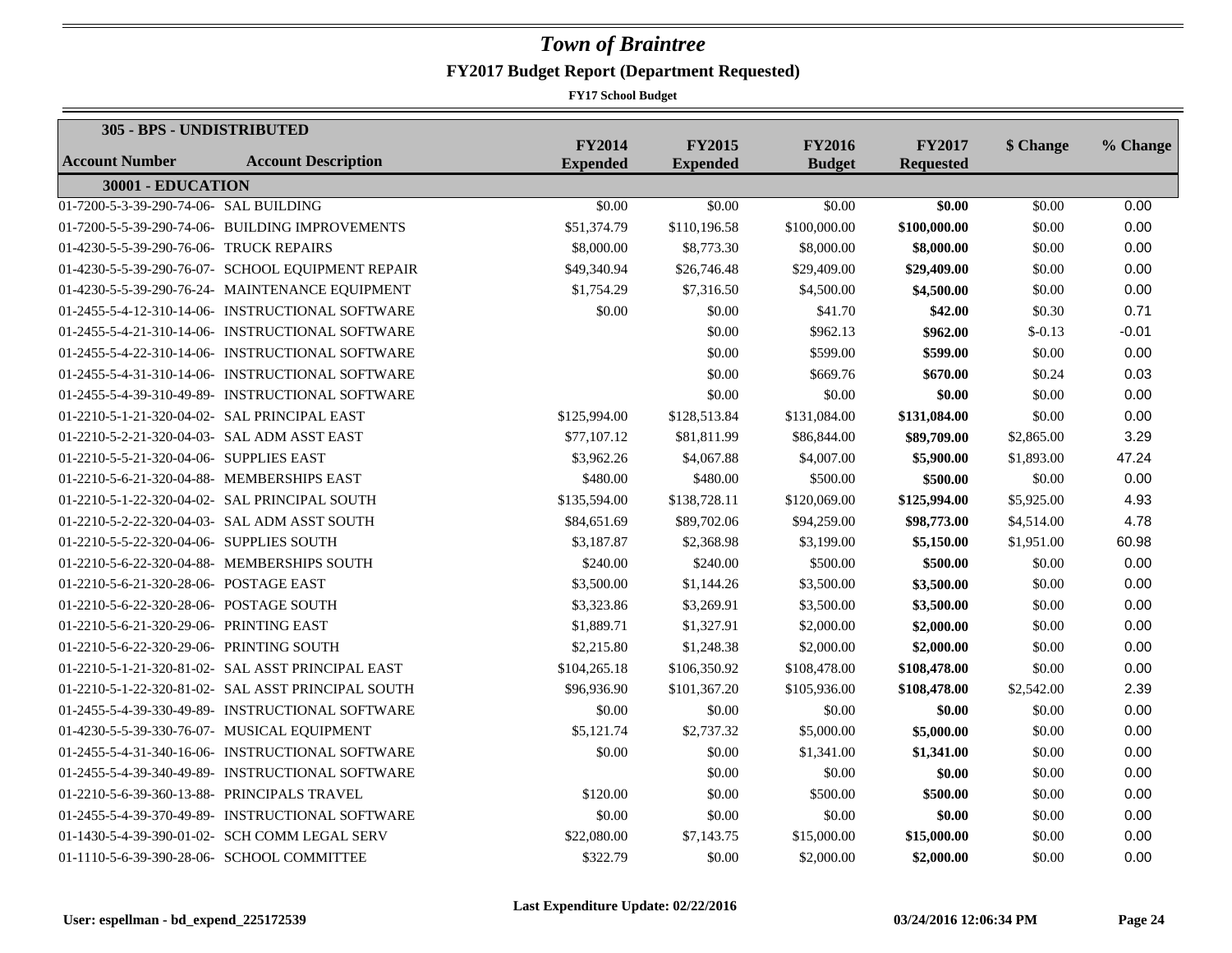| 305 - BPS - UNDISTRIBUTED                    |                                                    |                                  |                                  |                                |                                   |            |          |
|----------------------------------------------|----------------------------------------------------|----------------------------------|----------------------------------|--------------------------------|-----------------------------------|------------|----------|
| <b>Account Number</b>                        | <b>Account Description</b>                         | <b>FY2014</b><br><b>Expended</b> | <b>FY2015</b><br><b>Expended</b> | <b>FY2016</b><br><b>Budget</b> | <b>FY2017</b><br><b>Requested</b> | \$ Change  | % Change |
| 30001 - EDUCATION                            |                                                    |                                  |                                  |                                |                                   |            |          |
| 01-7200-5-3-39-290-74-06- SAL BUILDING       |                                                    | \$0.00                           | \$0.00                           | \$0.00                         | \$0.00                            | \$0.00     | 0.00     |
|                                              | 01-7200-5-5-39-290-74-06- BUILDING IMPROVEMENTS    | \$51,374.79                      | \$110,196.58                     | \$100,000.00                   | \$100,000.00                      | \$0.00     | 0.00     |
| 01-4230-5-5-39-290-76-06- TRUCK REPAIRS      |                                                    | \$8,000.00                       | \$8,773.30                       | \$8,000.00                     | \$8,000.00                        | \$0.00     | 0.00     |
|                                              | 01-4230-5-5-39-290-76-07- SCHOOL EQUIPMENT REPAIR  | \$49,340.94                      | \$26,746.48                      | \$29,409.00                    | \$29,409.00                       | \$0.00     | 0.00     |
|                                              | 01-4230-5-5-39-290-76-24- MAINTENANCE EQUIPMENT    | \$1,754.29                       | \$7,316.50                       | \$4,500.00                     | \$4,500.00                        | \$0.00     | 0.00     |
|                                              | 01-2455-5-4-12-310-14-06- INSTRUCTIONAL SOFTWARE   | \$0.00                           | \$0.00                           | \$41.70                        | \$42.00                           | \$0.30     | 0.71     |
|                                              | 01-2455-5-4-21-310-14-06- INSTRUCTIONAL SOFTWARE   |                                  | \$0.00                           | \$962.13                       | \$962.00                          | $$-0.13$   | $-0.01$  |
|                                              | 01-2455-5-4-22-310-14-06- INSTRUCTIONAL SOFTWARE   |                                  | \$0.00                           | \$599.00                       | \$599.00                          | \$0.00     | 0.00     |
|                                              | 01-2455-5-4-31-310-14-06- INSTRUCTIONAL SOFTWARE   |                                  | \$0.00                           | \$669.76                       | \$670.00                          | \$0.24     | 0.03     |
|                                              | 01-2455-5-4-39-310-49-89- INSTRUCTIONAL SOFTWARE   |                                  | \$0.00                           | \$0.00                         | \$0.00                            | \$0.00     | 0.00     |
| 01-2210-5-1-21-320-04-02- SAL PRINCIPAL EAST |                                                    | \$125,994.00                     | \$128,513.84                     | \$131,084.00                   | \$131,084.00                      | \$0.00     | 0.00     |
| 01-2210-5-2-21-320-04-03- SAL ADM ASST EAST  |                                                    | \$77,107.12                      | \$81,811.99                      | \$86,844.00                    | \$89,709.00                       | \$2,865.00 | 3.29     |
| 01-2210-5-5-21-320-04-06- SUPPLIES EAST      |                                                    | \$3,962.26                       | \$4,067.88                       | \$4,007.00                     | \$5,900.00                        | \$1,893.00 | 47.24    |
| 01-2210-5-6-21-320-04-88- MEMBERSHIPS EAST   |                                                    | \$480.00                         | \$480.00                         | \$500.00                       | \$500.00                          | \$0.00     | 0.00     |
|                                              | 01-2210-5-1-22-320-04-02- SAL PRINCIPAL SOUTH      | \$135,594.00                     | \$138,728.11                     | \$120,069.00                   | \$125,994.00                      | \$5,925.00 | 4.93     |
|                                              | 01-2210-5-2-22-320-04-03- SAL ADM ASST SOUTH       | \$84,651.69                      | \$89,702.06                      | \$94,259.00                    | \$98,773.00                       | \$4,514.00 | 4.78     |
| 01-2210-5-5-22-320-04-06- SUPPLIES SOUTH     |                                                    | \$3,187.87                       | \$2,368.98                       | \$3,199.00                     | \$5,150.00                        | \$1,951.00 | 60.98    |
|                                              | 01-2210-5-6-22-320-04-88- MEMBERSHIPS SOUTH        | \$240.00                         | \$240.00                         | \$500.00                       | \$500.00                          | \$0.00     | 0.00     |
| 01-2210-5-6-21-320-28-06- POSTAGE EAST       |                                                    | \$3,500.00                       | \$1,144.26                       | \$3,500.00                     | \$3,500.00                        | \$0.00     | 0.00     |
| 01-2210-5-6-22-320-28-06- POSTAGE SOUTH      |                                                    | \$3,323.86                       | \$3,269.91                       | \$3,500.00                     | \$3,500.00                        | \$0.00     | 0.00     |
| 01-2210-5-6-21-320-29-06- PRINTING EAST      |                                                    | \$1,889.71                       | \$1,327.91                       | \$2,000.00                     | \$2,000.00                        | \$0.00     | 0.00     |
| 01-2210-5-6-22-320-29-06- PRINTING SOUTH     |                                                    | \$2,215.80                       | \$1,248.38                       | \$2,000.00                     | \$2,000.00                        | \$0.00     | 0.00     |
|                                              | 01-2210-5-1-21-320-81-02- SAL ASST PRINCIPAL EAST  | \$104,265.18                     | \$106,350.92                     | \$108,478.00                   | \$108,478.00                      | \$0.00     | 0.00     |
|                                              | 01-2210-5-1-22-320-81-02- SAL ASST PRINCIPAL SOUTH | \$96,936.90                      | \$101,367.20                     | \$105,936.00                   | \$108,478.00                      | \$2,542.00 | 2.39     |
|                                              | 01-2455-5-4-39-330-49-89- INSTRUCTIONAL SOFTWARE   | \$0.00                           | \$0.00                           | \$0.00                         | \$0.00                            | \$0.00     | 0.00     |
|                                              | 01-4230-5-5-39-330-76-07- MUSICAL EQUIPMENT        | \$5,121.74                       | \$2,737.32                       | \$5,000.00                     | \$5,000.00                        | \$0.00     | 0.00     |
|                                              | 01-2455-5-4-31-340-16-06- INSTRUCTIONAL SOFTWARE   | \$0.00                           | \$0.00                           | \$1,341.00                     | \$1,341.00                        | \$0.00     | 0.00     |
|                                              | 01-2455-5-4-39-340-49-89- INSTRUCTIONAL SOFTWARE   |                                  | \$0.00                           | \$0.00                         | \$0.00                            | \$0.00     | 0.00     |
| 01-2210-5-6-39-360-13-88- PRINCIPALS TRAVEL  |                                                    | \$120.00                         | \$0.00                           | \$500.00                       | \$500.00                          | \$0.00     | 0.00     |
|                                              | 01-2455-5-4-39-370-49-89- INSTRUCTIONAL SOFTWARE   | \$0.00                           | \$0.00                           | \$0.00                         | \$0.00                            | \$0.00     | 0.00     |
|                                              | 01-1430-5-4-39-390-01-02- SCH COMM LEGAL SERV      | \$22,080.00                      | \$7,143.75                       | \$15,000.00                    | \$15,000.00                       | \$0.00     | 0.00     |
| 01-1110-5-6-39-390-28-06- SCHOOL COMMITTEE   |                                                    | \$322.79                         | \$0.00                           | \$2,000.00                     | \$2,000.00                        | \$0.00     | 0.00     |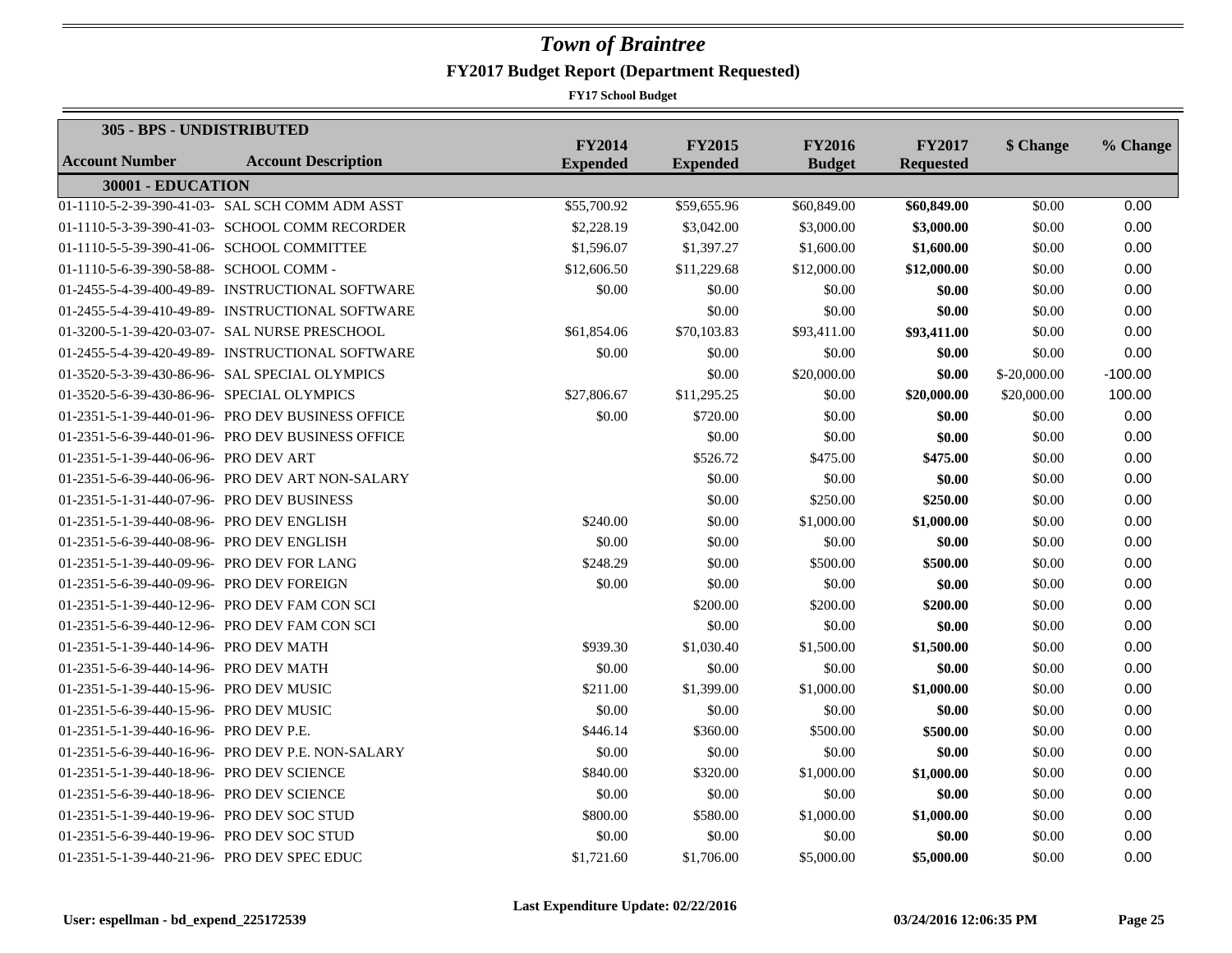| 305 - BPS - UNDISTRIBUTED                   |                                                   |                                  |                                  |                                |                                   |               |           |  |  |
|---------------------------------------------|---------------------------------------------------|----------------------------------|----------------------------------|--------------------------------|-----------------------------------|---------------|-----------|--|--|
| <b>Account Number</b>                       | <b>Account Description</b>                        | <b>FY2014</b><br><b>Expended</b> | <b>FY2015</b><br><b>Expended</b> | <b>FY2016</b><br><b>Budget</b> | <b>FY2017</b><br><b>Requested</b> | \$ Change     | % Change  |  |  |
| 30001 - EDUCATION                           |                                                   |                                  |                                  |                                |                                   |               |           |  |  |
|                                             | 01-1110-5-2-39-390-41-03- SAL SCH COMM ADM ASST   | \$55,700.92                      | \$59,655.96                      | \$60,849.00                    | \$60,849.00                       | \$0.00        | 0.00      |  |  |
|                                             | 01-1110-5-3-39-390-41-03- SCHOOL COMM RECORDER    | \$2,228.19                       | \$3,042.00                       | \$3,000.00                     | \$3,000.00                        | \$0.00        | 0.00      |  |  |
|                                             | 01-1110-5-5-39-390-41-06- SCHOOL COMMITTEE        | \$1,596.07                       | \$1,397.27                       | \$1,600.00                     | \$1,600.00                        | \$0.00        | 0.00      |  |  |
| 01-1110-5-6-39-390-58-88- SCHOOL COMM -     |                                                   | \$12,606.50                      | \$11,229.68                      | \$12,000.00                    | \$12,000.00                       | \$0.00        | 0.00      |  |  |
|                                             | 01-2455-5-4-39-400-49-89- INSTRUCTIONAL SOFTWARE  | \$0.00                           | \$0.00                           | \$0.00                         | \$0.00                            | \$0.00        | 0.00      |  |  |
|                                             | 01-2455-5-4-39-410-49-89- INSTRUCTIONAL SOFTWARE  |                                  | \$0.00                           | \$0.00                         | \$0.00                            | \$0.00        | 0.00      |  |  |
|                                             | 01-3200-5-1-39-420-03-07- SAL NURSE PRESCHOOL     | \$61,854.06                      | \$70,103.83                      | \$93,411.00                    | \$93,411.00                       | \$0.00        | 0.00      |  |  |
|                                             | 01-2455-5-4-39-420-49-89- INSTRUCTIONAL SOFTWARE  | \$0.00                           | \$0.00                           | \$0.00                         | \$0.00                            | \$0.00        | 0.00      |  |  |
|                                             | 01-3520-5-3-39-430-86-96- SAL SPECIAL OLYMPICS    |                                  | \$0.00                           | \$20,000.00                    | \$0.00                            | $$-20,000.00$ | $-100.00$ |  |  |
| 01-3520-5-6-39-430-86-96- SPECIAL OLYMPICS  |                                                   | \$27,806.67                      | \$11,295.25                      | \$0.00                         | \$20,000.00                       | \$20,000.00   | 100.00    |  |  |
|                                             | 01-2351-5-1-39-440-01-96- PRO DEV BUSINESS OFFICE | \$0.00                           | \$720.00                         | \$0.00                         | \$0.00                            | \$0.00        | 0.00      |  |  |
|                                             | 01-2351-5-6-39-440-01-96- PRO DEV BUSINESS OFFICE |                                  | \$0.00                           | \$0.00                         | \$0.00                            | \$0.00        | 0.00      |  |  |
| 01-2351-5-1-39-440-06-96- PRO DEV ART       |                                                   |                                  | \$526.72                         | \$475.00                       | \$475.00                          | \$0.00        | 0.00      |  |  |
|                                             | 01-2351-5-6-39-440-06-96- PRO DEV ART NON-SALARY  |                                  | \$0.00                           | \$0.00                         | \$0.00                            | \$0.00        | 0.00      |  |  |
| 01-2351-5-1-31-440-07-96- PRO DEV BUSINESS  |                                                   |                                  | \$0.00                           | \$250.00                       | \$250.00                          | \$0.00        | 0.00      |  |  |
| 01-2351-5-1-39-440-08-96- PRO DEV ENGLISH   |                                                   | \$240.00                         | \$0.00                           | \$1,000.00                     | \$1,000.00                        | \$0.00        | 0.00      |  |  |
| 01-2351-5-6-39-440-08-96- PRO DEV ENGLISH   |                                                   | \$0.00                           | \$0.00                           | \$0.00                         | \$0.00                            | \$0.00        | 0.00      |  |  |
| 01-2351-5-1-39-440-09-96- PRO DEV FOR LANG  |                                                   | \$248.29                         | \$0.00                           | \$500.00                       | \$500.00                          | \$0.00        | 0.00      |  |  |
| 01-2351-5-6-39-440-09-96- PRO DEV FOREIGN   |                                                   | \$0.00                           | \$0.00                           | \$0.00                         | \$0.00                            | \$0.00        | 0.00      |  |  |
|                                             | 01-2351-5-1-39-440-12-96- PRO DEV FAM CON SCI     |                                  | \$200.00                         | \$200.00                       | \$200.00                          | \$0.00        | 0.00      |  |  |
|                                             | 01-2351-5-6-39-440-12-96- PRO DEV FAM CON SCI     |                                  | \$0.00                           | \$0.00                         | \$0.00                            | \$0.00        | 0.00      |  |  |
| 01-2351-5-1-39-440-14-96- PRO DEV MATH      |                                                   | \$939.30                         | \$1,030.40                       | \$1,500.00                     | \$1,500.00                        | \$0.00        | 0.00      |  |  |
| 01-2351-5-6-39-440-14-96- PRO DEV MATH      |                                                   | \$0.00                           | \$0.00                           | \$0.00                         | \$0.00                            | \$0.00        | 0.00      |  |  |
| 01-2351-5-1-39-440-15-96- PRO DEV MUSIC     |                                                   | \$211.00                         | \$1,399.00                       | \$1,000.00                     | \$1,000.00                        | \$0.00        | 0.00      |  |  |
| 01-2351-5-6-39-440-15-96- PRO DEV MUSIC     |                                                   | \$0.00                           | \$0.00                           | \$0.00                         | \$0.00                            | \$0.00        | 0.00      |  |  |
| 01-2351-5-1-39-440-16-96- PRO DEV P.E.      |                                                   | \$446.14                         | \$360.00                         | \$500.00                       | \$500.00                          | \$0.00        | 0.00      |  |  |
|                                             | 01-2351-5-6-39-440-16-96- PRO DEV P.E. NON-SALARY | \$0.00                           | \$0.00                           | \$0.00                         | \$0.00                            | \$0.00        | 0.00      |  |  |
| 01-2351-5-1-39-440-18-96- PRO DEV SCIENCE   |                                                   | \$840.00                         | \$320.00                         | \$1,000.00                     | \$1,000.00                        | \$0.00        | 0.00      |  |  |
| 01-2351-5-6-39-440-18-96- PRO DEV SCIENCE   |                                                   | \$0.00                           | \$0.00                           | \$0.00                         | \$0.00                            | \$0.00        | 0.00      |  |  |
| 01-2351-5-1-39-440-19-96- PRO DEV SOC STUD  |                                                   | \$800.00                         | \$580.00                         | \$1,000.00                     | \$1,000.00                        | \$0.00        | 0.00      |  |  |
| 01-2351-5-6-39-440-19-96- PRO DEV SOC STUD  |                                                   | \$0.00                           | \$0.00                           | \$0.00                         | \$0.00                            | \$0.00        | 0.00      |  |  |
| 01-2351-5-1-39-440-21-96- PRO DEV SPEC EDUC |                                                   | \$1,721.60                       | \$1,706.00                       | \$5,000.00                     | \$5,000.00                        | \$0.00        | 0.00      |  |  |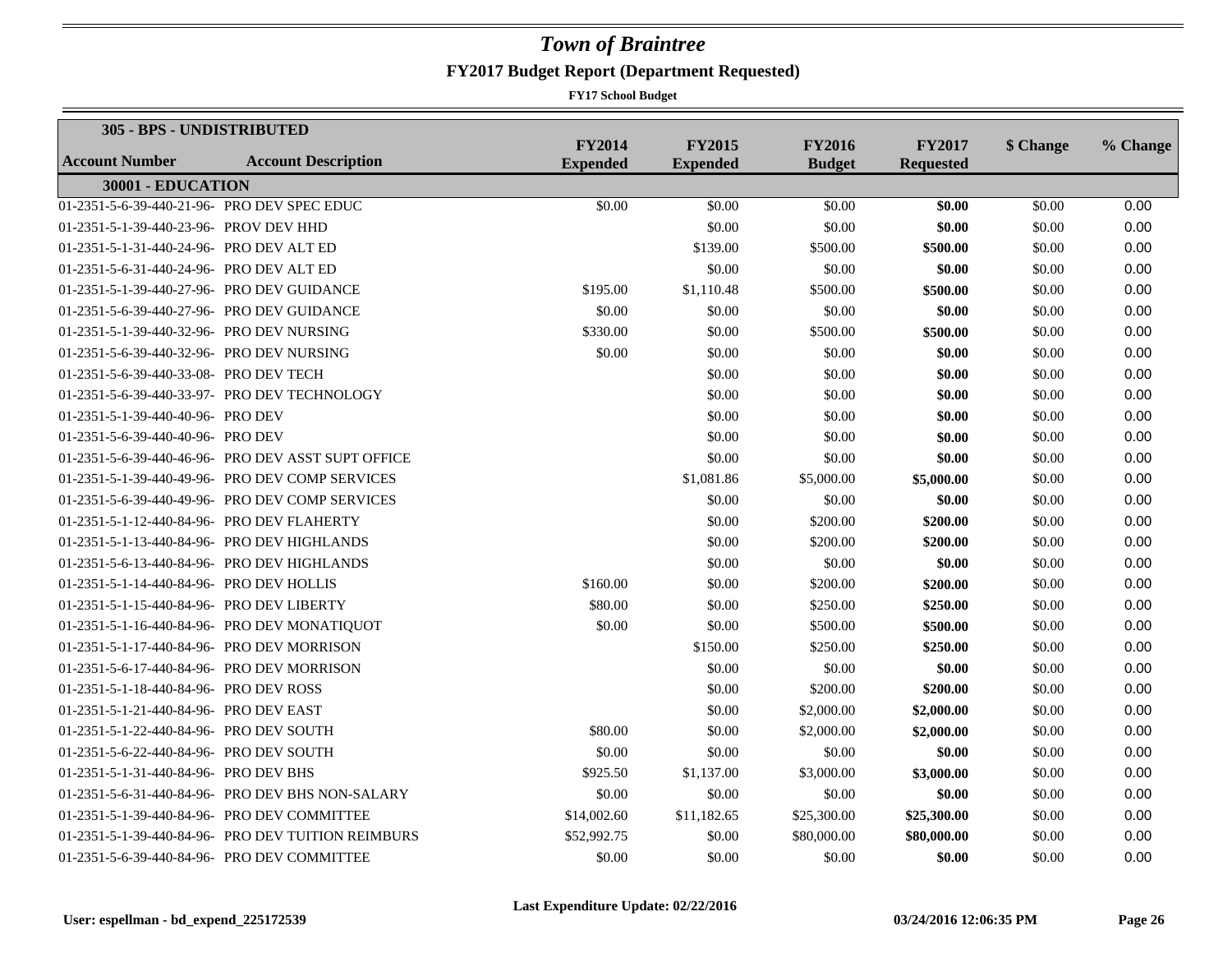| 305 - BPS - UNDISTRIBUTED                   |                                                    |                                  |                                  |                                |                                   |           |          |
|---------------------------------------------|----------------------------------------------------|----------------------------------|----------------------------------|--------------------------------|-----------------------------------|-----------|----------|
| Account Number                              | <b>Account Description</b>                         | <b>FY2014</b><br><b>Expended</b> | <b>FY2015</b><br><b>Expended</b> | <b>FY2016</b><br><b>Budget</b> | <b>FY2017</b><br><b>Requested</b> | \$ Change | % Change |
| 30001 - EDUCATION                           |                                                    |                                  |                                  |                                |                                   |           |          |
| 01-2351-5-6-39-440-21-96- PRO DEV SPEC EDUC |                                                    | \$0.00                           | \$0.00                           | \$0.00                         | \$0.00                            | \$0.00    | 0.00     |
| 01-2351-5-1-39-440-23-96- PROV DEV HHD      |                                                    |                                  | \$0.00                           | \$0.00                         | \$0.00                            | \$0.00    | 0.00     |
| 01-2351-5-1-31-440-24-96- PRO DEV ALT ED    |                                                    |                                  | \$139.00                         | \$500.00                       | \$500.00                          | \$0.00    | 0.00     |
| 01-2351-5-6-31-440-24-96- PRO DEV ALT ED    |                                                    |                                  | \$0.00                           | \$0.00                         | \$0.00                            | \$0.00    | 0.00     |
| 01-2351-5-1-39-440-27-96- PRO DEV GUIDANCE  |                                                    | \$195.00                         | \$1,110.48                       | \$500.00                       | \$500.00                          | \$0.00    | 0.00     |
| 01-2351-5-6-39-440-27-96- PRO DEV GUIDANCE  |                                                    | \$0.00                           | \$0.00                           | \$0.00                         | \$0.00                            | \$0.00    | 0.00     |
| 01-2351-5-1-39-440-32-96- PRO DEV NURSING   |                                                    | \$330.00                         | \$0.00                           | \$500.00                       | \$500.00                          | \$0.00    | 0.00     |
| 01-2351-5-6-39-440-32-96- PRO DEV NURSING   |                                                    | \$0.00                           | \$0.00                           | \$0.00                         | \$0.00                            | \$0.00    | 0.00     |
| 01-2351-5-6-39-440-33-08- PRO DEV TECH      |                                                    |                                  | \$0.00                           | \$0.00                         | \$0.00                            | \$0.00    | 0.00     |
|                                             | 01-2351-5-6-39-440-33-97- PRO DEV TECHNOLOGY       |                                  | \$0.00                           | \$0.00                         | \$0.00                            | \$0.00    | 0.00     |
| 01-2351-5-1-39-440-40-96- PRO DEV           |                                                    |                                  | \$0.00                           | \$0.00                         | \$0.00                            | \$0.00    | 0.00     |
| 01-2351-5-6-39-440-40-96- PRO DEV           |                                                    |                                  | \$0.00                           | \$0.00                         | \$0.00                            | \$0.00    | 0.00     |
|                                             | 01-2351-5-6-39-440-46-96- PRO DEV ASST SUPT OFFICE |                                  | \$0.00                           | \$0.00                         | \$0.00                            | \$0.00    | 0.00     |
|                                             | 01-2351-5-1-39-440-49-96- PRO DEV COMP SERVICES    |                                  | \$1,081.86                       | \$5,000.00                     | \$5,000.00                        | \$0.00    | 0.00     |
|                                             | 01-2351-5-6-39-440-49-96- PRO DEV COMP SERVICES    |                                  | \$0.00                           | \$0.00                         | \$0.00                            | \$0.00    | 0.00     |
| 01-2351-5-1-12-440-84-96- PRO DEV FLAHERTY  |                                                    |                                  | \$0.00                           | \$200.00                       | \$200.00                          | \$0.00    | 0.00     |
|                                             | 01-2351-5-1-13-440-84-96- PRO DEV HIGHLANDS        |                                  | \$0.00                           | \$200.00                       | \$200.00                          | \$0.00    | 0.00     |
|                                             | 01-2351-5-6-13-440-84-96- PRO DEV HIGHLANDS        |                                  | \$0.00                           | \$0.00                         | \$0.00                            | \$0.00    | 0.00     |
| 01-2351-5-1-14-440-84-96- PRO DEV HOLLIS    |                                                    | \$160.00                         | \$0.00                           | \$200.00                       | \$200.00                          | \$0.00    | 0.00     |
| 01-2351-5-1-15-440-84-96- PRO DEV LIBERTY   |                                                    | \$80.00                          | \$0.00                           | \$250.00                       | \$250.00                          | \$0.00    | 0.00     |
|                                             | 01-2351-5-1-16-440-84-96- PRO DEV MONATIQUOT       | \$0.00                           | \$0.00                           | \$500.00                       | \$500.00                          | \$0.00    | 0.00     |
| 01-2351-5-1-17-440-84-96- PRO DEV MORRISON  |                                                    |                                  | \$150.00                         | \$250.00                       | \$250.00                          | \$0.00    | 0.00     |
| 01-2351-5-6-17-440-84-96- PRO DEV MORRISON  |                                                    |                                  | \$0.00                           | \$0.00                         | \$0.00                            | \$0.00    | 0.00     |
| 01-2351-5-1-18-440-84-96- PRO DEV ROSS      |                                                    |                                  | \$0.00                           | \$200.00                       | \$200.00                          | \$0.00    | 0.00     |
| 01-2351-5-1-21-440-84-96- PRO DEV EAST      |                                                    |                                  | \$0.00                           | \$2,000.00                     | \$2,000.00                        | \$0.00    | 0.00     |
| 01-2351-5-1-22-440-84-96- PRO DEV SOUTH     |                                                    | \$80.00                          | \$0.00                           | \$2,000.00                     | \$2,000.00                        | \$0.00    | 0.00     |
| 01-2351-5-6-22-440-84-96- PRO DEV SOUTH     |                                                    | \$0.00                           | \$0.00                           | \$0.00                         | \$0.00                            | \$0.00    | 0.00     |
| 01-2351-5-1-31-440-84-96- PRO DEV BHS       |                                                    | \$925.50                         | \$1,137.00                       | \$3,000.00                     | \$3,000.00                        | \$0.00    | 0.00     |
|                                             | 01-2351-5-6-31-440-84-96- PRO DEV BHS NON-SALARY   | \$0.00                           | \$0.00                           | \$0.00                         | \$0.00                            | \$0.00    | 0.00     |
|                                             | 01-2351-5-1-39-440-84-96- PRO DEV COMMITTEE        | \$14,002.60                      | \$11,182.65                      | \$25,300.00                    | \$25,300.00                       | \$0.00    | 0.00     |
|                                             | 01-2351-5-1-39-440-84-96- PRO DEV TUITION REIMBURS | \$52,992.75                      | \$0.00                           | \$80,000.00                    | \$80,000.00                       | \$0.00    | 0.00     |
|                                             | 01-2351-5-6-39-440-84-96- PRO DEV COMMITTEE        | \$0.00                           | \$0.00                           | \$0.00                         | \$0.00                            | \$0.00    | 0.00     |